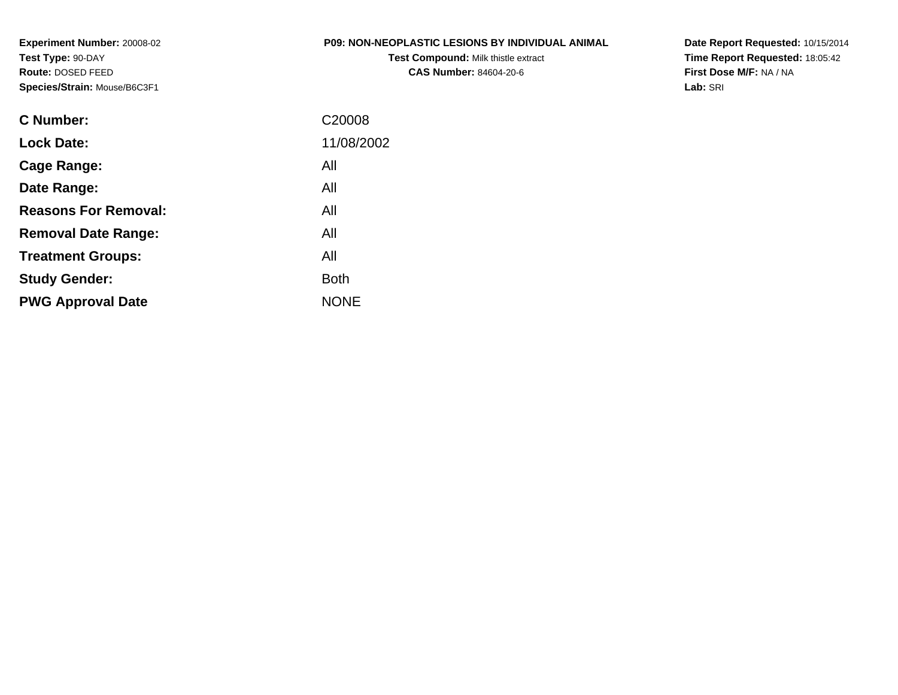**Experiment Number:** 20008-02**Test Type:** 90-DAY **Route:** DOSED FEED**Species/Strain:** Mouse/B6C3F1

#### **P09: NON-NEOPLASTIC LESIONS BY INDIVIDUAL ANIMAL**

**Test Compound:** Milk thistle extract**CAS Number:** 84604-20-6

**Date Report Requested:** 10/15/2014 **Time Report Requested:** 18:05:42**First Dose M/F:** NA / NA**Lab:** SRI

| C Number:                   | C <sub>20008</sub> |
|-----------------------------|--------------------|
| <b>Lock Date:</b>           | 11/08/2002         |
| Cage Range:                 | All                |
| Date Range:                 | All                |
| <b>Reasons For Removal:</b> | All                |
| <b>Removal Date Range:</b>  | All                |
| <b>Treatment Groups:</b>    | All                |
| <b>Study Gender:</b>        | Both               |
| <b>PWG Approval Date</b>    | <b>NONE</b>        |
|                             |                    |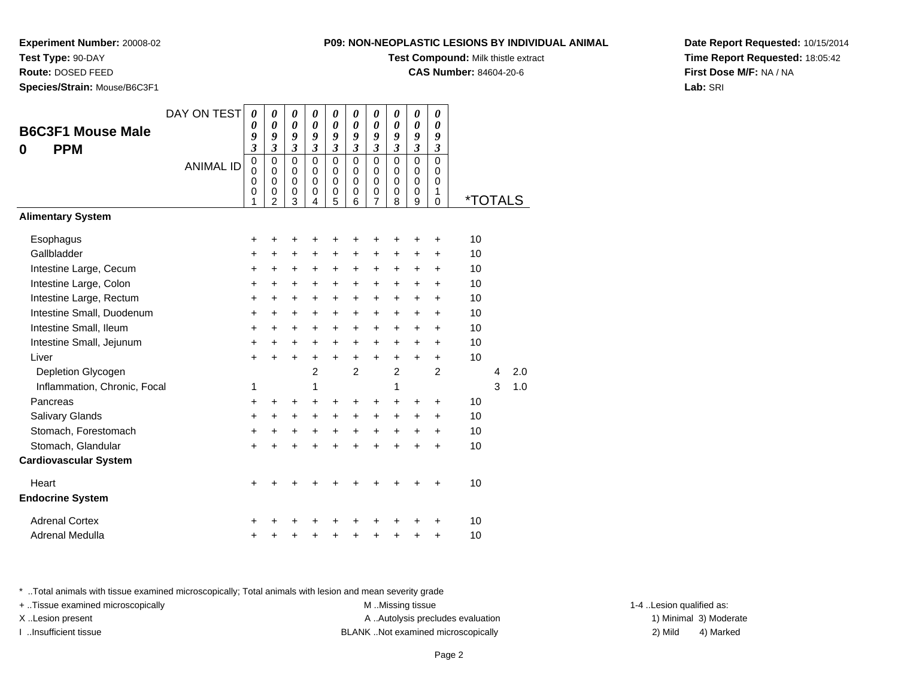#### **Test Type:** 90-DAY

**Route:** DOSED FEED

**Species/Strain:** Mouse/B6C3F1

#### **P09: NON-NEOPLASTIC LESIONS BY INDIVIDUAL ANIMAL**

**Test Compound:** Milk thistle extract

**CAS Number:** 84604-20-6

**Date Report Requested:** 10/15/2014**Time Report Requested:** 18:05:42**First Dose M/F:** NA / NA**Lab:** SRI

|                              | DAY ON TEST      | 0                             | 0                                                   | 0                                         | 0                                             | 0                                         | 0                                                          | 0                                                   | 0                                         | 0                                                | $\boldsymbol{\theta}$                            |                       |   |     |  |
|------------------------------|------------------|-------------------------------|-----------------------------------------------------|-------------------------------------------|-----------------------------------------------|-------------------------------------------|------------------------------------------------------------|-----------------------------------------------------|-------------------------------------------|--------------------------------------------------|--------------------------------------------------|-----------------------|---|-----|--|
| <b>B6C3F1 Mouse Male</b>     |                  | 0<br>9                        | 0<br>9                                              | 0<br>9                                    | 0<br>9                                        | 0<br>9                                    | 0<br>9                                                     | 0<br>9                                              | 0<br>9                                    | 0<br>9                                           | $\boldsymbol{\theta}$<br>9                       |                       |   |     |  |
| <b>PPM</b><br>0              |                  | $\overline{\mathbf{3}}$       | 3                                                   | 3                                         | 3                                             | $\overline{\mathbf{3}}$                   | $\mathfrak{z}$                                             | $\overline{\mathbf{3}}$                             | $\mathfrak{z}$                            | $\mathfrak{z}$                                   | $\boldsymbol{\beta}$                             |                       |   |     |  |
|                              | <b>ANIMAL ID</b> | $\pmb{0}$<br>0<br>0<br>0<br>1 | 0<br>$\Omega$<br>$\mathbf 0$<br>0<br>$\overline{2}$ | $\mathbf 0$<br>0<br>$\mathbf 0$<br>0<br>3 | $\mathbf 0$<br>$\Omega$<br>$\Omega$<br>0<br>4 | $\mathbf 0$<br>0<br>$\mathbf 0$<br>0<br>5 | $\mathbf 0$<br>$\Omega$<br>$\mathbf 0$<br>$\mathbf 0$<br>6 | $\mathbf 0$<br>0<br>$\mathbf 0$<br>$\mathbf 0$<br>7 | $\mathbf 0$<br>0<br>$\mathbf 0$<br>0<br>8 | $\mathbf 0$<br>$\Omega$<br>$\mathbf 0$<br>0<br>9 | $\Omega$<br>0<br>$\mathbf 0$<br>1<br>$\mathbf 0$ | <i><b>*TOTALS</b></i> |   |     |  |
| <b>Alimentary System</b>     |                  |                               |                                                     |                                           |                                               |                                           |                                                            |                                                     |                                           |                                                  |                                                  |                       |   |     |  |
| Esophagus                    |                  | +                             | +                                                   | +                                         |                                               |                                           | +                                                          | +                                                   | +                                         | +                                                | +                                                | 10                    |   |     |  |
| Gallbladder                  |                  | +                             | +                                                   | +                                         | +                                             | +                                         | +                                                          | +                                                   | +                                         | +                                                | +                                                | 10                    |   |     |  |
| Intestine Large, Cecum       |                  | $\ddot{}$                     | $\ddot{}$                                           | +                                         | $\ddot{}$                                     | +                                         | $\ddot{}$                                                  | $\ddot{}$                                           | $\ddot{}$                                 | +                                                | $\ddot{}$                                        | 10                    |   |     |  |
| Intestine Large, Colon       |                  | $\ddot{}$                     | $\pm$                                               | +                                         | $\ddot{}$                                     | +                                         | +                                                          | +                                                   | +                                         | +                                                | $\ddot{}$                                        | 10                    |   |     |  |
| Intestine Large, Rectum      |                  | $\ddot{}$                     | $\ddot{}$                                           | $\ddot{}$                                 | $\ddot{}$                                     | $\ddot{}$                                 | $\ddot{}$                                                  | $\ddot{}$                                           | $\ddot{}$                                 | $\ddot{}$                                        | $\ddot{}$                                        | 10                    |   |     |  |
| Intestine Small, Duodenum    |                  | +                             | +                                                   | +                                         | +                                             | +                                         | +                                                          | +                                                   | $\ddot{}$                                 | +                                                | +                                                | 10                    |   |     |  |
| Intestine Small, Ileum       |                  | $\ddot{}$                     | $\ddot{}$                                           | $\ddot{}$                                 | $\ddot{}$                                     | +                                         | $\ddot{}$                                                  | $\ddot{}$                                           | $\ddot{}$                                 | $\ddot{}$                                        | $\ddot{}$                                        | 10                    |   |     |  |
| Intestine Small, Jejunum     |                  | +                             | +                                                   | +                                         | $\ddot{}$                                     | +                                         | +                                                          | $\ddot{}$                                           | $\ddot{}$                                 | +                                                | $\ddot{}$                                        | 10                    |   |     |  |
| Liver                        |                  | $\ddot{}$                     |                                                     | $\ddot{}$                                 | $\ddot{}$                                     | $\ddot{}$                                 | $\ddot{}$                                                  | $\ddot{}$                                           | $\ddot{}$                                 | $\ddot{}$                                        | $\ddot{}$                                        | 10                    |   |     |  |
| Depletion Glycogen           |                  |                               |                                                     |                                           | $\overline{2}$                                |                                           | $\overline{2}$                                             |                                                     | $\overline{c}$                            |                                                  | 2                                                |                       | 4 | 2.0 |  |
| Inflammation, Chronic, Focal |                  | 1                             |                                                     |                                           | 1                                             |                                           |                                                            |                                                     | 1                                         |                                                  |                                                  |                       | 3 | 1.0 |  |
| Pancreas                     |                  | $\ddot{}$                     | ٠                                                   | +                                         | +                                             | +                                         | +                                                          | +                                                   | +                                         | +                                                | +                                                | 10                    |   |     |  |
| Salivary Glands              |                  | $\ddot{}$                     | $\ddot{}$                                           | +                                         | $+$                                           | $\ddot{}$                                 | $\ddot{}$                                                  | $\ddot{}$                                           | $\ddot{}$                                 | $\ddot{}$                                        | $\ddot{}$                                        | 10                    |   |     |  |
| Stomach, Forestomach         |                  | +                             | +                                                   | +                                         | +                                             | +                                         | +                                                          | +                                                   | +                                         | +                                                | +                                                | 10                    |   |     |  |
| Stomach, Glandular           |                  | $\ddot{}$                     |                                                     |                                           |                                               | Ŧ.                                        | Ŧ.                                                         |                                                     | $\ddot{}$                                 |                                                  | $\ddot{}$                                        | 10                    |   |     |  |
| <b>Cardiovascular System</b> |                  |                               |                                                     |                                           |                                               |                                           |                                                            |                                                     |                                           |                                                  |                                                  |                       |   |     |  |
| Heart                        |                  | +                             |                                                     |                                           |                                               |                                           | +                                                          |                                                     | +                                         | +                                                | +                                                | 10                    |   |     |  |
| <b>Endocrine System</b>      |                  |                               |                                                     |                                           |                                               |                                           |                                                            |                                                     |                                           |                                                  |                                                  |                       |   |     |  |
| <b>Adrenal Cortex</b>        |                  | +                             |                                                     |                                           |                                               |                                           |                                                            |                                                     |                                           |                                                  | +                                                | 10                    |   |     |  |
| Adrenal Medulla              |                  | +                             |                                                     |                                           |                                               | +                                         | +                                                          | +                                                   | +                                         | +                                                | +                                                | 10                    |   |     |  |

\* ..Total animals with tissue examined microscopically; Total animals with lesion and mean severity grade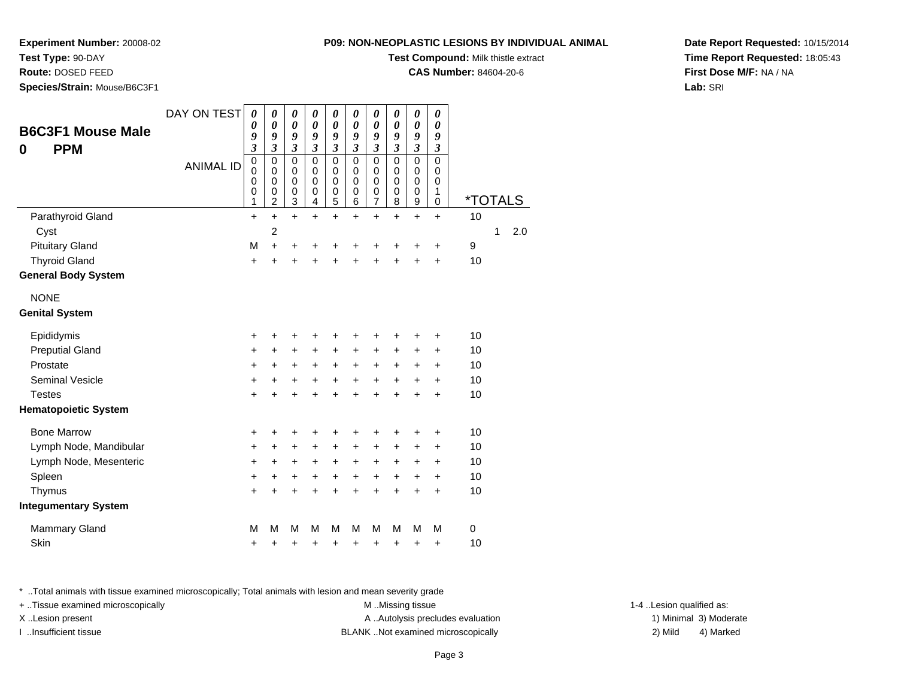### **Test Type:** 90-DAY

**Route:** DOSED FEED

**Species/Strain:** Mouse/B6C3F1

#### **P09: NON-NEOPLASTIC LESIONS BY INDIVIDUAL ANIMAL**

**Test Compound:** Milk thistle extract

**CAS Number:** 84604-20-6

**Date Report Requested:** 10/15/2014**Time Report Requested:** 18:05:43**First Dose M/F:** NA / NA**Lab:** SRI

| <b>B6C3F1 Mouse Male</b><br><b>PPM</b><br>0 | DAY ON TEST      | 0<br>0<br>9<br>$\overline{\mathbf{3}}$<br>0 | 0<br>$\boldsymbol{\theta}$<br>9<br>$\overline{\mathbf{3}}$<br>0 | $\boldsymbol{\theta}$<br>$\boldsymbol{\theta}$<br>9<br>$\overline{\mathbf{3}}$<br>$\mathbf 0$ | 0<br>$\boldsymbol{\theta}$<br>9<br>$\mathfrak{z}$<br>0 | $\boldsymbol{\theta}$<br>$\boldsymbol{\theta}$<br>9<br>$\mathfrak{z}$<br>$\pmb{0}$ | $\boldsymbol{\theta}$<br>$\boldsymbol{\theta}$<br>9<br>$\mathfrak{z}$<br>$\pmb{0}$ | $\boldsymbol{\theta}$<br>$\boldsymbol{\theta}$<br>9<br>$\overline{\mathbf{3}}$<br>$\mathbf 0$ | 0<br>$\boldsymbol{\theta}$<br>9<br>$\mathfrak{z}$<br>$\mathbf 0$ | 0<br>$\boldsymbol{\theta}$<br>9<br>$\overline{\mathbf{3}}$<br>$\mathbf 0$ | 0<br>0<br>9<br>$\boldsymbol{\mathfrak{z}}$<br>$\mathbf 0$ |                       |   |     |
|---------------------------------------------|------------------|---------------------------------------------|-----------------------------------------------------------------|-----------------------------------------------------------------------------------------------|--------------------------------------------------------|------------------------------------------------------------------------------------|------------------------------------------------------------------------------------|-----------------------------------------------------------------------------------------------|------------------------------------------------------------------|---------------------------------------------------------------------------|-----------------------------------------------------------|-----------------------|---|-----|
|                                             | <b>ANIMAL ID</b> | 0<br>0<br>0<br>1                            | $\mathbf 0$<br>0<br>0<br>$\overline{c}$                         | $\mathbf 0$<br>$\mathbf 0$<br>$\mathbf 0$<br>$\overline{3}$                                   | $\mathbf 0$<br>0<br>0<br>4                             | $\mathbf 0$<br>$\mathbf 0$<br>$\pmb{0}$<br>$\overline{5}$                          | 0<br>$\pmb{0}$<br>0<br>$\,6$                                                       | 0<br>$\mathbf 0$<br>$\boldsymbol{0}$<br>$\frac{5}{7}$                                         | 0<br>$\mathbf 0$<br>0<br>8                                       | $\pmb{0}$<br>$\pmb{0}$<br>$\mathbf 0$<br>$\overline{9}$                   | 0<br>0<br>1<br>$\mathbf 0$                                | <i><b>*TOTALS</b></i> |   |     |
| Parathyroid Gland                           |                  | $\ddot{}$                                   | $\ddot{}$                                                       | $\ddot{}$                                                                                     | $\ddot{}$                                              | $\ddot{}$                                                                          | $+$                                                                                | $\ddot{}$                                                                                     | $\ddot{}$                                                        | $+$                                                                       | $\ddot{}$                                                 | 10                    |   |     |
| Cyst                                        |                  |                                             | $\overline{c}$                                                  |                                                                                               |                                                        |                                                                                    |                                                                                    |                                                                                               |                                                                  |                                                                           |                                                           |                       | 1 | 2.0 |
| <b>Pituitary Gland</b>                      |                  | M                                           | $\ddot{}$                                                       | $\ddot{}$                                                                                     | +                                                      | +                                                                                  | +                                                                                  | $\ddot{}$                                                                                     | +                                                                | +                                                                         | +                                                         | 9                     |   |     |
| <b>Thyroid Gland</b>                        |                  | $\ddot{}$                                   | Ŧ.                                                              | $\ddot{}$                                                                                     | $\ddot{}$                                              | $\ddot{}$                                                                          |                                                                                    | $\ddot{}$                                                                                     |                                                                  | $\ddot{}$                                                                 | $\ddot{}$                                                 | 10                    |   |     |
| <b>General Body System</b>                  |                  |                                             |                                                                 |                                                                                               |                                                        |                                                                                    |                                                                                    |                                                                                               |                                                                  |                                                                           |                                                           |                       |   |     |
| <b>NONE</b>                                 |                  |                                             |                                                                 |                                                                                               |                                                        |                                                                                    |                                                                                    |                                                                                               |                                                                  |                                                                           |                                                           |                       |   |     |
| <b>Genital System</b>                       |                  |                                             |                                                                 |                                                                                               |                                                        |                                                                                    |                                                                                    |                                                                                               |                                                                  |                                                                           |                                                           |                       |   |     |
| Epididymis                                  |                  | +                                           | +                                                               | +                                                                                             | +                                                      | +                                                                                  | +                                                                                  | +                                                                                             | +                                                                | +                                                                         | +                                                         | 10                    |   |     |
| <b>Preputial Gland</b>                      |                  | +                                           | $\ddot{}$                                                       | $\ddot{}$                                                                                     | $\ddot{}$                                              | $\ddot{}$                                                                          | $\ddot{}$                                                                          | $\ddot{}$                                                                                     | +                                                                | +                                                                         | $\ddot{}$                                                 | 10                    |   |     |
| Prostate                                    |                  | $\ddot{}$                                   | +                                                               | $\ddot{}$                                                                                     | $\ddot{}$                                              | $\ddot{}$                                                                          | +                                                                                  | $\ddot{}$                                                                                     | +                                                                | +                                                                         | +                                                         | 10                    |   |     |
| <b>Seminal Vesicle</b>                      |                  | $\ddot{}$                                   | +                                                               | $\ddot{}$                                                                                     | $\ddot{}$                                              | $\ddot{}$                                                                          | $+$                                                                                | $\ddot{}$                                                                                     | $\ddot{}$                                                        | $\ddot{}$                                                                 | $\ddot{}$                                                 | 10                    |   |     |
| <b>Testes</b>                               |                  | +                                           | $\ddot{}$                                                       | $\ddot{}$                                                                                     | $\ddot{}$                                              | $\ddot{}$                                                                          | $\ddot{}$                                                                          | $\ddot{}$                                                                                     | $\ddot{}$                                                        | $\ddot{}$                                                                 | $\ddot{}$                                                 | 10                    |   |     |
| <b>Hematopoietic System</b>                 |                  |                                             |                                                                 |                                                                                               |                                                        |                                                                                    |                                                                                    |                                                                                               |                                                                  |                                                                           |                                                           |                       |   |     |
| <b>Bone Marrow</b>                          |                  | +                                           | +                                                               | +                                                                                             | +                                                      | +                                                                                  |                                                                                    | +                                                                                             |                                                                  | +                                                                         | +                                                         | 10                    |   |     |
| Lymph Node, Mandibular                      |                  | +                                           | +                                                               | +                                                                                             | +                                                      | +                                                                                  | +                                                                                  | +                                                                                             | +                                                                | +                                                                         | +                                                         | 10                    |   |     |
| Lymph Node, Mesenteric                      |                  | +                                           | +                                                               | +                                                                                             | +                                                      | +                                                                                  | +                                                                                  | +                                                                                             | +                                                                | +                                                                         | +                                                         | 10                    |   |     |
| Spleen                                      |                  | +                                           | $\ddot{}$                                                       | +                                                                                             | +                                                      | $\ddot{}$                                                                          | $\ddot{}$                                                                          | $\ddot{}$                                                                                     | $\ddot{}$                                                        | $\ddot{}$                                                                 | $\ddot{}$                                                 | 10                    |   |     |
| Thymus                                      |                  | $\ddot{}$                                   | +                                                               | +                                                                                             | +                                                      | $\ddot{}$                                                                          | $\ddot{}$                                                                          | $\ddot{}$                                                                                     | $\ddot{}$                                                        | $\ddot{}$                                                                 | $\ddot{}$                                                 | 10                    |   |     |
| <b>Integumentary System</b>                 |                  |                                             |                                                                 |                                                                                               |                                                        |                                                                                    |                                                                                    |                                                                                               |                                                                  |                                                                           |                                                           |                       |   |     |
| <b>Mammary Gland</b>                        |                  | M                                           | M                                                               | M                                                                                             | м                                                      | M                                                                                  | М                                                                                  | М                                                                                             | M                                                                | M                                                                         | M                                                         | $\pmb{0}$             |   |     |
| Skin                                        |                  | +                                           | +                                                               | +                                                                                             | +                                                      | +                                                                                  | +                                                                                  | +                                                                                             | +                                                                | +                                                                         | +                                                         | 10                    |   |     |

\* ..Total animals with tissue examined microscopically; Total animals with lesion and mean severity grade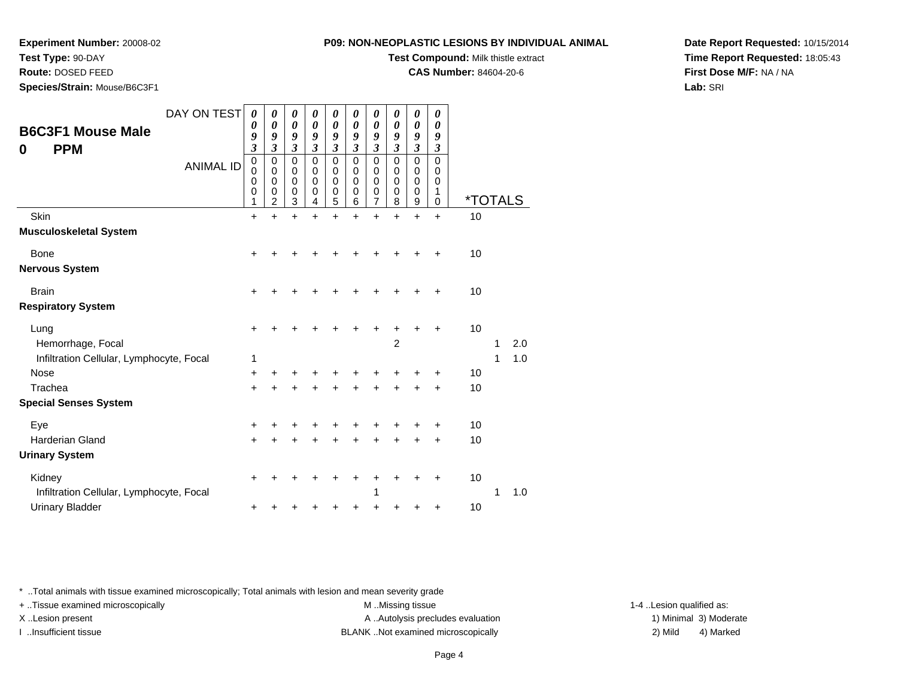#### **Test Type:** 90-DAY

**Route:** DOSED FEED

**Species/Strain:** Mouse/B6C3F1

#### **P09: NON-NEOPLASTIC LESIONS BY INDIVIDUAL ANIMAL**

**Test Compound:** Milk thistle extract

**CAS Number:** 84604-20-6

**Date Report Requested:** 10/15/2014**Time Report Requested:** 18:05:43**First Dose M/F:** NA / NA**Lab:** SRI

| <b>B6C3F1 Mouse Male</b>                 | DAY ON TEST      | $\boldsymbol{\theta}$<br>0<br>9                                       | $\boldsymbol{\theta}$<br>0<br>9                                                   | 0<br>0<br>9                                                 | 0<br>0<br>9                                                                  | 0<br>0<br>9                                                                  | 0<br>0<br>9                                                                     | 0<br>$\boldsymbol{\theta}$<br>9                             | 0<br>0<br>9                                       | 0<br>0<br>9                                                 | 0<br>$\boldsymbol{\theta}$<br>9                                       |                       |   |     |
|------------------------------------------|------------------|-----------------------------------------------------------------------|-----------------------------------------------------------------------------------|-------------------------------------------------------------|------------------------------------------------------------------------------|------------------------------------------------------------------------------|---------------------------------------------------------------------------------|-------------------------------------------------------------|---------------------------------------------------|-------------------------------------------------------------|-----------------------------------------------------------------------|-----------------------|---|-----|
| <b>PPM</b><br>0                          | <b>ANIMAL ID</b> | $\mathfrak{z}$<br>$\mathbf 0$<br>$\mathbf 0$<br>$\mathbf 0$<br>0<br>1 | $\overline{\mathbf{3}}$<br>0<br>$\mathbf 0$<br>$\mathbf 0$<br>0<br>$\overline{2}$ | $\mathfrak{z}$<br>$\mathbf 0$<br>0<br>$\mathbf 0$<br>0<br>3 | $\mathfrak{z}$<br>$\mathbf 0$<br>$\mathbf 0$<br>$\Omega$<br>$\mathbf 0$<br>4 | $\overline{\mathbf{3}}$<br>$\mathbf 0$<br>0<br>$\mathbf 0$<br>$\pmb{0}$<br>5 | $\mathfrak{z}$<br>$\mathbf 0$<br>$\mathbf 0$<br>$\mathbf 0$<br>$\mathbf 0$<br>6 | $\mathfrak{z}$<br>$\mathbf 0$<br>0<br>0<br>$\mathbf 0$<br>7 | $\mathfrak{z}$<br>$\mathbf 0$<br>0<br>0<br>0<br>8 | $\mathfrak{z}$<br>$\mathbf 0$<br>0<br>$\mathbf 0$<br>0<br>9 | $\mathfrak{z}$<br>$\mathbf 0$<br>0<br>$\mathbf 0$<br>1<br>$\mathbf 0$ | <i><b>*TOTALS</b></i> |   |     |
| Skin                                     |                  | $\ddot{}$                                                             | $\ddot{}$                                                                         | $\ddot{}$                                                   | $\ddot{}$                                                                    | $\ddot{}$                                                                    | $\ddot{}$                                                                       | $\ddot{}$                                                   | $\ddot{}$                                         | $\ddot{}$                                                   | $\ddot{}$                                                             | 10                    |   |     |
| <b>Musculoskeletal System</b>            |                  |                                                                       |                                                                                   |                                                             |                                                                              |                                                                              |                                                                                 |                                                             |                                                   |                                                             |                                                                       |                       |   |     |
| Bone                                     |                  | ٠                                                                     |                                                                                   |                                                             |                                                                              |                                                                              |                                                                                 |                                                             |                                                   |                                                             | ٠                                                                     | 10                    |   |     |
| <b>Nervous System</b>                    |                  |                                                                       |                                                                                   |                                                             |                                                                              |                                                                              |                                                                                 |                                                             |                                                   |                                                             |                                                                       |                       |   |     |
| <b>Brain</b>                             |                  | +                                                                     |                                                                                   |                                                             |                                                                              |                                                                              |                                                                                 |                                                             |                                                   |                                                             |                                                                       | 10                    |   |     |
| <b>Respiratory System</b>                |                  |                                                                       |                                                                                   |                                                             |                                                                              |                                                                              |                                                                                 |                                                             |                                                   |                                                             |                                                                       |                       |   |     |
| Lung                                     |                  | ٠                                                                     |                                                                                   |                                                             |                                                                              |                                                                              |                                                                                 |                                                             | +                                                 |                                                             |                                                                       | 10                    |   |     |
| Hemorrhage, Focal                        |                  |                                                                       |                                                                                   |                                                             |                                                                              |                                                                              |                                                                                 |                                                             | $\overline{c}$                                    |                                                             |                                                                       |                       | 1 | 2.0 |
| Infiltration Cellular, Lymphocyte, Focal |                  | 1                                                                     |                                                                                   |                                                             |                                                                              |                                                                              |                                                                                 |                                                             |                                                   |                                                             |                                                                       |                       | 1 | 1.0 |
| <b>Nose</b>                              |                  | $\ddot{}$                                                             |                                                                                   |                                                             |                                                                              |                                                                              |                                                                                 |                                                             |                                                   |                                                             | +                                                                     | 10                    |   |     |
| Trachea                                  |                  | $\ddot{}$                                                             |                                                                                   |                                                             |                                                                              |                                                                              |                                                                                 |                                                             |                                                   |                                                             | +                                                                     | 10                    |   |     |
| <b>Special Senses System</b>             |                  |                                                                       |                                                                                   |                                                             |                                                                              |                                                                              |                                                                                 |                                                             |                                                   |                                                             |                                                                       |                       |   |     |
| Eye                                      |                  | +                                                                     |                                                                                   |                                                             |                                                                              | +                                                                            | ٠                                                                               | +                                                           | +                                                 |                                                             | +                                                                     | 10                    |   |     |
| <b>Harderian Gland</b>                   |                  | $\ddot{}$                                                             |                                                                                   |                                                             |                                                                              | +                                                                            |                                                                                 |                                                             |                                                   |                                                             | $\ddot{}$                                                             | 10                    |   |     |
| <b>Urinary System</b>                    |                  |                                                                       |                                                                                   |                                                             |                                                                              |                                                                              |                                                                                 |                                                             |                                                   |                                                             |                                                                       |                       |   |     |
| Kidney                                   |                  | +                                                                     |                                                                                   |                                                             |                                                                              |                                                                              |                                                                                 |                                                             |                                                   |                                                             | +                                                                     | 10                    |   |     |
| Infiltration Cellular, Lymphocyte, Focal |                  |                                                                       |                                                                                   |                                                             |                                                                              |                                                                              |                                                                                 | 1                                                           |                                                   |                                                             |                                                                       |                       | 1 | 1.0 |
| <b>Urinary Bladder</b>                   |                  |                                                                       |                                                                                   |                                                             |                                                                              |                                                                              |                                                                                 |                                                             |                                                   |                                                             | +                                                                     | 10                    |   |     |

\* ..Total animals with tissue examined microscopically; Total animals with lesion and mean severity grade

+ ..Tissue examined microscopically examined microscopically examined as:  $M$  ..Missing tissue 1-4 ..Lesion qualified as: X..Lesion present **A ..Autolysis precludes evaluation** A ..Autolysis precludes evaluation 1) Minimal 3) Moderate

I ..Insufficient tissue BLANK ..Not examined microscopically 2) Mild 4) Marked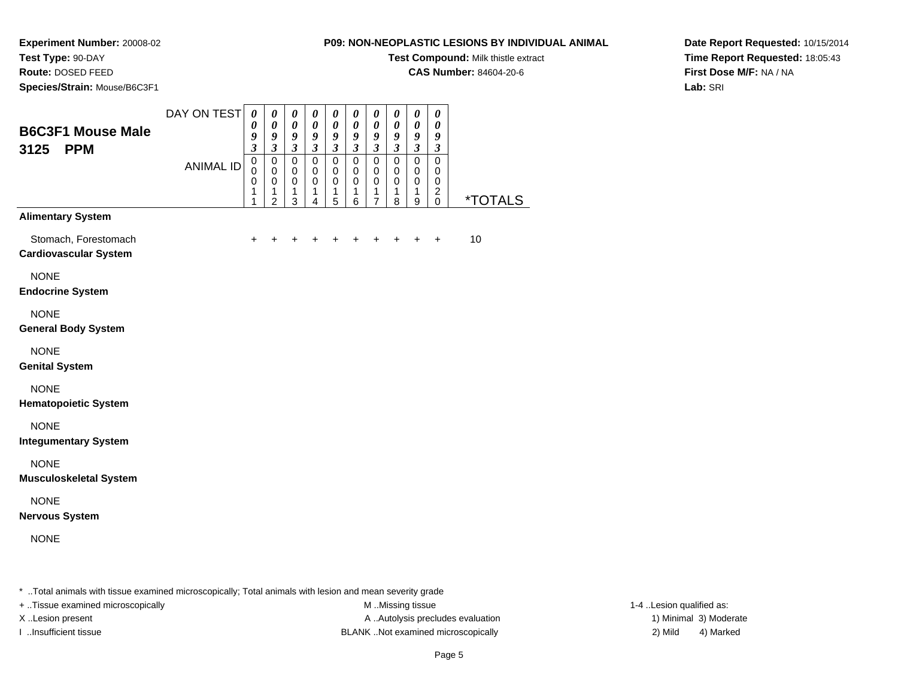**Experiment Number:** 20008-02**Test Type:** 90-DAY

## **Route:** DOSED FEED

**Species/Strain:** Mouse/B6C3F1

#### **P09: NON-NEOPLASTIC LESIONS BY INDIVIDUAL ANIMAL**

**Test Compound:** Milk thistle extract

**CAS Number:** 84604-20-6

**Date Report Requested:** 10/15/2014**Time Report Requested:** 18:05:43**First Dose M/F:** NA / NA**Lab:** SRI

| <b>B6C3F1 Mouse Male</b><br><b>PPM</b><br>3125       | DAY ON TEST      | $\boldsymbol{\theta}$<br>0<br>9<br>$\boldsymbol{\beta}$ | $\pmb{\theta}$<br>$\pmb{\theta}$<br>9<br>$\boldsymbol{\mathfrak{z}}$       | $\boldsymbol{\theta}$<br>$\pmb{\theta}$<br>$\boldsymbol{g}$<br>$\boldsymbol{\beta}$ | $\boldsymbol{\theta}$<br>$\boldsymbol{\theta}$<br>$\boldsymbol{g}$<br>$\boldsymbol{\beta}$ | $\boldsymbol{\theta}$<br>$\pmb{\theta}$<br>$\boldsymbol{g}$<br>$\boldsymbol{\beta}$ | $\boldsymbol{\theta}$<br>$\pmb{\theta}$<br>$\boldsymbol{g}$<br>$\mathfrak{z}$ | 0<br>$\pmb{\theta}$<br>9<br>$\mathfrak{z}$                 | $\pmb{\theta}$<br>$\pmb{\theta}$<br>9<br>$\boldsymbol{\beta}$ | $\boldsymbol{\theta}$<br>$\pmb{\theta}$<br>$\boldsymbol{g}$<br>$\boldsymbol{\beta}$ | $\boldsymbol{\theta}$<br>$\boldsymbol{\theta}$<br>$\boldsymbol{g}$<br>$\boldsymbol{\beta}$ |                       |
|------------------------------------------------------|------------------|---------------------------------------------------------|----------------------------------------------------------------------------|-------------------------------------------------------------------------------------|--------------------------------------------------------------------------------------------|-------------------------------------------------------------------------------------|-------------------------------------------------------------------------------|------------------------------------------------------------|---------------------------------------------------------------|-------------------------------------------------------------------------------------|--------------------------------------------------------------------------------------------|-----------------------|
|                                                      | <b>ANIMAL ID</b> | $\pmb{0}$<br>$\mathbf 0$<br>0<br>1<br>1                 | $\mathsf 0$<br>$\mathbf 0$<br>$\mbox{O}$<br>$\mathbf{1}$<br>$\overline{2}$ | $\mathsf 0$<br>$\mathbf 0$<br>$\pmb{0}$<br>1<br>3                                   | $\overline{0}$<br>$\pmb{0}$<br>$\pmb{0}$<br>1<br>4                                         | $\overline{0}$<br>$\pmb{0}$<br>$\mathbf 0$<br>$\mathbf{1}$<br>5                     | $\pmb{0}$<br>$\,0\,$<br>$\mathbf 0$<br>$\mathbf{1}$<br>6                      | $\pmb{0}$<br>$\pmb{0}$<br>$\pmb{0}$<br>1<br>$\overline{7}$ | $\mathsf 0$<br>$\mathbf 0$<br>$\pmb{0}$<br>1<br>8             | $\overline{0}$<br>$\,0\,$<br>$\mathbf 0$<br>1<br>9                                  | $\mathsf{O}\xspace$<br>0<br>$\mathbf 0$<br>$\overline{2}$<br>$\mathbf 0$                   | <i><b>*TOTALS</b></i> |
| <b>Alimentary System</b>                             |                  |                                                         |                                                                            |                                                                                     |                                                                                            |                                                                                     |                                                                               |                                                            |                                                               |                                                                                     |                                                                                            |                       |
| Stomach, Forestomach<br><b>Cardiovascular System</b> |                  | +                                                       |                                                                            |                                                                                     |                                                                                            | +                                                                                   |                                                                               | +                                                          |                                                               |                                                                                     | $\ddot{}$                                                                                  | 10                    |
| <b>NONE</b><br><b>Endocrine System</b>               |                  |                                                         |                                                                            |                                                                                     |                                                                                            |                                                                                     |                                                                               |                                                            |                                                               |                                                                                     |                                                                                            |                       |
| <b>NONE</b><br><b>General Body System</b>            |                  |                                                         |                                                                            |                                                                                     |                                                                                            |                                                                                     |                                                                               |                                                            |                                                               |                                                                                     |                                                                                            |                       |
| <b>NONE</b><br><b>Genital System</b>                 |                  |                                                         |                                                                            |                                                                                     |                                                                                            |                                                                                     |                                                                               |                                                            |                                                               |                                                                                     |                                                                                            |                       |
| <b>NONE</b><br><b>Hematopoietic System</b>           |                  |                                                         |                                                                            |                                                                                     |                                                                                            |                                                                                     |                                                                               |                                                            |                                                               |                                                                                     |                                                                                            |                       |
| <b>NONE</b><br><b>Integumentary System</b>           |                  |                                                         |                                                                            |                                                                                     |                                                                                            |                                                                                     |                                                                               |                                                            |                                                               |                                                                                     |                                                                                            |                       |
| <b>NONE</b><br><b>Musculoskeletal System</b>         |                  |                                                         |                                                                            |                                                                                     |                                                                                            |                                                                                     |                                                                               |                                                            |                                                               |                                                                                     |                                                                                            |                       |
| <b>NONE</b><br><b>Nervous System</b>                 |                  |                                                         |                                                                            |                                                                                     |                                                                                            |                                                                                     |                                                                               |                                                            |                                                               |                                                                                     |                                                                                            |                       |
| <b>NONE</b>                                          |                  |                                                         |                                                                            |                                                                                     |                                                                                            |                                                                                     |                                                                               |                                                            |                                                               |                                                                                     |                                                                                            |                       |
|                                                      |                  |                                                         |                                                                            |                                                                                     |                                                                                            |                                                                                     |                                                                               |                                                            |                                                               |                                                                                     |                                                                                            |                       |

\* ..Total animals with tissue examined microscopically; Total animals with lesion and mean severity grade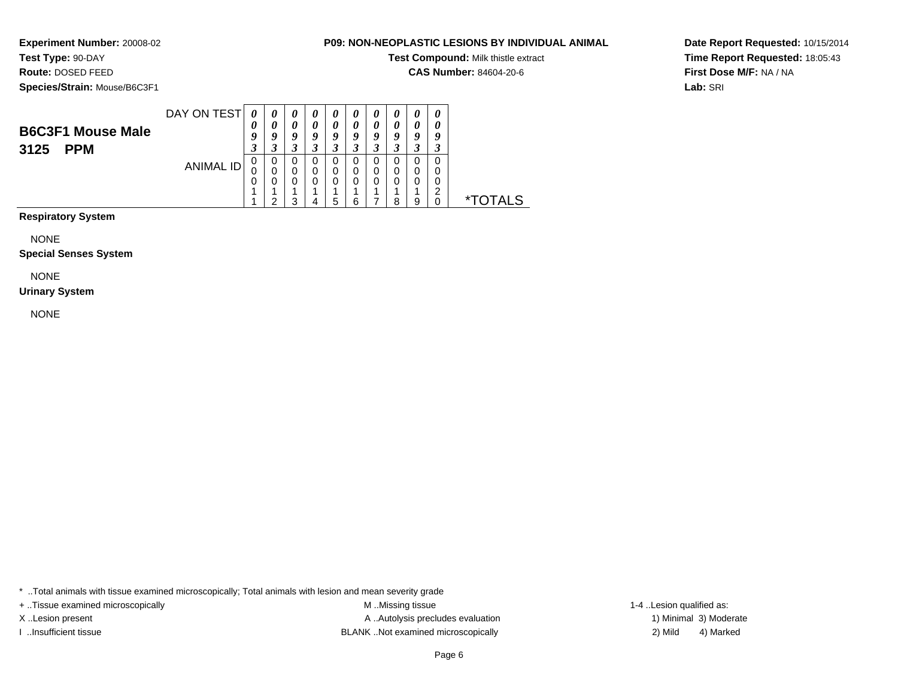## **Test Type:** 90-DAY

**Route:** DOSED FEED

**Species/Strain:** Mouse/B6C3F1

#### **P09: NON-NEOPLASTIC LESIONS BY INDIVIDUAL ANIMAL**

**Test Compound:** Milk thistle extract

**CAS Number:** 84604-20-6

**Date Report Requested:** 10/15/2014**Time Report Requested:** 18:05:43**First Dose M/F:** NA / NA**Lab:** SRI

|                                                | DAY ON TEST | 0                                     |        | $\boldsymbol{\theta}$ | U | U                          | U                          | U                          | $\boldsymbol{\theta}$ | $\boldsymbol{\theta}$ | 0 |       |
|------------------------------------------------|-------------|---------------------------------------|--------|-----------------------|---|----------------------------|----------------------------|----------------------------|-----------------------|-----------------------|---|-------|
| <b>B6C3F1 Mouse Male</b><br><b>PPM</b><br>3125 |             | $\boldsymbol{\theta}$<br>Q<br>◠<br>.1 |        | 0<br>o<br>◠           | 0 | $\boldsymbol{\theta}$<br>O | $\boldsymbol{\theta}$<br>o | $\boldsymbol{\theta}$<br>q | 0<br>Q                | 0<br>Q                | 0 |       |
|                                                | ANIMAL ID   | U<br>U                                | O<br>U | U<br>0                |   |                            |                            | U<br>0<br>0                | 0<br>0                | 0<br>0<br>0           | ◠ | ∗−    |
|                                                |             |                                       | ົ      | ◠                     |   | 5                          | ĥ                          |                            | я                     | 9                     |   | OTALS |

**Respiratory System**

NONE

**Special Senses System**

NONE

#### **Urinary System**

NONE

\* ..Total animals with tissue examined microscopically; Total animals with lesion and mean severity grade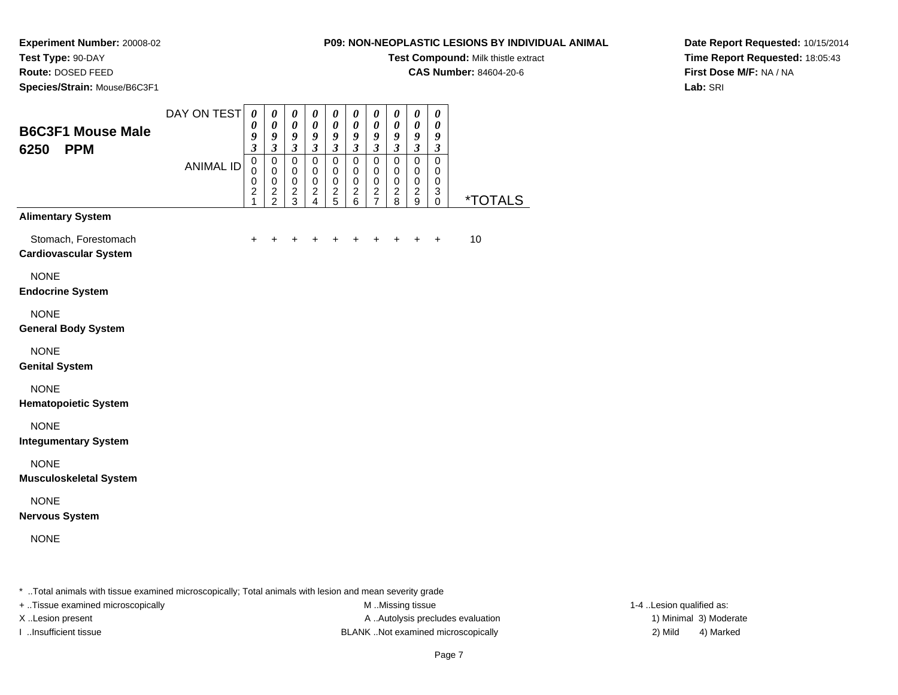**Experiment Number:** 20008-02**Test Type:** 90-DAY

### **Route:** DOSED FEED

**Species/Strain:** Mouse/B6C3F1

#### **P09: NON-NEOPLASTIC LESIONS BY INDIVIDUAL ANIMAL**

**Test Compound:** Milk thistle extract

**CAS Number:** 84604-20-6

**Date Report Requested:** 10/15/2014**Time Report Requested:** 18:05:43**First Dose M/F:** NA / NA**Lab:** SRI

| <b>B6C3F1 Mouse Male</b><br><b>PPM</b><br>6250       | DAY ON TEST      | 0<br>$\pmb{\theta}$<br>9<br>$\overline{\mathbf{3}}$      | $\boldsymbol{\theta}$<br>$\pmb{\theta}$<br>$\boldsymbol{g}$<br>$\mathfrak{z}$ | $\boldsymbol{\theta}$<br>$\pmb{\theta}$<br>$\boldsymbol{g}$<br>$\overline{\mathbf{3}}$ | $\boldsymbol{\theta}$<br>$\pmb{\theta}$<br>$\boldsymbol{g}$<br>$\mathfrak{z}$ | 0<br>$\pmb{\theta}$<br>$\boldsymbol{g}$<br>$\mathfrak{z}$ | $\pmb{\theta}$<br>$\pmb{\theta}$<br>$\boldsymbol{g}$<br>$\mathfrak{z}$ | $\pmb{\theta}$<br>$\pmb{\theta}$<br>$\boldsymbol{g}$<br>$\mathbf{3}$ | $\boldsymbol{\theta}$<br>$\pmb{\theta}$<br>9<br>$\overline{\mathbf{3}}$ | 0<br>$\pmb{\theta}$<br>9<br>$\overline{\mathbf{3}}$ | $\boldsymbol{\theta}$<br>$\pmb{\theta}$<br>$\boldsymbol{g}$<br>$\boldsymbol{\mathfrak{z}}$ |                       |
|------------------------------------------------------|------------------|----------------------------------------------------------|-------------------------------------------------------------------------------|----------------------------------------------------------------------------------------|-------------------------------------------------------------------------------|-----------------------------------------------------------|------------------------------------------------------------------------|----------------------------------------------------------------------|-------------------------------------------------------------------------|-----------------------------------------------------|--------------------------------------------------------------------------------------------|-----------------------|
|                                                      | <b>ANIMAL ID</b> | $\mathbf 0$<br>$\pmb{0}$<br>$\mathbf 0$<br>$\frac{2}{1}$ | $\pmb{0}$<br>$\mathbf 0$<br>$\pmb{0}$<br>$\frac{2}{2}$                        | $\overline{0}$<br>$\pmb{0}$<br>$\pmb{0}$<br>$\frac{2}{3}$                              | $\pmb{0}$<br>0<br>$\mathbf 0$<br>$\frac{2}{4}$                                | $\mathsf 0$<br>$\pmb{0}$<br>$\mathbf 0$<br>$\frac{2}{5}$  | $\pmb{0}$<br>$\pmb{0}$<br>$\pmb{0}$<br>$^2$ 6                          | $\mathbf 0$<br>0<br>$\mathbf 0$<br>$\frac{2}{7}$                     | $\pmb{0}$<br>0<br>$\pmb{0}$<br>$\frac{2}{8}$                            | 0<br>0<br>$\mathsf 0$<br>$\frac{2}{9}$              | $\pmb{0}$<br>0<br>$\pmb{0}$<br>3<br>$\pmb{0}$                                              | <i><b>*TOTALS</b></i> |
| <b>Alimentary System</b>                             |                  |                                                          |                                                                               |                                                                                        |                                                                               |                                                           |                                                                        |                                                                      |                                                                         |                                                     |                                                                                            |                       |
| Stomach, Forestomach<br><b>Cardiovascular System</b> |                  | $\ddot{}$                                                |                                                                               |                                                                                        | +                                                                             | +                                                         | +                                                                      |                                                                      | +                                                                       | $\ddot{}$                                           | $\ddot{}$                                                                                  | 10                    |
| <b>NONE</b><br><b>Endocrine System</b>               |                  |                                                          |                                                                               |                                                                                        |                                                                               |                                                           |                                                                        |                                                                      |                                                                         |                                                     |                                                                                            |                       |
| <b>NONE</b><br><b>General Body System</b>            |                  |                                                          |                                                                               |                                                                                        |                                                                               |                                                           |                                                                        |                                                                      |                                                                         |                                                     |                                                                                            |                       |
| <b>NONE</b><br><b>Genital System</b>                 |                  |                                                          |                                                                               |                                                                                        |                                                                               |                                                           |                                                                        |                                                                      |                                                                         |                                                     |                                                                                            |                       |
| <b>NONE</b><br><b>Hematopoietic System</b>           |                  |                                                          |                                                                               |                                                                                        |                                                                               |                                                           |                                                                        |                                                                      |                                                                         |                                                     |                                                                                            |                       |
| <b>NONE</b><br><b>Integumentary System</b>           |                  |                                                          |                                                                               |                                                                                        |                                                                               |                                                           |                                                                        |                                                                      |                                                                         |                                                     |                                                                                            |                       |
| <b>NONE</b><br><b>Musculoskeletal System</b>         |                  |                                                          |                                                                               |                                                                                        |                                                                               |                                                           |                                                                        |                                                                      |                                                                         |                                                     |                                                                                            |                       |
| <b>NONE</b><br><b>Nervous System</b>                 |                  |                                                          |                                                                               |                                                                                        |                                                                               |                                                           |                                                                        |                                                                      |                                                                         |                                                     |                                                                                            |                       |
| <b>NONE</b>                                          |                  |                                                          |                                                                               |                                                                                        |                                                                               |                                                           |                                                                        |                                                                      |                                                                         |                                                     |                                                                                            |                       |
|                                                      |                  |                                                          |                                                                               |                                                                                        |                                                                               |                                                           |                                                                        |                                                                      |                                                                         |                                                     |                                                                                            |                       |

\* ..Total animals with tissue examined microscopically; Total animals with lesion and mean severity grade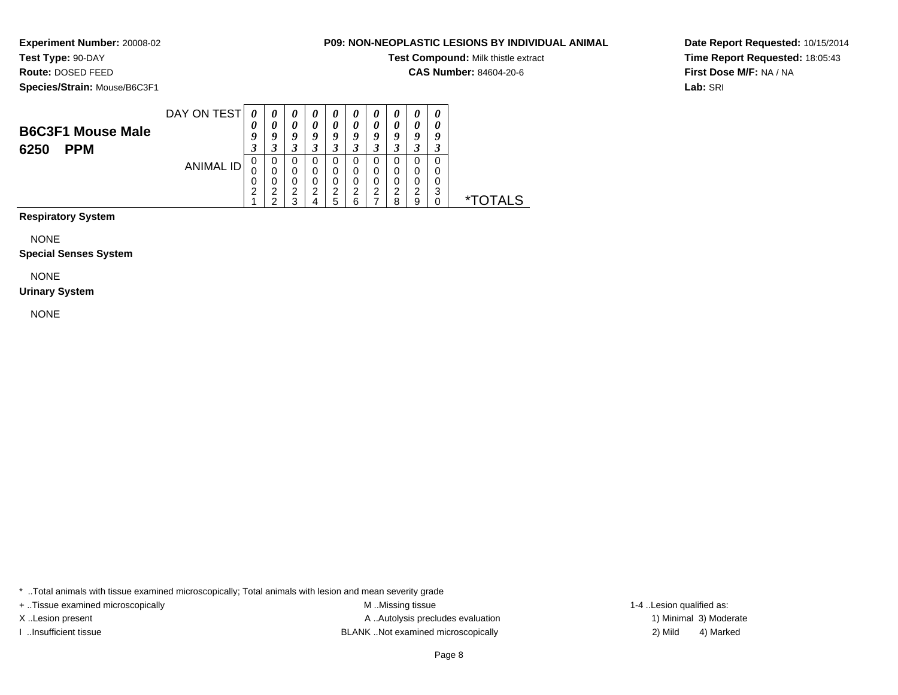## **Test Type:** 90-DAY

**Route:** DOSED FEED

**Species/Strain:** Mouse/B6C3F1

#### **P09: NON-NEOPLASTIC LESIONS BY INDIVIDUAL ANIMAL**

**Test Compound:** Milk thistle extract

**CAS Number:** 84604-20-6

**Date Report Requested:** 10/15/2014**Time Report Requested:** 18:05:43**First Dose M/F:** NA / NA**Lab:** SRI

| <b>B6C3F1 Mouse Male</b> | DAY ON TEST | U<br>O | O | $\boldsymbol{\theta}$<br>Q | U | $\boldsymbol{\theta}$<br>0<br>o<br>◠ |   | $\boldsymbol{v}$<br>$\boldsymbol{\theta}$<br>o | $\boldsymbol{\theta}$<br>$\boldsymbol{\theta}$ | $\boldsymbol{\theta}$<br>0<br>a | $\boldsymbol{\theta}$<br>a |      |
|--------------------------|-------------|--------|---|----------------------------|---|--------------------------------------|---|------------------------------------------------|------------------------------------------------|---------------------------------|----------------------------|------|
| <b>PPM</b><br>6250       |             | Ĵ      |   | J                          |   | J                                    |   | J                                              |                                                | з                               | .1                         |      |
|                          | ANIMAL ID   | 0      | υ | υ                          |   | 0                                    |   |                                                |                                                |                                 | 0                          |      |
|                          |             | U      |   | 0                          |   | 0                                    |   |                                                |                                                | 0                               |                            |      |
|                          |             | 0      |   | 0                          |   | 0                                    |   |                                                |                                                | 0                               | 0                          |      |
|                          |             | າ<br>∠ | ◠ | っ<br>ے                     | ົ | 2                                    |   | ົ<br>∠                                         | ⌒                                              | 2                               | ?<br>J                     | *.   |
|                          |             |        | ◠ | ◠                          |   | 5                                    | R |                                                | я                                              | Q                               |                            | ALS. |

**Respiratory System**

NONE

#### **Special Senses System**

NONE

#### **Urinary System**

NONE

\* ..Total animals with tissue examined microscopically; Total animals with lesion and mean severity grade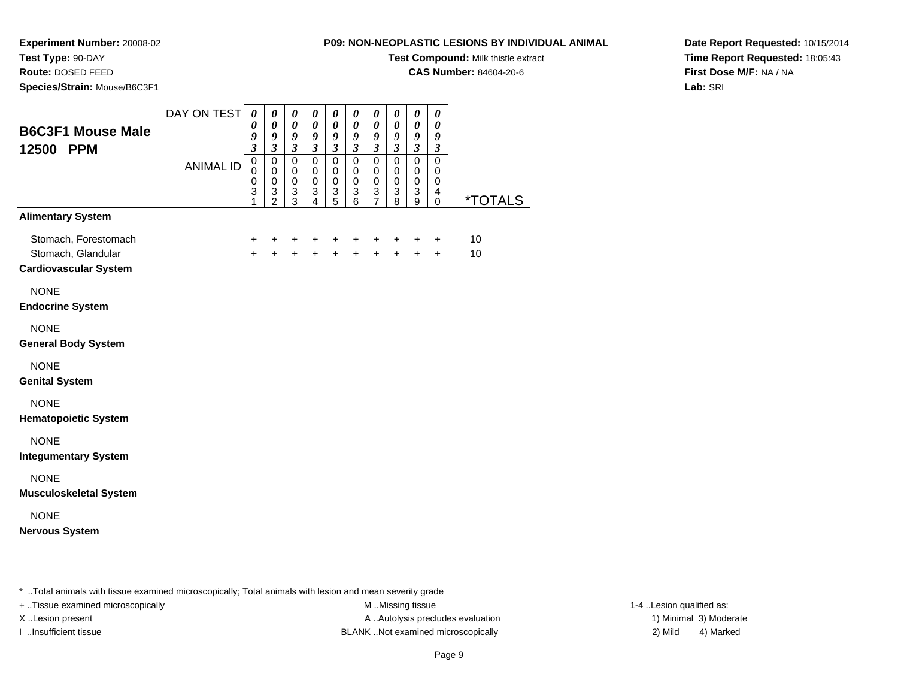# **Test Type:** 90-DAY

**Route:** DOSED FEED

**Species/Strain:** Mouse/B6C3F1

#### **P09: NON-NEOPLASTIC LESIONS BY INDIVIDUAL ANIMAL**

**Test Compound:** Milk thistle extract

**CAS Number:** 84604-20-6

**Date Report Requested:** 10/15/2014**Time Report Requested:** 18:05:43**First Dose M/F:** NA / NA**Lab:** SRI

| <b>B6C3F1 Mouse Male</b><br>12500 PPM                                      | DAY ON TEST      | 0<br>$\boldsymbol{\theta}$<br>9<br>$\mathfrak{z}$   | $\boldsymbol{\theta}$<br>$\boldsymbol{\theta}$<br>9<br>$\overline{\mathbf{3}}$ | 0<br>$\boldsymbol{\theta}$<br>9<br>$\mathfrak{z}$        | 0<br>$\boldsymbol{\theta}$<br>$\boldsymbol{g}$<br>$\mathfrak{z}$ | 0<br>$\boldsymbol{\theta}$<br>$\boldsymbol{g}$<br>$\mathfrak{z}$ | 0<br>$\boldsymbol{\theta}$<br>$\boldsymbol{g}$<br>$\mathfrak{z}$                         | 0<br>$\boldsymbol{\theta}$<br>$\boldsymbol{g}$<br>$\mathfrak{z}$ | $\boldsymbol{\theta}$<br>$\boldsymbol{\theta}$<br>$\boldsymbol{g}$<br>$\boldsymbol{\beta}$ | 0<br>0<br>$\boldsymbol{g}$<br>$\mathfrak{z}$           | 0<br>$\pmb{\theta}$<br>9<br>$\boldsymbol{\mathfrak{z}}$ |                       |
|----------------------------------------------------------------------------|------------------|-----------------------------------------------------|--------------------------------------------------------------------------------|----------------------------------------------------------|------------------------------------------------------------------|------------------------------------------------------------------|------------------------------------------------------------------------------------------|------------------------------------------------------------------|--------------------------------------------------------------------------------------------|--------------------------------------------------------|---------------------------------------------------------|-----------------------|
|                                                                            | <b>ANIMAL ID</b> | $\mathbf 0$<br>$\mathbf 0$<br>$\mathbf 0$<br>3<br>1 | $\pmb{0}$<br>$\mathbf 0$<br>$\mathbf 0$<br>$\frac{3}{2}$                       | $\mathbf 0$<br>$\pmb{0}$<br>$\mathbf 0$<br>$\frac{3}{3}$ | $\mathsf 0$<br>$\mathbf 0$<br>$\mathbf 0$<br>$\frac{3}{4}$       | $\mathbf 0$<br>$\mathbf 0$<br>$\pmb{0}$<br>$\frac{3}{5}$         | $\mathsf 0$<br>$\mathbf 0$<br>$\mathbf 0$<br>$\ensuremath{\mathsf{3}}$<br>$6\phantom{a}$ | $\mathbf 0$<br>$\mathbf 0$<br>$\pmb{0}$<br>$\frac{3}{7}$         | $\mathsf 0$<br>$\pmb{0}$<br>$\mathsf 0$<br>$\frac{3}{8}$                                   | $\pmb{0}$<br>$\pmb{0}$<br>$\mathsf 0$<br>$\frac{3}{9}$ | $\mathbf 0$<br>0<br>0<br>4<br>$\mathbf 0$               | <i><b>*TOTALS</b></i> |
| <b>Alimentary System</b>                                                   |                  |                                                     |                                                                                |                                                          |                                                                  |                                                                  |                                                                                          |                                                                  |                                                                                            |                                                        |                                                         |                       |
| Stomach, Forestomach<br>Stomach, Glandular<br><b>Cardiovascular System</b> |                  | $\ddot{}$<br>$+$                                    | +<br>$\ddot{+}$                                                                | $\ddot{}$<br>$\ddot{+}$                                  | +<br>$\ddot{+}$                                                  | +<br>$\ddot{+}$                                                  | $\ddot{}$<br>$+$                                                                         | +<br>$\ddot{}$                                                   | $\ddot{}$<br>$+$                                                                           | $\ddot{}$<br>$+$                                       | $\ddot{}$<br>$+$                                        | 10<br>10              |
| <b>NONE</b><br><b>Endocrine System</b>                                     |                  |                                                     |                                                                                |                                                          |                                                                  |                                                                  |                                                                                          |                                                                  |                                                                                            |                                                        |                                                         |                       |
| <b>NONE</b><br><b>General Body System</b>                                  |                  |                                                     |                                                                                |                                                          |                                                                  |                                                                  |                                                                                          |                                                                  |                                                                                            |                                                        |                                                         |                       |
| <b>NONE</b><br><b>Genital System</b>                                       |                  |                                                     |                                                                                |                                                          |                                                                  |                                                                  |                                                                                          |                                                                  |                                                                                            |                                                        |                                                         |                       |
| <b>NONE</b><br><b>Hematopoietic System</b>                                 |                  |                                                     |                                                                                |                                                          |                                                                  |                                                                  |                                                                                          |                                                                  |                                                                                            |                                                        |                                                         |                       |
| <b>NONE</b><br><b>Integumentary System</b>                                 |                  |                                                     |                                                                                |                                                          |                                                                  |                                                                  |                                                                                          |                                                                  |                                                                                            |                                                        |                                                         |                       |
| <b>NONE</b><br><b>Musculoskeletal System</b>                               |                  |                                                     |                                                                                |                                                          |                                                                  |                                                                  |                                                                                          |                                                                  |                                                                                            |                                                        |                                                         |                       |
| <b>NONE</b><br><b>Nervous System</b>                                       |                  |                                                     |                                                                                |                                                          |                                                                  |                                                                  |                                                                                          |                                                                  |                                                                                            |                                                        |                                                         |                       |
|                                                                            |                  |                                                     |                                                                                |                                                          |                                                                  |                                                                  |                                                                                          |                                                                  |                                                                                            |                                                        |                                                         |                       |

\* ..Total animals with tissue examined microscopically; Total animals with lesion and mean severity grade

+ ..Tissue examined microscopically examined microscopically examined as:  $M$  ..Missing tissue 1-4 ..Lesion qualified as:

X..Lesion present **A ..Autolysis precludes evaluation** A ..Autolysis precludes evaluation 1) Minimal 3) Moderate I ..Insufficient tissue BLANK ..Not examined microscopically 2) Mild 4) Marked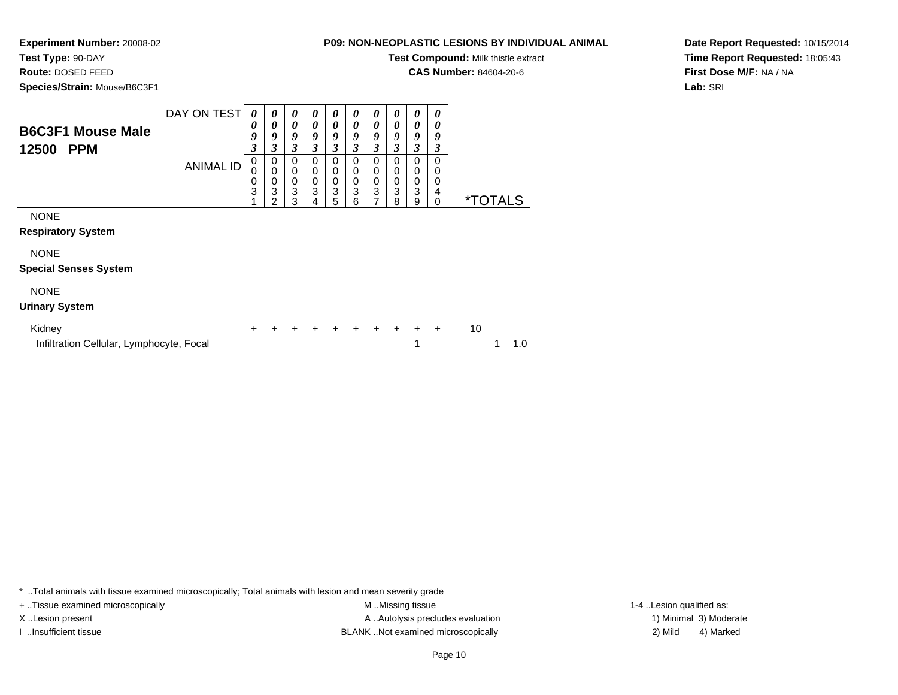## **Test Type:** 90-DAY

**Route:** DOSED FEED

**Species/Strain:** Mouse/B6C3F1

### **P09: NON-NEOPLASTIC LESIONS BY INDIVIDUAL ANIMAL**

**Test Compound:** Milk thistle extract

**CAS Number:** 84604-20-6

**Date Report Requested:** 10/15/2014**Time Report Requested:** 18:05:43**First Dose M/F:** NA / NA**Lab:** SRI

| <b>B6C3F1 Mouse Male</b><br>12500<br><b>PPM</b> | DAY ON TEST<br><b>ANIMAL ID</b> | $\boldsymbol{\theta}$<br>0<br>9<br>3<br>0<br>0<br>0<br>3 | 0<br>0<br>9<br>3<br>0<br>$\mathbf 0$<br>0<br>3 | $\boldsymbol{\theta}$<br>$\boldsymbol{\theta}$<br>9<br>3<br>0<br>$\mathbf 0$<br>$\mathbf 0$<br>3 | 0<br>0<br>9<br>3<br>0<br>0<br>0<br>3 | 0<br>$\boldsymbol{\theta}$<br>9<br>3<br>0<br>0<br>$\mathbf 0$<br>3 | 0<br>0<br>9<br>3<br>0<br>0<br>0<br>3 | $\boldsymbol{\theta}$<br>$\boldsymbol{\theta}$<br>9<br>3<br>$\mathbf 0$<br>$\mathbf 0$<br>$\mathbf 0$<br>3 | 0<br>0<br>9<br>3<br>0<br>0<br>0<br>3 | $\boldsymbol{\theta}$<br>$\boldsymbol{\theta}$<br>9<br>$\mathfrak{z}$<br>$\mathbf 0$<br>$\mathbf 0$<br>$\mathbf 0$<br>3 | 0<br>0<br>9<br>3<br>$\Omega$<br>0<br>0<br>4 |                       |
|-------------------------------------------------|---------------------------------|----------------------------------------------------------|------------------------------------------------|--------------------------------------------------------------------------------------------------|--------------------------------------|--------------------------------------------------------------------|--------------------------------------|------------------------------------------------------------------------------------------------------------|--------------------------------------|-------------------------------------------------------------------------------------------------------------------------|---------------------------------------------|-----------------------|
| <b>NONE</b>                                     |                                 |                                                          | 2                                              | 3                                                                                                | 4                                    | 5                                                                  | 6                                    | 7                                                                                                          | 8                                    | 9                                                                                                                       | 0                                           | <i><b>*TOTALS</b></i> |
| <b>Respiratory System</b>                       |                                 |                                                          |                                                |                                                                                                  |                                      |                                                                    |                                      |                                                                                                            |                                      |                                                                                                                         |                                             |                       |
| <b>NONE</b><br><b>Special Senses System</b>     |                                 |                                                          |                                                |                                                                                                  |                                      |                                                                    |                                      |                                                                                                            |                                      |                                                                                                                         |                                             |                       |
| <b>NONE</b><br><b>Urinary System</b>            |                                 |                                                          |                                                |                                                                                                  |                                      |                                                                    |                                      |                                                                                                            |                                      |                                                                                                                         |                                             |                       |
|                                                 |                                 |                                                          |                                                |                                                                                                  |                                      |                                                                    |                                      |                                                                                                            |                                      |                                                                                                                         |                                             |                       |

| Kidney                                   |  |  |  |  | + + + + + + + + + + |  |               |
|------------------------------------------|--|--|--|--|---------------------|--|---------------|
| Infiltration Cellular, Lymphocyte, Focal |  |  |  |  |                     |  | $1 \quad 1.0$ |

\* ..Total animals with tissue examined microscopically; Total animals with lesion and mean severity grade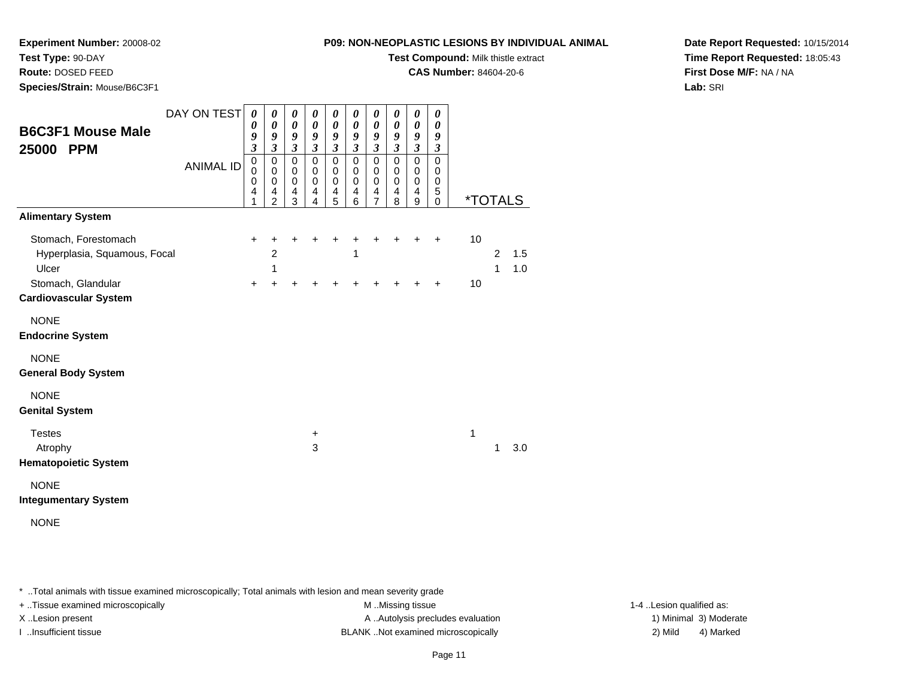### **Test Type:** 90-DAY

**Route:** DOSED FEED

**Species/Strain:** Mouse/B6C3F1

#### **P09: NON-NEOPLASTIC LESIONS BY INDIVIDUAL ANIMAL**

**Test Compound:** Milk thistle extract

**CAS Number:** 84604-20-6

**Date Report Requested:** 10/15/2014**Time Report Requested:** 18:05:43**First Dose M/F:** NA / NA**Lab:** SRI

| DAY ON TEST                  | 0                       | 0                          | 0                           | 0                          | 0                           | 0                           | 0                          | $\boldsymbol{\theta}$      | $\boldsymbol{\theta}$                     | 0                           |                       |   |     |
|------------------------------|-------------------------|----------------------------|-----------------------------|----------------------------|-----------------------------|-----------------------------|----------------------------|----------------------------|-------------------------------------------|-----------------------------|-----------------------|---|-----|
| <b>B6C3F1 Mouse Male</b>     | 0<br>9                  | $\boldsymbol{\theta}$<br>9 | $\boldsymbol{\theta}$<br>9  | $\boldsymbol{\theta}$<br>9 | $\boldsymbol{\theta}$<br>9  | $\pmb{\theta}$<br>9         | $\boldsymbol{\theta}$<br>9 | $\boldsymbol{\theta}$<br>9 | $\boldsymbol{\theta}$<br>$\boldsymbol{g}$ | 0<br>9                      |                       |   |     |
| 25000<br><b>PPM</b>          | $\overline{\mathbf{3}}$ | $\overline{\mathbf{3}}$    | $\boldsymbol{\mathfrak{z}}$ | $\boldsymbol{\beta}$       | $\boldsymbol{\mathfrak{z}}$ | $\boldsymbol{\mathfrak{z}}$ | $\overline{\mathbf{3}}$    | $\boldsymbol{\beta}$       | $\boldsymbol{\mathfrak{z}}$               | $\boldsymbol{\mathfrak{z}}$ |                       |   |     |
| <b>ANIMAL ID</b>             | $\pmb{0}$<br>0          | $\mathbf 0$<br>0           | $\mathbf 0$<br>0            | $\mathbf 0$<br>$\mathbf 0$ | $\mathbf 0$<br>0            | $\pmb{0}$<br>$\,0\,$        | $\mathbf 0$<br>0           | $\mathbf 0$<br>0           | $\mathbf 0$<br>0                          | $\mathbf 0$<br>0            |                       |   |     |
|                              | 0<br>4                  | $\mathbf 0$<br>4           | $\mathbf 0$<br>4            | $\mathbf 0$<br>4           | $\mathbf 0$<br>4            | $\pmb{0}$<br>4              | $\mathbf 0$<br>4           | $\pmb{0}$<br>4             | $\pmb{0}$<br>4                            | 0<br>5                      |                       |   |     |
|                              | 1                       | 2                          | 3                           | 4                          | 5                           | 6                           | $\overline{7}$             | 8                          | 9                                         | 0                           | <i><b>*TOTALS</b></i> |   |     |
| <b>Alimentary System</b>     |                         |                            |                             |                            |                             |                             |                            |                            |                                           |                             |                       |   |     |
| Stomach, Forestomach         | $\ddot{}$               | +                          | +                           | ٠                          | +                           | +                           | +                          | +                          | +                                         | ÷                           | 10                    |   |     |
| Hyperplasia, Squamous, Focal |                         | $\overline{c}$             |                             |                            |                             | 1                           |                            |                            |                                           |                             |                       | 2 | 1.5 |
| Ulcer                        |                         | 1                          |                             |                            |                             |                             |                            |                            |                                           |                             |                       | 1 | 1.0 |
| Stomach, Glandular           | $+$                     | +                          |                             |                            |                             |                             |                            |                            |                                           | ÷                           | 10                    |   |     |
| <b>Cardiovascular System</b> |                         |                            |                             |                            |                             |                             |                            |                            |                                           |                             |                       |   |     |
| <b>NONE</b>                  |                         |                            |                             |                            |                             |                             |                            |                            |                                           |                             |                       |   |     |
| <b>Endocrine System</b>      |                         |                            |                             |                            |                             |                             |                            |                            |                                           |                             |                       |   |     |
| <b>NONE</b>                  |                         |                            |                             |                            |                             |                             |                            |                            |                                           |                             |                       |   |     |
| <b>General Body System</b>   |                         |                            |                             |                            |                             |                             |                            |                            |                                           |                             |                       |   |     |
| <b>NONE</b>                  |                         |                            |                             |                            |                             |                             |                            |                            |                                           |                             |                       |   |     |
| <b>Genital System</b>        |                         |                            |                             |                            |                             |                             |                            |                            |                                           |                             |                       |   |     |
| <b>Testes</b>                |                         |                            |                             | +                          |                             |                             |                            |                            |                                           |                             | 1                     |   |     |
| Atrophy                      |                         |                            |                             | 3                          |                             |                             |                            |                            |                                           |                             |                       | 1 | 3.0 |
| <b>Hematopoietic System</b>  |                         |                            |                             |                            |                             |                             |                            |                            |                                           |                             |                       |   |     |
| <b>NONE</b>                  |                         |                            |                             |                            |                             |                             |                            |                            |                                           |                             |                       |   |     |
| <b>Integumentary System</b>  |                         |                            |                             |                            |                             |                             |                            |                            |                                           |                             |                       |   |     |
| <b>NONE</b>                  |                         |                            |                             |                            |                             |                             |                            |                            |                                           |                             |                       |   |     |

\* ..Total animals with tissue examined microscopically; Total animals with lesion and mean severity grade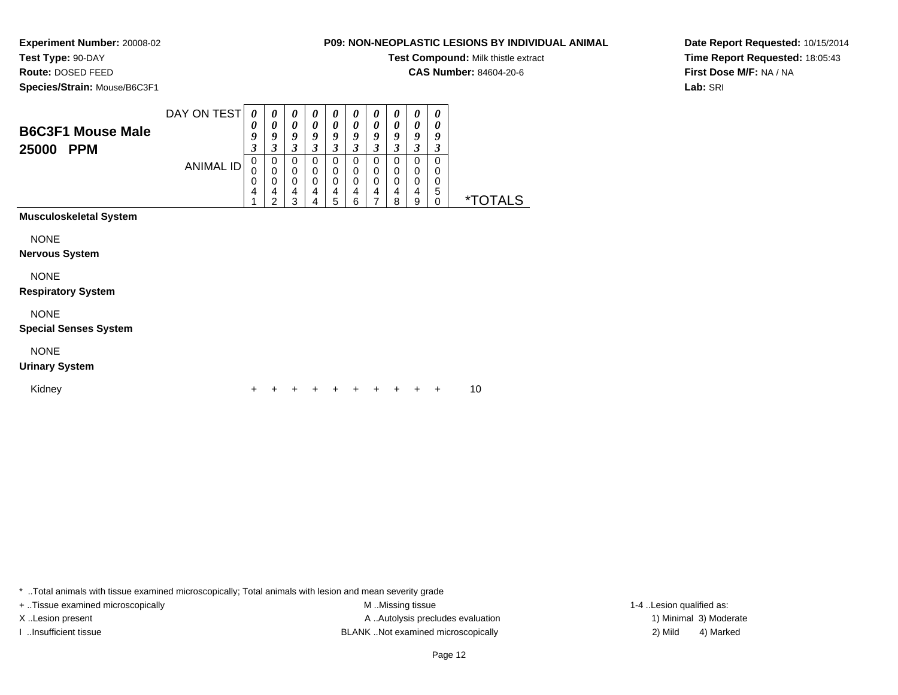# **Test Type:** 90-DAY

**Route:** DOSED FEED

**Species/Strain:** Mouse/B6C3F1

#### **P09: NON-NEOPLASTIC LESIONS BY INDIVIDUAL ANIMAL**

**Test Compound:** Milk thistle extract

**CAS Number:** 84604-20-6

**Date Report Requested:** 10/15/2014**Time Report Requested:** 18:05:43**First Dose M/F:** NA / NA**Lab:** SRI

|                                             | DAY ON TEST      | 0<br>0           | $\boldsymbol{\theta}$<br>0                   | 0<br>0                          | 0<br>0                | 0<br>0                       | 0<br>$\boldsymbol{\theta}$      | 0<br>0                                    | 0<br>0                                    | 0<br>0                                                       | $\boldsymbol{\theta}$<br>0 |                       |  |
|---------------------------------------------|------------------|------------------|----------------------------------------------|---------------------------------|-----------------------|------------------------------|---------------------------------|-------------------------------------------|-------------------------------------------|--------------------------------------------------------------|----------------------------|-----------------------|--|
| <b>B6C3F1 Mouse Male</b><br>25000 PPM       |                  | 9<br>3           | 9<br>$\overline{\mathbf{3}}$                 | 9<br>3                          | 9<br>$\mathfrak{z}$   | 9<br>3                       | 9<br>$\mathfrak{z}$             | 9<br>$\mathfrak{z}$                       | 9<br>$\overline{\mathbf{3}}$              | 9<br>3                                                       | 9<br>3                     |                       |  |
|                                             | <b>ANIMAL ID</b> | 0<br>0<br>0<br>4 | 0<br>$\mathbf 0$<br>0<br>4<br>$\overline{2}$ | 0<br>$\mathbf 0$<br>0<br>4<br>3 | 0<br>0<br>0<br>4<br>4 | 0<br>0<br>$\Omega$<br>4<br>5 | 0<br>0<br>$\mathbf 0$<br>4<br>6 | 0<br>$\mathbf 0$<br>$\mathbf 0$<br>4<br>7 | 0<br>$\mathbf 0$<br>$\mathbf 0$<br>4<br>8 | $\,0\,$<br>$\mathbf 0$<br>$\mathbf 0$<br>$\overline{4}$<br>9 | 0<br>0<br>0<br>5<br>0      | <i><b>*TOTALS</b></i> |  |
| Musculoskeletal System                      |                  |                  |                                              |                                 |                       |                              |                                 |                                           |                                           |                                                              |                            |                       |  |
| <b>NONE</b><br>Nervous System               |                  |                  |                                              |                                 |                       |                              |                                 |                                           |                                           |                                                              |                            |                       |  |
| <b>NONE</b><br><b>Respiratory System</b>    |                  |                  |                                              |                                 |                       |                              |                                 |                                           |                                           |                                                              |                            |                       |  |
| <b>NONE</b><br><b>Special Senses System</b> |                  |                  |                                              |                                 |                       |                              |                                 |                                           |                                           |                                                              |                            |                       |  |
| <b>NONE</b><br><b>Urinary System</b>        |                  |                  |                                              |                                 |                       |                              |                                 |                                           |                                           |                                                              |                            |                       |  |
| Kidney                                      |                  |                  |                                              |                                 |                       |                              |                                 |                                           |                                           |                                                              | +                          | 10                    |  |

\* ..Total animals with tissue examined microscopically; Total animals with lesion and mean severity grade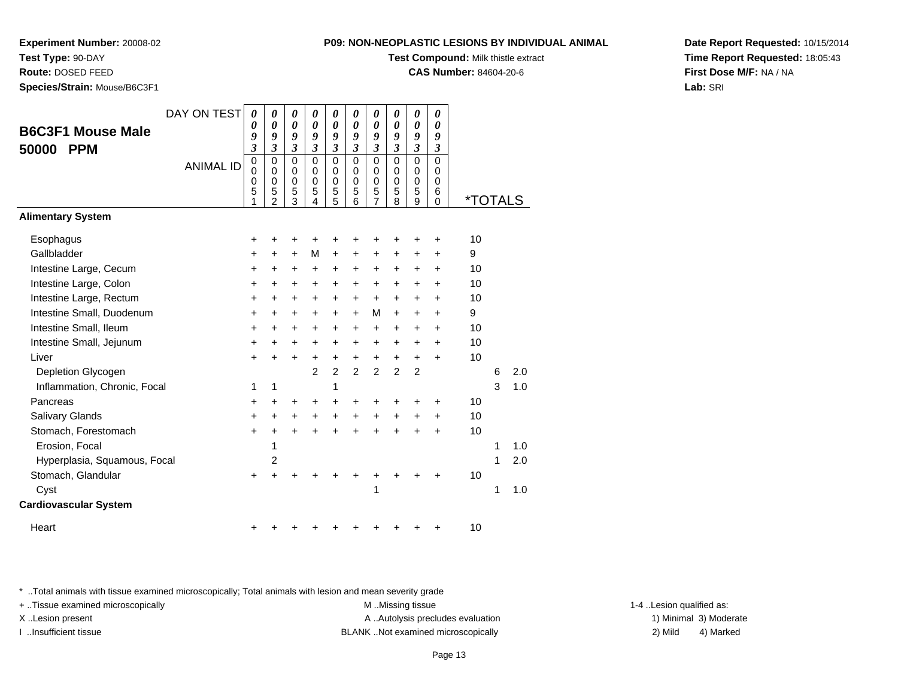## **Test Type:** 90-DAY

**Route:** DOSED FEED

**Species/Strain:** Mouse/B6C3F1

#### **P09: NON-NEOPLASTIC LESIONS BY INDIVIDUAL ANIMAL**

**Test Compound:** Milk thistle extract

**CAS Number:** 84604-20-6

**Date Report Requested:** 10/15/2014**Time Report Requested:** 18:05:43**First Dose M/F:** NA / NA**Lab:** SRI

|                              | DAY ON TEST      | 0                     | 0                                  | 0                                      | 0                            | 0                                         | 0                                      | 0                               | 0                               | 0                                         | 0                                                |                       |   |     |
|------------------------------|------------------|-----------------------|------------------------------------|----------------------------------------|------------------------------|-------------------------------------------|----------------------------------------|---------------------------------|---------------------------------|-------------------------------------------|--------------------------------------------------|-----------------------|---|-----|
| <b>B6C3F1 Mouse Male</b>     |                  | 0<br>9                | 0<br>9                             | $\boldsymbol{\theta}$<br>9             | $\boldsymbol{\theta}$<br>9   | $\boldsymbol{\theta}$<br>9                | 0<br>9                                 | 0<br>9                          | $\boldsymbol{\theta}$<br>9      | $\boldsymbol{\theta}$<br>$\boldsymbol{g}$ | $\boldsymbol{\theta}$<br>9                       |                       |   |     |
| <b>PPM</b><br>50000          |                  | 3                     | 3                                  | $\overline{\mathbf{3}}$                | $\overline{\mathbf{3}}$      | $\mathfrak{z}$                            | $\mathfrak{z}$                         | $\overline{\mathbf{3}}$         | $\mathfrak{z}$                  | $\mathfrak{z}$                            | $\boldsymbol{\mathfrak{z}}$                      |                       |   |     |
|                              | <b>ANIMAL ID</b> | 0<br>0<br>0<br>5<br>1 | 0<br>0<br>0<br>5<br>$\overline{2}$ | $\Omega$<br>0<br>$\mathbf 0$<br>5<br>3 | $\Omega$<br>0<br>0<br>5<br>4 | $\mathbf 0$<br>0<br>$\mathbf 0$<br>5<br>5 | $\mathbf 0$<br>0<br>$\Omega$<br>5<br>6 | $\mathbf 0$<br>0<br>0<br>5<br>7 | $\mathbf 0$<br>0<br>0<br>5<br>8 | $\mathbf 0$<br>0<br>$\mathbf 0$<br>5<br>9 | $\Omega$<br>0<br>$\mathbf 0$<br>6<br>$\mathbf 0$ | <i><b>*TOTALS</b></i> |   |     |
| <b>Alimentary System</b>     |                  |                       |                                    |                                        |                              |                                           |                                        |                                 |                                 |                                           |                                                  |                       |   |     |
| Esophagus                    |                  | +                     | +                                  | +                                      | +                            |                                           |                                        | +                               | +                               | +                                         | +                                                | 10                    |   |     |
| Gallbladder                  |                  | $\ddot{}$             | +                                  | $\ddot{}$                              | M                            | $\ddot{}$                                 | $\ddot{}$                              | +                               | $\ddot{}$                       | $\pm$                                     | $\ddot{}$                                        | 9                     |   |     |
| Intestine Large, Cecum       |                  | $\pm$                 | ٠                                  | +                                      | +                            | $\ddot{}$                                 | $\ddot{}$                              | +                               | +                               | +                                         | ÷                                                | 10                    |   |     |
| Intestine Large, Colon       |                  | $\ddot{}$             | $\ddot{}$                          | $\ddot{}$                              | $\ddot{}$                    | $\ddot{}$                                 | $\ddot{}$                              | +                               | $\ddot{}$                       | $\ddot{}$                                 | $\ddot{}$                                        | 10                    |   |     |
| Intestine Large, Rectum      |                  | +                     | +                                  | $\ddot{}$                              | $\ddot{}$                    | $\ddot{}$                                 | $\ddot{}$                              | $\ddot{}$                       | $\ddot{}$                       | +                                         | $\ddot{}$                                        | 10                    |   |     |
| Intestine Small, Duodenum    |                  | $\ddot{}$             | $\ddot{}$                          | +                                      | $\ddot{}$                    | $\ddot{}$                                 | $\ddot{}$                              | M                               | $\ddot{}$                       | $\ddot{}$                                 | $\ddot{}$                                        | 9                     |   |     |
| Intestine Small, Ileum       |                  | +                     | $\pm$                              | +                                      | +                            | $\ddot{}$                                 | $\ddot{}$                              | $\ddot{}$                       | $\ddot{}$                       | $\pm$                                     | $\ddot{}$                                        | 10                    |   |     |
| Intestine Small, Jejunum     |                  | +                     | +                                  | +                                      | +                            | $\ddot{}$                                 | $\ddot{}$                              | +                               | $\ddot{}$                       | +                                         | $\ddot{}$                                        | 10                    |   |     |
| Liver                        |                  | $\ddot{}$             | +                                  | $\ddot{}$                              | $\ddot{}$                    | $\ddot{}$                                 | $\ddot{}$                              | $\ddot{}$                       | $\ddot{}$                       | $\ddot{}$                                 | $\ddot{}$                                        | 10                    |   |     |
| Depletion Glycogen           |                  |                       |                                    |                                        | $\overline{2}$               | $\overline{2}$                            | $\overline{2}$                         | $\overline{2}$                  | $\overline{2}$                  | $\overline{2}$                            |                                                  |                       | 6 | 2.0 |
| Inflammation, Chronic, Focal |                  | 1                     | 1                                  |                                        |                              | 1                                         |                                        |                                 |                                 |                                           |                                                  |                       | 3 | 1.0 |
| Pancreas                     |                  | +                     | +                                  | +                                      | +                            | $\ddot{}$                                 | +                                      | +                               | +                               | +                                         | +                                                | 10                    |   |     |
| Salivary Glands              |                  | $\ddot{}$             | $\ddot{}$                          | +                                      | $\ddot{}$                    | $+$                                       | $\ddot{}$                              | $\ddot{}$                       | $\ddot{}$                       | $\ddot{}$                                 | $\ddot{}$                                        | 10                    |   |     |
| Stomach, Forestomach         |                  | $\ddot{}$             | $\ddot{}$                          | $\ddot{}$                              | $\ddot{}$                    | $\ddot{}$                                 | $\ddot{}$                              | $\ddot{}$                       | $\ddot{}$                       | ÷                                         | $\ddot{}$                                        | 10                    |   |     |
| Erosion, Focal               |                  |                       | 1                                  |                                        |                              |                                           |                                        |                                 |                                 |                                           |                                                  |                       | 1 | 1.0 |
| Hyperplasia, Squamous, Focal |                  |                       | 2                                  |                                        |                              |                                           |                                        |                                 |                                 |                                           |                                                  |                       | 1 | 2.0 |
| Stomach, Glandular           |                  | $\pm$                 |                                    |                                        |                              |                                           |                                        |                                 |                                 |                                           | ÷                                                | 10                    |   |     |
| Cyst                         |                  |                       |                                    |                                        |                              |                                           |                                        | 1                               |                                 |                                           |                                                  |                       | 1 | 1.0 |
| <b>Cardiovascular System</b> |                  |                       |                                    |                                        |                              |                                           |                                        |                                 |                                 |                                           |                                                  |                       |   |     |
| Heart                        |                  | +                     |                                    |                                        |                              |                                           |                                        |                                 | ٠                               | +                                         | +                                                | 10                    |   |     |

\* ..Total animals with tissue examined microscopically; Total animals with lesion and mean severity grade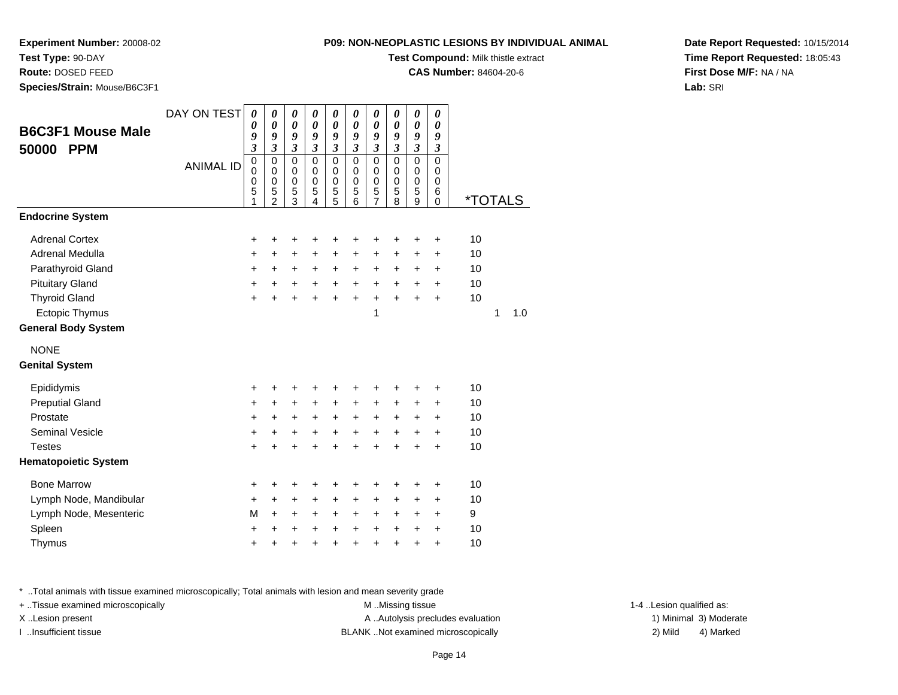**P09: NON-NEOPLASTIC LESIONS BY INDIVIDUAL** 

**Test Compound:** Milk thistle extract**CAS Number:** 84604-20-6

**Experiment Number:** 20008-02

**Test Type:** 90-DAY

**Route:** DOSED FEED

**Species/Strain:** Mouse/B6C3F1

| . ANIMAL | Date Report Requested: 10/15/2014      |
|----------|----------------------------------------|
|          | <b>Time Report Requested: 18:05:43</b> |
|          | First Dose M/F: NA / NA                |

**Lab:** SRI

| <b>B6C3F1 Mouse Male</b><br>50000<br><b>PPM</b> | DAY ON TEST      | 0<br>0<br>9<br>$\overline{\mathbf{3}}$    | 0<br>0<br>9<br>$\overline{\mathbf{3}}$                           | 0<br>$\boldsymbol{\theta}$<br>9<br>$\overline{\mathbf{3}}$ | 0<br>$\boldsymbol{\theta}$<br>9<br>$\overline{\mathbf{3}}$ | 0<br>$\boldsymbol{\theta}$<br>9<br>$\overline{\mathbf{3}}$ | 0<br>$\boldsymbol{\theta}$<br>9<br>$\overline{\mathbf{3}}$ | 0<br>$\boldsymbol{\theta}$<br>9<br>$\overline{\mathbf{3}}$ | 0<br>$\boldsymbol{\theta}$<br>9<br>$\mathfrak{z}$ | 0<br>$\boldsymbol{\theta}$<br>9<br>$\mathfrak{z}$ | 0<br>$\boldsymbol{\theta}$<br>9<br>$\mathfrak{z}$ |                       |     |
|-------------------------------------------------|------------------|-------------------------------------------|------------------------------------------------------------------|------------------------------------------------------------|------------------------------------------------------------|------------------------------------------------------------|------------------------------------------------------------|------------------------------------------------------------|---------------------------------------------------|---------------------------------------------------|---------------------------------------------------|-----------------------|-----|
|                                                 | <b>ANIMAL ID</b> | $\mathbf 0$<br>$\mathbf 0$<br>0<br>5<br>1 | $\mathbf 0$<br>$\mathbf 0$<br>$\mathbf 0$<br>5<br>$\overline{2}$ | $\mathbf 0$<br>$\mathbf 0$<br>0<br>5<br>3                  | $\mathbf 0$<br>$\pmb{0}$<br>$\mathbf 0$<br>5<br>4          | $\mathbf 0$<br>$\mathbf 0$<br>0<br>5<br>5                  | $\mathbf 0$<br>$\pmb{0}$<br>$\mathbf 0$<br>5<br>6          | $\mathsf 0$<br>$\mathbf 0$<br>0<br>5<br>$\overline{7}$     | $\mathbf 0$<br>$\pmb{0}$<br>$\mathbf 0$<br>5<br>8 | $\overline{0}$<br>$\mathbf 0$<br>0<br>5<br>9      | $\mathbf 0$<br>0<br>0<br>6<br>0                   | <i><b>*TOTALS</b></i> |     |
| <b>Endocrine System</b>                         |                  |                                           |                                                                  |                                                            |                                                            |                                                            |                                                            |                                                            |                                                   |                                                   |                                                   |                       |     |
| <b>Adrenal Cortex</b>                           |                  | +                                         | +                                                                | +                                                          | +                                                          | +                                                          | +                                                          | +                                                          | +                                                 | +                                                 | +                                                 | 10                    |     |
| Adrenal Medulla                                 |                  | +                                         | $\ddot{}$                                                        | +                                                          | +                                                          | +                                                          | +                                                          | +                                                          | +                                                 | +                                                 | +                                                 | 10                    |     |
| Parathyroid Gland                               |                  | +                                         | +                                                                | +                                                          | +                                                          | +                                                          | +                                                          | +                                                          | +                                                 | +                                                 | +                                                 | 10                    |     |
| <b>Pituitary Gland</b>                          |                  | $\ddot{}$                                 | $\ddot{}$                                                        | +                                                          | +                                                          | $\ddot{}$                                                  | $\ddot{}$                                                  | $\ddot{}$                                                  | $\ddot{}$                                         | $\ddot{}$                                         | +                                                 | 10                    |     |
| <b>Thyroid Gland</b>                            |                  | $\ddot{}$                                 | $\ddot{}$                                                        | $\ddot{}$                                                  | $\ddot{}$                                                  | $\ddot{}$                                                  | $\ddot{}$                                                  | $\ddot{}$                                                  | $\ddot{}$                                         | $\ddot{}$                                         | $\ddot{}$                                         | 10                    |     |
| Ectopic Thymus                                  |                  |                                           |                                                                  |                                                            |                                                            |                                                            |                                                            | 1                                                          |                                                   |                                                   |                                                   | 1                     | 1.0 |
| <b>General Body System</b>                      |                  |                                           |                                                                  |                                                            |                                                            |                                                            |                                                            |                                                            |                                                   |                                                   |                                                   |                       |     |
| <b>NONE</b>                                     |                  |                                           |                                                                  |                                                            |                                                            |                                                            |                                                            |                                                            |                                                   |                                                   |                                                   |                       |     |
| <b>Genital System</b>                           |                  |                                           |                                                                  |                                                            |                                                            |                                                            |                                                            |                                                            |                                                   |                                                   |                                                   |                       |     |
| Epididymis                                      |                  | +                                         | +                                                                | +                                                          | +                                                          | +                                                          | +                                                          | +                                                          | +                                                 | +                                                 | ٠                                                 | 10                    |     |
| <b>Preputial Gland</b>                          |                  | $\ddot{}$                                 | $\ddot{}$                                                        | $\ddot{}$                                                  | +                                                          | $\ddot{}$                                                  | +                                                          | $\ddot{}$                                                  | +                                                 | +                                                 | $\ddot{}$                                         | 10                    |     |
| Prostate                                        |                  | +                                         | $\ddot{}$                                                        | $\ddot{}$                                                  | +                                                          | +                                                          | $\ddot{}$                                                  | +                                                          | $\ddot{}$                                         | +                                                 | $\ddot{}$                                         | 10                    |     |
| <b>Seminal Vesicle</b>                          |                  | $\ddot{}$                                 | $\ddot{}$                                                        | $\ddot{}$                                                  | $\ddot{}$                                                  | $\ddot{}$                                                  | $\ddot{}$                                                  | $\ddot{}$                                                  | $\ddot{}$                                         | $\ddot{}$                                         | $\ddot{}$                                         | 10                    |     |
| <b>Testes</b>                                   |                  | +                                         | +                                                                | +                                                          | +                                                          | +                                                          | +                                                          | +                                                          | $\ddot{}$                                         | +                                                 | +                                                 | 10                    |     |
| <b>Hematopoietic System</b>                     |                  |                                           |                                                                  |                                                            |                                                            |                                                            |                                                            |                                                            |                                                   |                                                   |                                                   |                       |     |
| <b>Bone Marrow</b>                              |                  | +                                         | +                                                                | +                                                          | +                                                          | +                                                          | +                                                          | +                                                          | +                                                 | +                                                 | +                                                 | 10                    |     |
| Lymph Node, Mandibular                          |                  | +                                         | $\ddot{}$                                                        | +                                                          | +                                                          | +                                                          | +                                                          | +                                                          | +                                                 | +                                                 | +                                                 | 10                    |     |
| Lymph Node, Mesenteric                          |                  | M                                         | +                                                                | +                                                          | +                                                          | +                                                          | +                                                          | +                                                          | +                                                 | +                                                 | +                                                 | 9                     |     |
| Spleen                                          |                  | +                                         | +                                                                | +                                                          | +                                                          | $\ddot{}$                                                  | +                                                          | $\ddot{}$                                                  | +                                                 | +                                                 | $\ddot{}$                                         | 10                    |     |
| Thymus                                          |                  | +                                         | +                                                                | +                                                          | +                                                          | +                                                          | $\ddot{}$                                                  | $\ddot{}$                                                  | $\ddot{}$                                         | $\ddot{}$                                         | $\ddot{}$                                         | 10                    |     |

\* ..Total animals with tissue examined microscopically; Total animals with lesion and mean severity grade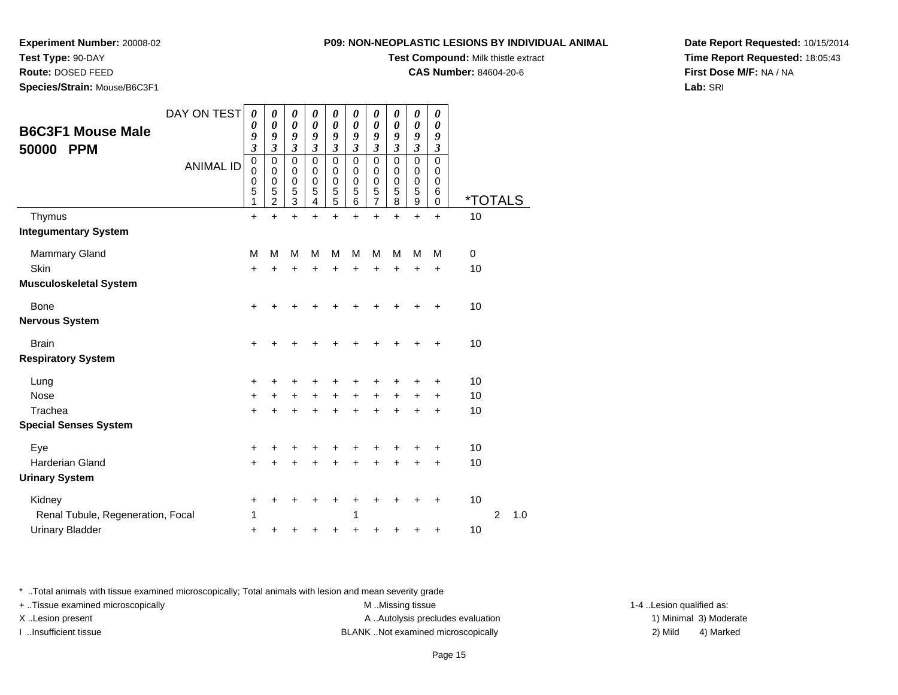### **Test Type:** 90-DAY

**Route:** DOSED FEED

**Species/Strain:** Mouse/B6C3F1

#### **P09: NON-NEOPLASTIC LESIONS BY INDIVIDUAL ANIMAL**

**Test Compound:** Milk thistle extract

**CAS Number:** 84604-20-6

**Date Report Requested:** 10/15/2014**Time Report Requested:** 18:05:43**First Dose M/F:** NA / NA**Lab:** SRI

| <b>B6C3F1 Mouse Male</b><br>50000<br><b>PPM</b>                                        | DAY ON TEST<br><b>ANIMAL ID</b> | $\boldsymbol{\theta}$<br>0<br>9<br>$\boldsymbol{\beta}$<br>$\mathbf 0$<br>0<br>0<br>5<br>1 | 0<br>0<br>9<br>3<br>$\mathbf 0$<br>$\Omega$<br>$\boldsymbol{0}$<br>5<br>$\overline{2}$ | 0<br>$\boldsymbol{\theta}$<br>9<br>3<br>$\mathbf 0$<br>0<br>$\begin{array}{c} 0 \\ 5 \\ 3 \end{array}$ | 0<br>0<br>9<br>3<br>$\mathbf 0$<br>0<br>0<br>5<br>4 | 0<br>0<br>9<br>3<br>0<br>0<br>0<br>5<br>5 | 0<br>0<br>9<br>3<br>$\mathbf 0$<br>0<br>0<br>5<br>6 | 0<br>0<br>9<br>3<br>$\mathbf 0$<br>0<br>0<br>5<br>7 | 0<br>$\boldsymbol{\theta}$<br>9<br>$\mathfrak{z}$<br>$\mathbf 0$<br>$\Omega$<br>0<br>5<br>8 | 0<br>0<br>9<br>$\boldsymbol{\beta}$<br>$\mathbf 0$<br>0<br>$\mathbf 0$<br>5<br>9 | 0<br>0<br>9<br>3<br>$\mathbf 0$<br>0<br>0<br>6<br>0 | <i><b>*TOTALS</b></i> |   |     |
|----------------------------------------------------------------------------------------|---------------------------------|--------------------------------------------------------------------------------------------|----------------------------------------------------------------------------------------|--------------------------------------------------------------------------------------------------------|-----------------------------------------------------|-------------------------------------------|-----------------------------------------------------|-----------------------------------------------------|---------------------------------------------------------------------------------------------|----------------------------------------------------------------------------------|-----------------------------------------------------|-----------------------|---|-----|
| Thymus<br><b>Integumentary System</b>                                                  |                                 | $\ddot{}$                                                                                  | $\ddot{}$                                                                              | $+$                                                                                                    | $\ddot{}$                                           | $\ddot{}$                                 | ÷                                                   | $\ddot{}$                                           | $\ddot{}$                                                                                   | $\ddot{}$                                                                        | $\ddot{}$                                           | 10                    |   |     |
| <b>Mammary Gland</b><br><b>Skin</b><br><b>Musculoskeletal System</b>                   |                                 | М<br>+                                                                                     | M<br>+                                                                                 | M<br>+                                                                                                 | M<br>+                                              | M<br>+                                    | M<br>+                                              | M<br>+                                              | M<br>$\ddot{}$                                                                              | M<br>+                                                                           | М<br>+                                              | 0<br>10               |   |     |
| Bone<br><b>Nervous System</b>                                                          |                                 | +                                                                                          |                                                                                        |                                                                                                        |                                                     |                                           |                                                     |                                                     |                                                                                             |                                                                                  |                                                     | 10                    |   |     |
| <b>Brain</b><br><b>Respiratory System</b>                                              |                                 | $\ddot{}$                                                                                  | +                                                                                      | +                                                                                                      |                                                     | +                                         |                                                     | +                                                   |                                                                                             |                                                                                  | +                                                   | 10                    |   |     |
| Lung<br>Nose<br>Trachea                                                                |                                 | +<br>$\ddot{}$<br>$\ddot{}$                                                                | $\ddot{}$<br>$\ddot{}$                                                                 | +<br>$\ddot{}$<br>$\ddot{}$                                                                            | $\ddot{}$                                           | $\ddot{}$<br>$\ddot{}$                    | $\ddot{}$                                           | +<br>$\ddot{}$                                      | $\ddot{}$<br>$\ddot{}$                                                                      | $\ddot{}$<br>$\ddot{}$                                                           | ٠<br>+<br>$\ddot{}$                                 | 10<br>10<br>10        |   |     |
| <b>Special Senses System</b><br>Eye<br><b>Harderian Gland</b><br><b>Urinary System</b> |                                 | +<br>$\ddot{}$                                                                             | +<br>+                                                                                 | +<br>+                                                                                                 | +                                                   | +<br>+                                    | +                                                   | +<br>+                                              | ٠                                                                                           | ٠                                                                                | +<br>$\ddot{}$                                      | 10<br>10              |   |     |
| Kidney<br>Renal Tubule, Regeneration, Focal<br><b>Urinary Bladder</b>                  |                                 | +<br>1<br>$\ddot{}$                                                                        | +<br>+                                                                                 | ٠<br>+                                                                                                 | ٠<br>+                                              | ٠<br>+                                    | ٠<br>1<br>+                                         | +<br>+                                              | +<br>+                                                                                      | ٠<br>+                                                                           | $\pm$<br>+                                          | 10<br>10              | 2 | 1.0 |

\* ..Total animals with tissue examined microscopically; Total animals with lesion and mean severity grade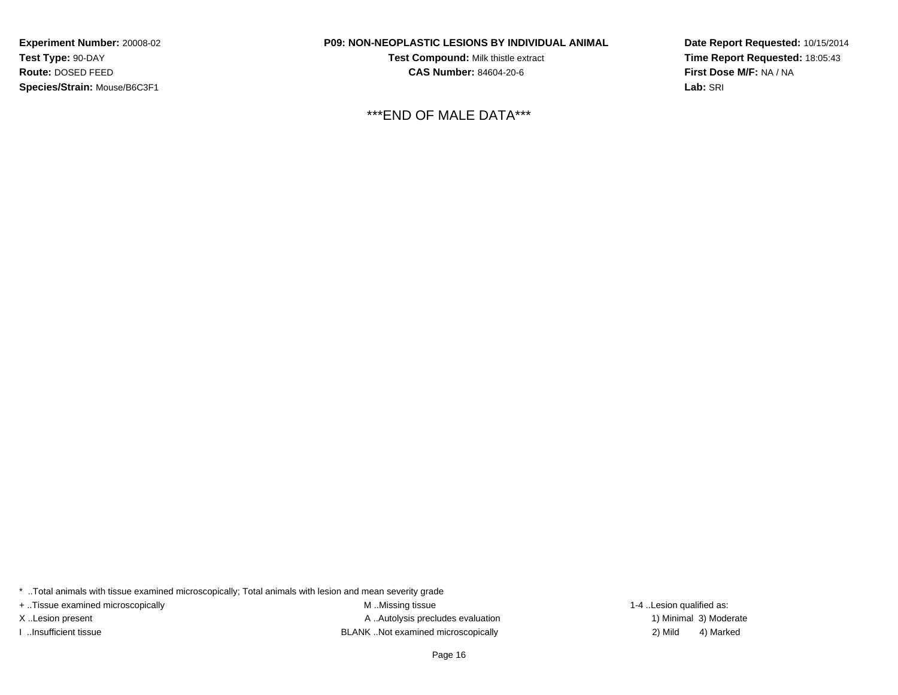**Experiment Number:** 20008-02**Test Type:** 90-DAY **Route:** DOSED FEED**Species/Strain:** Mouse/B6C3F1

#### **P09: NON-NEOPLASTIC LESIONS BY INDIVIDUAL ANIMAL**

**Test Compound:** Milk thistle extract**CAS Number:** 84604-20-6

\*\*\*END OF MALE DATA\*\*\*

**Date Report Requested:** 10/15/2014**Time Report Requested:** 18:05:43**First Dose M/F:** NA / NA**Lab:** SRI

\* ..Total animals with tissue examined microscopically; Total animals with lesion and mean severity grade

+ ..Tissue examined microscopically examined microscopically examined as:  $M$  ..Missing tissue 1-4 ..Lesion qualified as:

X..Lesion present **A ..Autolysis precludes evaluation** A ..Autolysis precludes evaluation 1) Minimal 3) Moderate I ..Insufficient tissue BLANK ..Not examined microscopically 2) Mild 4) Marked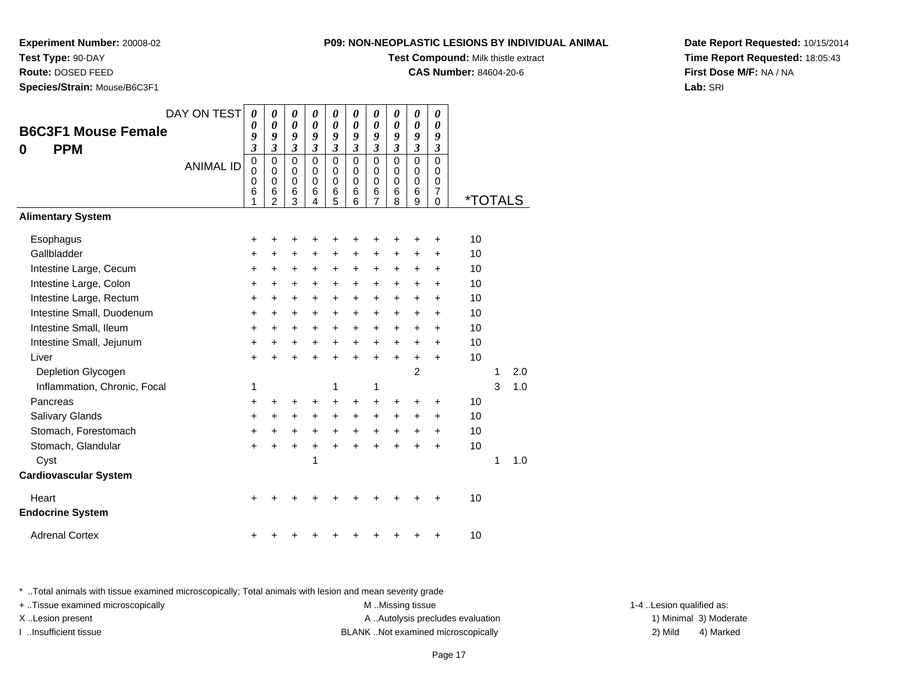#### **Test Type:** 90-DAY

**Route:** DOSED FEED

**Species/Strain:** Mouse/B6C3F1

#### **P09: NON-NEOPLASTIC LESIONS BY INDIVIDUAL ANIMAL**

**Test Compound:** Milk thistle extract

**CAS Number:** 84604-20-6

**Date Report Requested:** 10/15/2014**Time Report Requested:** 18:05:43**First Dose M/F:** NA / NA**Lab:** SRI

|                                  | DAY ON TEST      | 0                               | 0                                                             | 0                                             | 0                                             | 0                                         | 0                                             | 0                                         | $\boldsymbol{\theta}$                     | 0                                         | 0                                  |                       |   |     |
|----------------------------------|------------------|---------------------------------|---------------------------------------------------------------|-----------------------------------------------|-----------------------------------------------|-------------------------------------------|-----------------------------------------------|-------------------------------------------|-------------------------------------------|-------------------------------------------|------------------------------------|-----------------------|---|-----|
| <b>B6C3F1 Mouse Female</b>       |                  | 0<br>9                          | 0<br>9                                                        | $\boldsymbol{\theta}$<br>9                    | $\boldsymbol{\theta}$<br>9                    | 0<br>9                                    | $\boldsymbol{\theta}$<br>9                    | 0<br>9                                    | 0<br>9                                    | 0<br>9                                    | 0<br>9                             |                       |   |     |
| <b>PPM</b><br>0                  |                  | 3                               | 3                                                             | 3                                             | 3                                             | 3                                         | 3                                             | $\mathfrak{z}$                            | $\mathfrak{z}$                            | $\mathfrak{z}$                            | 3                                  |                       |   |     |
|                                  | <b>ANIMAL ID</b> | $\mathbf 0$<br>0<br>0<br>6<br>1 | $\mathbf 0$<br>$\Omega$<br>$\mathbf 0$<br>6<br>$\overline{2}$ | $\Omega$<br>$\Omega$<br>$\mathbf 0$<br>6<br>3 | $\mathbf 0$<br>$\Omega$<br>$\Omega$<br>6<br>4 | $\mathbf 0$<br>0<br>$\mathbf 0$<br>6<br>5 | $\mathbf 0$<br>$\Omega$<br>$\Omega$<br>6<br>6 | $\mathbf 0$<br>0<br>$\mathbf 0$<br>6<br>7 | $\mathbf 0$<br>0<br>$\mathbf 0$<br>6<br>8 | $\mathbf 0$<br>0<br>$\mathbf 0$<br>6<br>9 | 0<br>0<br>0<br>$\overline{7}$<br>0 | <i><b>*TOTALS</b></i> |   |     |
| <b>Alimentary System</b>         |                  |                                 |                                                               |                                               |                                               |                                           |                                               |                                           |                                           |                                           |                                    |                       |   |     |
| Esophagus                        |                  | +                               | +                                                             | +                                             |                                               |                                           |                                               | +                                         | +                                         | +                                         | +                                  | 10                    |   |     |
| Gallbladder                      |                  | +                               | +                                                             | +                                             | +                                             | +                                         | +                                             | +                                         | +                                         | +                                         | +                                  | 10                    |   |     |
| Intestine Large, Cecum           |                  | $\ddot{}$                       | +                                                             | +                                             | $\ddot{}$                                     | $\ddot{}$                                 | +                                             | +                                         | +                                         | $\pm$                                     | +                                  | 10                    |   |     |
| Intestine Large, Colon           |                  | $\ddot{}$                       | $\pm$                                                         | +                                             | $\ddot{}$                                     | $\pm$                                     | +                                             | +                                         | +                                         | $\ddot{}$                                 | +                                  | 10                    |   |     |
| Intestine Large, Rectum          |                  | $\ddot{}$                       | $\ddot{}$                                                     | +                                             | $\ddot{}$                                     | $\ddot{}$                                 | $\ddot{}$                                     | $\ddot{}$                                 | $\ddot{}$                                 | $\ddot{}$                                 | $\ddot{}$                          | 10                    |   |     |
| Intestine Small, Duodenum        |                  | +                               | +                                                             | +                                             | +                                             | +                                         | +                                             | +                                         | +                                         | +                                         | +                                  | 10                    |   |     |
| Intestine Small, Ileum           |                  | $\ddot{}$                       | $\ddot{}$                                                     | $\ddot{}$                                     | $\ddot{}$                                     | $\ddot{}$                                 | $\ddot{}$                                     | $\ddot{}$                                 | $\ddot{}$                                 | +                                         | $\ddot{}$                          | 10                    |   |     |
| Intestine Small, Jejunum         |                  | +                               | +                                                             | +                                             | $\ddot{}$                                     | $\ddot{}$                                 | $\ddot{}$                                     | $\ddot{}$                                 | $\ddot{}$                                 | +                                         | +                                  | 10                    |   |     |
| Liver                            |                  | $\ddot{}$                       |                                                               | $\ddot{}$                                     |                                               | $\ddot{}$                                 | $\ddot{}$                                     | $\ddot{}$                                 | $\ddot{}$                                 | $\ddot{}$                                 | $\ddot{}$                          | 10                    |   |     |
| Depletion Glycogen               |                  |                                 |                                                               |                                               |                                               |                                           |                                               |                                           |                                           | $\overline{c}$                            |                                    |                       | 1 | 2.0 |
| Inflammation, Chronic, Focal     |                  | 1                               |                                                               |                                               |                                               | 1                                         |                                               | 1                                         |                                           |                                           |                                    |                       | 3 | 1.0 |
| Pancreas                         |                  | +                               | +                                                             | +                                             | +                                             | +                                         | +                                             | +                                         | +                                         | +                                         | +                                  | 10                    |   |     |
| Salivary Glands                  |                  | +                               | +                                                             | +                                             | $\ddot{}$                                     | +                                         | $\ddot{}$                                     | +                                         | $\ddot{}$                                 | +                                         | $\ddot{}$                          | 10                    |   |     |
| Stomach, Forestomach             |                  | $\ddot{}$                       | +                                                             | +                                             | $\ddot{}$                                     | $\ddot{}$                                 | $\ddot{}$                                     | +                                         | +                                         | +                                         | +                                  | 10                    |   |     |
| Stomach, Glandular               |                  | $\ddot{}$                       |                                                               | $\ddot{}$                                     |                                               |                                           |                                               |                                           |                                           |                                           | $\ddot{}$                          | 10                    |   |     |
| Cyst                             |                  |                                 |                                                               |                                               | 1                                             |                                           |                                               |                                           |                                           |                                           |                                    |                       | 1 | 1.0 |
| <b>Cardiovascular System</b>     |                  |                                 |                                                               |                                               |                                               |                                           |                                               |                                           |                                           |                                           |                                    |                       |   |     |
| Heart<br><b>Endocrine System</b> |                  |                                 |                                                               |                                               |                                               |                                           |                                               |                                           |                                           |                                           |                                    | 10                    |   |     |
| <b>Adrenal Cortex</b>            |                  |                                 |                                                               |                                               |                                               |                                           |                                               |                                           |                                           |                                           | +                                  | 10                    |   |     |

\* ..Total animals with tissue examined microscopically; Total animals with lesion and mean severity grade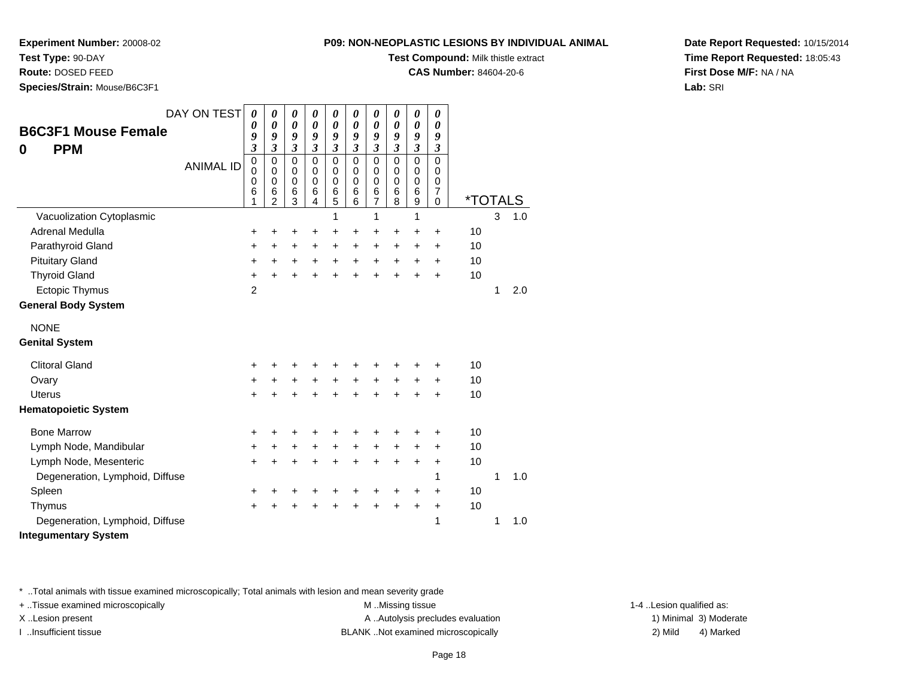### **Test Type:** 90-DAY

**Route:** DOSED FEED

**Species/Strain:** Mouse/B6C3F1

#### **P09: NON-NEOPLASTIC LESIONS BY INDIVIDUAL ANIMAL**

**Test Compound:** Milk thistle extract

**CAS Number:** 84604-20-6

**Date Report Requested:** 10/15/2014**Time Report Requested:** 18:05:43**First Dose M/F:** NA / NA**Lab:** SRI

| DAY ON TEST                     | $\boldsymbol{\theta}$                     | 0                                                      | $\boldsymbol{\theta}$           | 0                                         | 0                                      | 0                                         | 0                                                   | 0                                         | 0                                                   | $\boldsymbol{\theta}$                                  |                       |   |     |
|---------------------------------|-------------------------------------------|--------------------------------------------------------|---------------------------------|-------------------------------------------|----------------------------------------|-------------------------------------------|-----------------------------------------------------|-------------------------------------------|-----------------------------------------------------|--------------------------------------------------------|-----------------------|---|-----|
| <b>B6C3F1 Mouse Female</b>      | 0<br>9                                    | 0<br>9                                                 | 0<br>9                          | 0<br>9                                    | 0<br>9                                 | $\boldsymbol{\theta}$<br>9                | 0<br>9                                              | 0<br>9                                    | 0<br>9                                              | $\boldsymbol{\theta}$<br>9                             |                       |   |     |
| <b>PPM</b><br>0                 | $\boldsymbol{\beta}$                      | 3                                                      | $\mathfrak{z}$                  | 3                                         | $\overline{\mathbf{3}}$                | $\mathfrak{z}$                            | $\boldsymbol{\beta}$                                | $\mathfrak{z}$                            | 3                                                   | $\boldsymbol{\beta}$                                   |                       |   |     |
| <b>ANIMAL ID</b>                | $\mathbf 0$<br>$\mathbf 0$<br>0<br>6<br>1 | $\mathbf 0$<br>0<br>$\mathbf 0$<br>6<br>$\mathfrak{p}$ | $\mathbf 0$<br>0<br>0<br>6<br>3 | $\mathbf 0$<br>0<br>$\mathbf 0$<br>6<br>4 | $\Omega$<br>$\mathbf 0$<br>0<br>6<br>5 | $\mathbf 0$<br>0<br>$\mathbf 0$<br>6<br>6 | $\mathbf 0$<br>$\mathbf 0$<br>$\mathbf 0$<br>6<br>7 | $\mathbf 0$<br>0<br>$\mathbf 0$<br>6<br>8 | $\mathbf 0$<br>$\mathbf 0$<br>$\mathbf 0$<br>6<br>9 | $\mathbf 0$<br>0<br>$\mathbf 0$<br>$\overline{7}$<br>0 | <i><b>*TOTALS</b></i> |   |     |
| Vacuolization Cytoplasmic       |                                           |                                                        |                                 |                                           | 1                                      |                                           | 1                                                   |                                           | 1                                                   |                                                        |                       | 3 | 1.0 |
| Adrenal Medulla                 | +                                         | +                                                      | ٠                               | ٠                                         | +                                      | ٠                                         | +                                                   | $\ddot{}$                                 | +                                                   | +                                                      | 10                    |   |     |
| Parathyroid Gland               | +                                         | +                                                      | +                               | +                                         | $\ddot{}$                              | +                                         | $\ddot{}$                                           | $\ddot{}$                                 | $\ddot{}$                                           | +                                                      | 10                    |   |     |
| <b>Pituitary Gland</b>          | +                                         | $\ddot{}$                                              | +                               | +                                         | +                                      | +                                         | +                                                   | +                                         | +                                                   | +                                                      | 10                    |   |     |
| <b>Thyroid Gland</b>            | $\ddot{}$                                 | $\ddot{}$                                              | $\ddot{}$                       | ÷                                         | $\ddot{}$                              | $\ddot{}$                                 | $\ddot{}$                                           | ÷                                         |                                                     | ÷                                                      | 10                    |   |     |
| Ectopic Thymus                  | $\overline{2}$                            |                                                        |                                 |                                           |                                        |                                           |                                                     |                                           |                                                     |                                                        |                       | 1 | 2.0 |
| <b>General Body System</b>      |                                           |                                                        |                                 |                                           |                                        |                                           |                                                     |                                           |                                                     |                                                        |                       |   |     |
| <b>NONE</b>                     |                                           |                                                        |                                 |                                           |                                        |                                           |                                                     |                                           |                                                     |                                                        |                       |   |     |
| <b>Genital System</b>           |                                           |                                                        |                                 |                                           |                                        |                                           |                                                     |                                           |                                                     |                                                        |                       |   |     |
| <b>Clitoral Gland</b>           | +                                         |                                                        |                                 |                                           |                                        |                                           |                                                     |                                           |                                                     | +                                                      | 10                    |   |     |
| Ovary                           | +                                         | +                                                      | +                               | +                                         | +                                      | $\ddot{}$                                 | $\ddot{}$                                           | $\ddot{}$                                 | +                                                   | +                                                      | 10                    |   |     |
| <b>Uterus</b>                   | $\ddot{}$                                 |                                                        | +                               |                                           | $\ddot{}$                              |                                           | $\ddot{}$                                           | ÷                                         | +                                                   | +                                                      | 10                    |   |     |
| <b>Hematopoietic System</b>     |                                           |                                                        |                                 |                                           |                                        |                                           |                                                     |                                           |                                                     |                                                        |                       |   |     |
| <b>Bone Marrow</b>              | +                                         |                                                        | +                               |                                           |                                        |                                           |                                                     |                                           |                                                     | +                                                      | 10                    |   |     |
| Lymph Node, Mandibular          | +                                         | $\ddot{}$                                              | +                               | $\ddot{}$                                 | +                                      | $\ddot{}$                                 | +                                                   | +                                         | +                                                   | +                                                      | 10                    |   |     |
| Lymph Node, Mesenteric          | $\ddot{}$                                 | $\ddot{}$                                              | $\ddot{}$                       | ÷                                         | $\ddot{}$                              | $\ddot{}$                                 | $\ddot{}$                                           | $\ddot{}$                                 | $\ddot{}$                                           | +                                                      | 10                    |   |     |
| Degeneration, Lymphoid, Diffuse |                                           |                                                        |                                 |                                           |                                        |                                           |                                                     |                                           |                                                     | 1                                                      |                       | 1 | 1.0 |
| Spleen                          | +                                         |                                                        | +                               |                                           | +                                      | +                                         |                                                     | ٠                                         | ٠                                                   | $\pm$                                                  | 10                    |   |     |
| Thymus                          | $\pm$                                     | +                                                      | +                               | +                                         | +                                      | +                                         | $\ddot{}$                                           | $\ddot{}$                                 | $\ddot{}$                                           | +                                                      | 10                    |   |     |
| Degeneration, Lymphoid, Diffuse |                                           |                                                        |                                 |                                           |                                        |                                           |                                                     |                                           |                                                     | 1                                                      |                       | 1 | 1.0 |

**Integumentary System**

\* ..Total animals with tissue examined microscopically; Total animals with lesion and mean severity grade

+ ..Tissue examined microscopically examined microscopically examined as:  $M$  ..Missing tissue 1-4 ..Lesion qualified as: X..Lesion present **A ..Autolysis precludes evaluation** A ..Autolysis precludes evaluation 1) Minimal 3) Moderate

I ..Insufficient tissue BLANK ..Not examined microscopically 2) Mild 4) Marked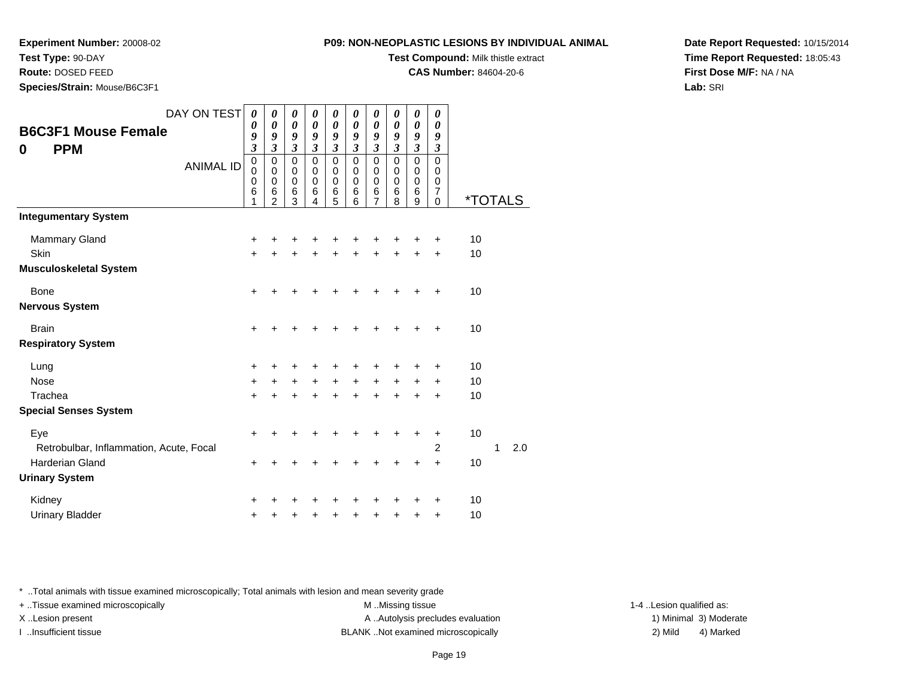#### **Test Type:** 90-DAY

**Route:** DOSED FEED

**Species/Strain:** Mouse/B6C3F1

#### **P09: NON-NEOPLASTIC LESIONS BY INDIVIDUAL ANIMAL**

**Test Compound:** Milk thistle extract

**CAS Number:** 84604-20-6

**Date Report Requested:** 10/15/2014**Time Report Requested:** 18:05:43**First Dose M/F:** NA / NA**Lab:** SRI

| <b>B6C3F1 Mouse Female</b><br><b>PPM</b><br>0 | DAY ON TEST<br><b>ANIMAL ID</b> | 0<br>0<br>9<br>$\mathfrak{z}$<br>$\mathbf 0$<br>$\mathbf 0$<br>0<br>$\,6$<br>1 | 0<br>$\boldsymbol{\theta}$<br>9<br>$\mathfrak{z}$<br>$\mathbf 0$<br>$\mathbf 0$<br>$\pmb{0}$<br>6<br>$\overline{2}$ | 0<br>0<br>9<br>$\mathfrak{z}$<br>$\mathbf 0$<br>0<br>$\mathbf 0$<br>$\,6$<br>3 | 0<br>0<br>9<br>3<br>$\mathbf 0$<br>$\mathbf 0$<br>0<br>6<br>4 | 0<br>0<br>9<br>$\mathfrak{z}$<br>$\mathbf 0$<br>0<br>0<br>$\frac{6}{5}$ | 0<br>0<br>9<br>3<br>$\mathbf 0$<br>$\mathbf 0$<br>0<br>6<br>6 | 0<br>$\boldsymbol{\theta}$<br>9<br>3<br>0<br>0<br>$\pmb{0}$<br>6<br>$\overline{7}$ | 0<br>$\boldsymbol{\theta}$<br>9<br>$\mathfrak{z}$<br>$\mathbf 0$<br>0<br>0<br>6<br>8 | 0<br>$\boldsymbol{\theta}$<br>9<br>$\mathfrak{z}$<br>$\mathbf 0$<br>$\boldsymbol{0}$<br>$\pmb{0}$<br>$\,6$<br>9 | 0<br>0<br>9<br>$\boldsymbol{\beta}$<br>$\mathbf 0$<br>$\pmb{0}$<br>0<br>$\overline{7}$<br>$\mathbf 0$ | <i><b>*TOTALS</b></i> |   |     |
|-----------------------------------------------|---------------------------------|--------------------------------------------------------------------------------|---------------------------------------------------------------------------------------------------------------------|--------------------------------------------------------------------------------|---------------------------------------------------------------|-------------------------------------------------------------------------|---------------------------------------------------------------|------------------------------------------------------------------------------------|--------------------------------------------------------------------------------------|-----------------------------------------------------------------------------------------------------------------|-------------------------------------------------------------------------------------------------------|-----------------------|---|-----|
| <b>Integumentary System</b>                   |                                 |                                                                                |                                                                                                                     |                                                                                |                                                               |                                                                         |                                                               |                                                                                    |                                                                                      |                                                                                                                 |                                                                                                       |                       |   |     |
| <b>Mammary Gland</b>                          |                                 | +                                                                              | +                                                                                                                   |                                                                                |                                                               |                                                                         |                                                               |                                                                                    |                                                                                      |                                                                                                                 |                                                                                                       | 10                    |   |     |
| <b>Skin</b>                                   |                                 | $\ddot{}$                                                                      | +                                                                                                                   | +                                                                              |                                                               | +                                                                       |                                                               | +                                                                                  |                                                                                      |                                                                                                                 | +                                                                                                     | 10                    |   |     |
| <b>Musculoskeletal System</b>                 |                                 |                                                                                |                                                                                                                     |                                                                                |                                                               |                                                                         |                                                               |                                                                                    |                                                                                      |                                                                                                                 |                                                                                                       |                       |   |     |
| <b>Bone</b>                                   |                                 | $\ddot{}$                                                                      |                                                                                                                     |                                                                                |                                                               |                                                                         |                                                               |                                                                                    |                                                                                      |                                                                                                                 |                                                                                                       | 10                    |   |     |
| <b>Nervous System</b>                         |                                 |                                                                                |                                                                                                                     |                                                                                |                                                               |                                                                         |                                                               |                                                                                    |                                                                                      |                                                                                                                 |                                                                                                       |                       |   |     |
| <b>Brain</b>                                  |                                 | $\ddot{}$                                                                      | +                                                                                                                   | ٠                                                                              | +                                                             | +                                                                       | +                                                             | +                                                                                  | ٠                                                                                    | ٠                                                                                                               | $\ddot{}$                                                                                             | 10                    |   |     |
| <b>Respiratory System</b>                     |                                 |                                                                                |                                                                                                                     |                                                                                |                                                               |                                                                         |                                                               |                                                                                    |                                                                                      |                                                                                                                 |                                                                                                       |                       |   |     |
| Lung                                          |                                 | +                                                                              |                                                                                                                     |                                                                                |                                                               |                                                                         |                                                               |                                                                                    |                                                                                      |                                                                                                                 | ÷                                                                                                     | 10                    |   |     |
| <b>Nose</b>                                   |                                 | $\ddot{}$                                                                      | +                                                                                                                   | $\ddot{}$                                                                      | $\ddot{}$                                                     | +                                                                       | +                                                             | $\ddot{}$                                                                          | $\ddot{}$                                                                            | +                                                                                                               | +                                                                                                     | 10                    |   |     |
| Trachea                                       |                                 | +                                                                              | $\ddot{}$                                                                                                           | $\ddot{}$                                                                      | +                                                             | $\ddot{}$                                                               | +                                                             | +                                                                                  | $\ddot{}$                                                                            | $\ddot{}$                                                                                                       | $\ddot{}$                                                                                             | 10                    |   |     |
| <b>Special Senses System</b>                  |                                 |                                                                                |                                                                                                                     |                                                                                |                                                               |                                                                         |                                                               |                                                                                    |                                                                                      |                                                                                                                 |                                                                                                       |                       |   |     |
| Eye                                           |                                 | $\ddot{}$                                                                      | +                                                                                                                   |                                                                                |                                                               |                                                                         |                                                               |                                                                                    | ÷                                                                                    | +                                                                                                               | $\ddot{}$                                                                                             | 10                    |   |     |
| Retrobulbar, Inflammation, Acute, Focal       |                                 |                                                                                |                                                                                                                     |                                                                                |                                                               |                                                                         |                                                               |                                                                                    |                                                                                      |                                                                                                                 | $\overline{2}$                                                                                        |                       | 1 | 2.0 |
| <b>Harderian Gland</b>                        |                                 | +                                                                              |                                                                                                                     |                                                                                |                                                               |                                                                         |                                                               |                                                                                    |                                                                                      | +                                                                                                               | $\ddot{}$                                                                                             | 10                    |   |     |
| <b>Urinary System</b>                         |                                 |                                                                                |                                                                                                                     |                                                                                |                                                               |                                                                         |                                                               |                                                                                    |                                                                                      |                                                                                                                 |                                                                                                       |                       |   |     |
| Kidney                                        |                                 | +                                                                              |                                                                                                                     |                                                                                |                                                               |                                                                         |                                                               |                                                                                    |                                                                                      |                                                                                                                 |                                                                                                       | 10                    |   |     |
| <b>Urinary Bladder</b>                        |                                 | +                                                                              | +                                                                                                                   | +                                                                              | +                                                             | +                                                                       | ٠                                                             | +                                                                                  | ٠                                                                                    | +                                                                                                               | $\ddot{}$                                                                                             | 10                    |   |     |

\* ..Total animals with tissue examined microscopically; Total animals with lesion and mean severity grade

+ ..Tissue examined microscopically examined microscopically examined as:  $M$  ..Missing tissue 1-4 ..Lesion qualified as: X..Lesion present **A ..Autolysis precludes evaluation** A ..Autolysis precludes evaluation 1) Minimal 3) Moderate

I ..Insufficient tissue BLANK ..Not examined microscopically 2) Mild 4) Marked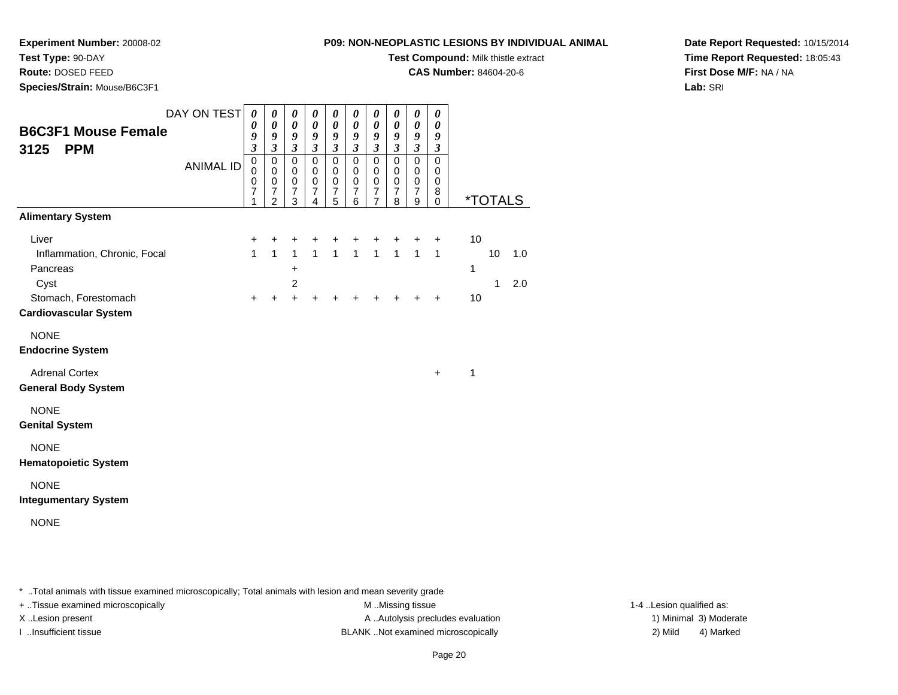#### **Test Type:** 90-DAY

**Route:** DOSED FEED

**Species/Strain:** Mouse/B6C3F1

#### **P09: NON-NEOPLASTIC LESIONS BY INDIVIDUAL ANIMAL**

**Test Compound:** Milk thistle extract

**CAS Number:** 84604-20-6

**Date Report Requested:** 10/15/2014**Time Report Requested:** 18:05:43**First Dose M/F:** NA / NA**Lab:** SRI

| <b>B6C3F1 Mouse Female</b>                                                                                        | DAY ON TEST      | 0<br>0<br>9                                                                       | $\pmb{\theta}$<br>$\pmb{\theta}$<br>9                                                          | 0<br>$\boldsymbol{\theta}$<br>9                                | 0<br>0<br>9                                                                                     | 0<br>0<br>9                                                         | 0<br>0<br>9                                                                            | 0<br>$\boldsymbol{\theta}$<br>9                                                                 | 0<br>0<br>9                                                                              | 0<br>$\boldsymbol{\theta}$<br>9                                                  | 0<br>0<br>9                                                                   |                                                   |
|-------------------------------------------------------------------------------------------------------------------|------------------|-----------------------------------------------------------------------------------|------------------------------------------------------------------------------------------------|----------------------------------------------------------------|-------------------------------------------------------------------------------------------------|---------------------------------------------------------------------|----------------------------------------------------------------------------------------|-------------------------------------------------------------------------------------------------|------------------------------------------------------------------------------------------|----------------------------------------------------------------------------------|-------------------------------------------------------------------------------|---------------------------------------------------|
| 3125<br><b>PPM</b>                                                                                                | <b>ANIMAL ID</b> | $\overline{\mathbf{3}}$<br>$\mathbf 0$<br>$\mathbf 0$<br>0<br>$\overline{7}$<br>1 | $\overline{\mathbf{3}}$<br>$\mathsf 0$<br>$\mathbf 0$<br>0<br>$\overline{7}$<br>$\overline{2}$ | $\boldsymbol{\mathfrak{z}}$<br>0<br>$\mathbf 0$<br>0<br>7<br>3 | $\boldsymbol{\mathfrak{z}}$<br>$\mathbf 0$<br>$\mathbf 0$<br>$\mathbf 0$<br>$\overline{7}$<br>4 | $\mathfrak{z}$<br>$\mathbf 0$<br>$\mathbf 0$<br>$\pmb{0}$<br>7<br>5 | $\boldsymbol{\beta}$<br>$\mathsf 0$<br>$\mathbf 0$<br>$\pmb{0}$<br>$\overline{7}$<br>6 | $\mathfrak{z}$<br>$\mathbf 0$<br>$\mathbf 0$<br>$\mathbf 0$<br>$\overline{7}$<br>$\overline{7}$ | $\boldsymbol{\beta}$<br>$\mathbf 0$<br>$\mathbf 0$<br>$\mathbf 0$<br>$\overline{7}$<br>8 | $\mathfrak{z}$<br>$\mathbf 0$<br>$\mathbf 0$<br>$\pmb{0}$<br>$\overline{7}$<br>9 | $\mathfrak{z}$<br>$\mathbf 0$<br>$\mathbf 0$<br>$\pmb{0}$<br>8<br>$\mathbf 0$ | <i><b>*TOTALS</b></i>                             |
| <b>Alimentary System</b>                                                                                          |                  |                                                                                   |                                                                                                |                                                                |                                                                                                 |                                                                     |                                                                                        |                                                                                                 |                                                                                          |                                                                                  |                                                                               |                                                   |
| Liver<br>Inflammation, Chronic, Focal<br>Pancreas<br>Cyst<br>Stomach, Forestomach<br><b>Cardiovascular System</b> |                  | $\ddot{}$<br>$\mathbf{1}$<br>$\ddot{}$                                            | $\ddot{}$<br>$\mathbf{1}$<br>$\ddot{}$                                                         | +<br>$\mathbf{1}$<br>+<br>$\overline{2}$<br>$\ddot{}$          | +<br>$\mathbf{1}$<br>+                                                                          | $\mathbf{1}$                                                        | +<br>$\mathbf{1}$                                                                      | +<br>$\mathbf{1}$<br>+                                                                          | +<br>$\mathbf{1}$<br>+                                                                   | $\ddot{}$<br>$\mathbf{1}$<br>+                                                   | $\ddot{}$<br>$\mathbf{1}$<br>$+$                                              | 10<br>10<br>1.0<br>1<br>$\mathbf{1}$<br>2.0<br>10 |
| <b>NONE</b><br><b>Endocrine System</b>                                                                            |                  |                                                                                   |                                                                                                |                                                                |                                                                                                 |                                                                     |                                                                                        |                                                                                                 |                                                                                          |                                                                                  |                                                                               |                                                   |
| <b>Adrenal Cortex</b><br><b>General Body System</b>                                                               |                  |                                                                                   |                                                                                                |                                                                |                                                                                                 |                                                                     |                                                                                        |                                                                                                 |                                                                                          |                                                                                  | $\ddot{}$                                                                     | $\mathbf{1}$                                      |
| <b>NONE</b><br><b>Genital System</b>                                                                              |                  |                                                                                   |                                                                                                |                                                                |                                                                                                 |                                                                     |                                                                                        |                                                                                                 |                                                                                          |                                                                                  |                                                                               |                                                   |
| <b>NONE</b><br><b>Hematopoietic System</b>                                                                        |                  |                                                                                   |                                                                                                |                                                                |                                                                                                 |                                                                     |                                                                                        |                                                                                                 |                                                                                          |                                                                                  |                                                                               |                                                   |
| <b>NONE</b><br><b>Integumentary System</b>                                                                        |                  |                                                                                   |                                                                                                |                                                                |                                                                                                 |                                                                     |                                                                                        |                                                                                                 |                                                                                          |                                                                                  |                                                                               |                                                   |
| <b>NONE</b>                                                                                                       |                  |                                                                                   |                                                                                                |                                                                |                                                                                                 |                                                                     |                                                                                        |                                                                                                 |                                                                                          |                                                                                  |                                                                               |                                                   |

\* ..Total animals with tissue examined microscopically; Total animals with lesion and mean severity grade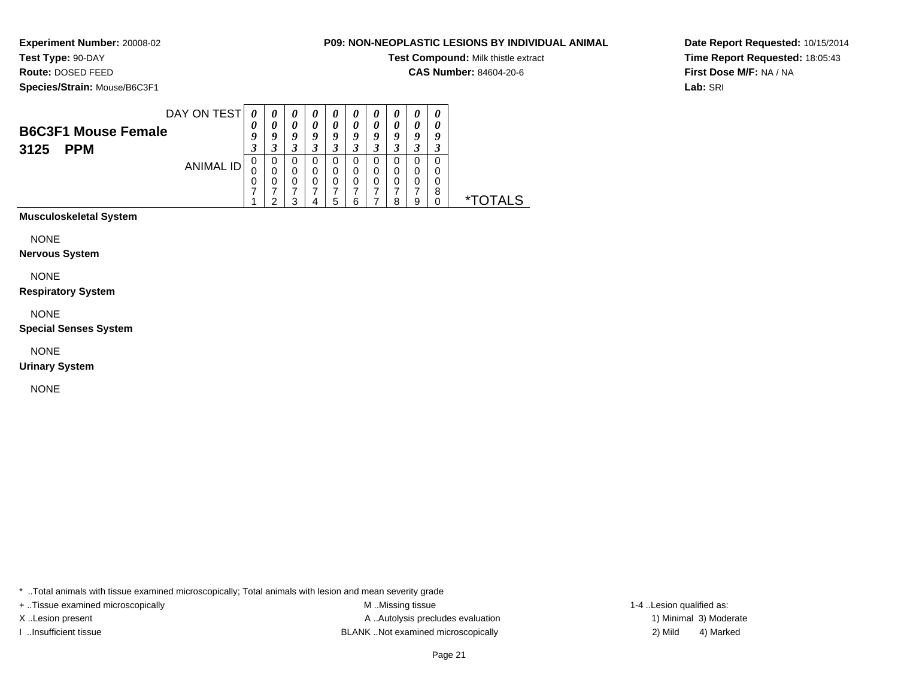# **Test Type:** 90-DAY

**Route:** DOSED FEED

**Species/Strain:** Mouse/B6C3F1

#### **P09: NON-NEOPLASTIC LESIONS BY INDIVIDUAL ANIMAL**

**Test Compound:** Milk thistle extract

**CAS Number:** 84604-20-6

**Date Report Requested:** 10/15/2014**Time Report Requested:** 18:05:43**First Dose M/F:** NA / NA**Lab:** SRI

| DAY ON TEST                | 0                     | $\boldsymbol{\theta}$ | $\boldsymbol{\theta}$ | U | U | U | $\boldsymbol{\theta}$ |   |   |   |              |
|----------------------------|-----------------------|-----------------------|-----------------------|---|---|---|-----------------------|---|---|---|--------------|
| <b>B6C3F1 Mouse Female</b> | $\boldsymbol{\theta}$ | U                     | 0                     |   | 0 |   | 0                     |   |   |   |              |
|                            | o                     | U                     | 9                     | u | ч | а | Q                     | o | O | o |              |
| <b>PPM</b><br>3125         | J                     |                       |                       |   |   |   |                       |   |   |   |              |
| ANIMAL ID                  | 0                     | 0                     | 0                     | O | O | O | 0                     | U | O |   |              |
|                            | U                     | 0                     | 0                     | 0 | 0 | 0 | 0                     | 0 | 0 |   |              |
|                            | 0                     | 0                     | 0                     | 0 | 0 |   | 0                     |   | 0 |   |              |
|                            |                       |                       |                       |   |   |   |                       |   |   | 8 |              |
|                            |                       |                       | っ                     | 4 | 5 | 6 |                       | я | g |   | OTAL S<br>∗т |
|                            |                       |                       |                       |   |   |   |                       |   |   |   |              |

### **Musculoskeletal System**

NONE

**Nervous System**

NONE

**Respiratory System**

NONE

**Special Senses System**

NONE

**Urinary System**

NONE

\* ..Total animals with tissue examined microscopically; Total animals with lesion and mean severity grade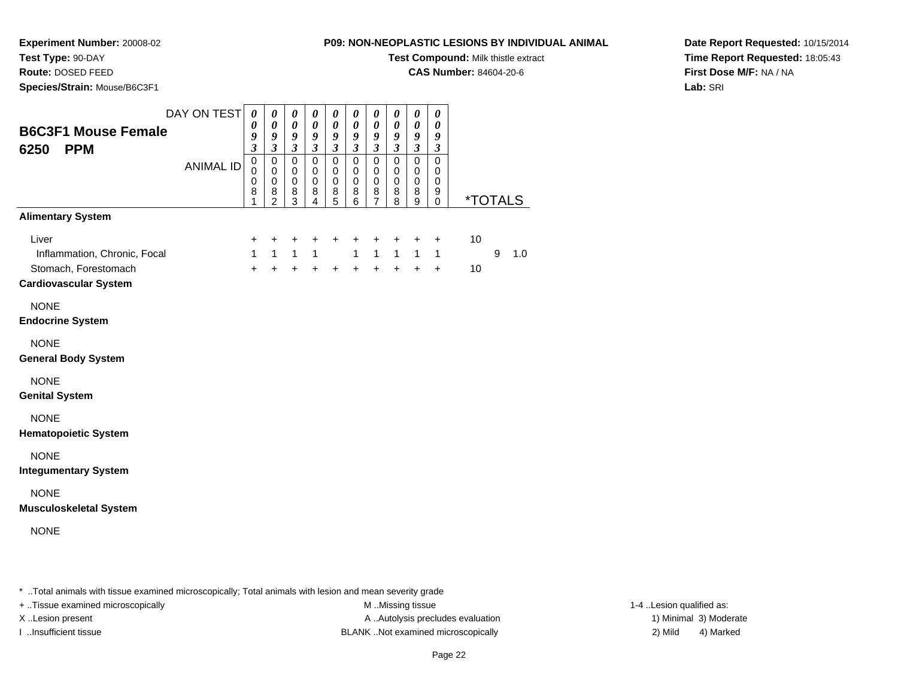# **Test Type:** 90-DAY

**Route:** DOSED FEED

**Species/Strain:** Mouse/B6C3F1

#### **P09: NON-NEOPLASTIC LESIONS BY INDIVIDUAL ANIMAL**

**Test Compound:** Milk thistle extract

**CAS Number:** 84604-20-6

**Date Report Requested:** 10/15/2014**Time Report Requested:** 18:05:43**First Dose M/F:** NA / NA**Lab:** SRI

| <b>B6C3F1 Mouse Female</b><br>6250<br><b>PPM</b>                                              | DAY ON TEST      | 0<br>0<br>9<br>$\overline{3}$             | 0<br>$\boldsymbol{\theta}$<br>9<br>$\overline{\mathbf{3}}$          | $\boldsymbol{\theta}$<br>$\pmb{\theta}$<br>9<br>$\overline{\mathbf{3}}$ | 0<br>$\boldsymbol{\theta}$<br>9<br>$\mathfrak{z}$   | $\boldsymbol{\theta}$<br>$\pmb{\theta}$<br>9<br>$\mathfrak{z}$ | 0<br>$\boldsymbol{\theta}$<br>9<br>$\overline{\mathbf{3}}$ | $\boldsymbol{\theta}$<br>$\boldsymbol{\theta}$<br>9<br>$\overline{\mathbf{3}}$ | 0<br>$\boldsymbol{\theta}$<br>9<br>$\overline{\mathbf{3}}$ | 0<br>$\boldsymbol{\theta}$<br>9<br>$\overline{\mathbf{3}}$ | 0<br>0<br>9<br>$\boldsymbol{\mathfrak{z}}$          |          |   |                       |
|-----------------------------------------------------------------------------------------------|------------------|-------------------------------------------|---------------------------------------------------------------------|-------------------------------------------------------------------------|-----------------------------------------------------|----------------------------------------------------------------|------------------------------------------------------------|--------------------------------------------------------------------------------|------------------------------------------------------------|------------------------------------------------------------|-----------------------------------------------------|----------|---|-----------------------|
|                                                                                               | <b>ANIMAL ID</b> | 0<br>$\mathbf 0$<br>$\mathbf 0$<br>8<br>1 | $\pmb{0}$<br>$\mathbf 0$<br>$\mathbf 0$<br>$\bf8$<br>$\overline{c}$ | $\pmb{0}$<br>$\mathbf 0$<br>$\mathbf 0$<br>8<br>3                       | $\mathsf 0$<br>$\mathbf 0$<br>$\mathbf 0$<br>8<br>4 | $\pmb{0}$<br>0<br>$\mathbf 0$<br>8<br>5                        | $\pmb{0}$<br>$\mathbf 0$<br>$\mathbf 0$<br>8<br>6          | $\pmb{0}$<br>0<br>$\pmb{0}$<br>8<br>$\overline{7}$                             | $\mathbf 0$<br>$\mathbf 0$<br>$\mathbf 0$<br>8<br>8        | $\mathbf 0$<br>0<br>$\mathbf 0$<br>8<br>9                  | $\mathbf 0$<br>0<br>$\mathbf 0$<br>9<br>$\mathbf 0$ |          |   | <i><b>*TOTALS</b></i> |
| <b>Alimentary System</b>                                                                      |                  |                                           |                                                                     |                                                                         |                                                     |                                                                |                                                            |                                                                                |                                                            |                                                            |                                                     |          |   |                       |
| Liver<br>Inflammation, Chronic, Focal<br>Stomach, Forestomach<br><b>Cardiovascular System</b> |                  | +<br>$\mathbf{1}$<br>$+$                  | $\ddot{}$<br>$\mathbf{1}$<br>$+$                                    | +<br>1<br>$\ddot{}$                                                     | +<br>$\mathbf{1}$<br>$\ddot{}$                      | $\ddot{}$<br>$\ddot{}$                                         | $\ddot{}$<br>$\mathbf{1}$<br>$+$                           | $\ddot{}$<br>$\mathbf{1}$<br>$\ddot{}$                                         | +<br>$\mathbf{1}$<br>$+$                                   | +<br>$\mathbf{1}$<br>$\ddot{}$                             | $\ddot{}$<br>$\mathbf{1}$<br>$\ddot{}$              | 10<br>10 | 9 | 1.0                   |
| <b>NONE</b><br><b>Endocrine System</b>                                                        |                  |                                           |                                                                     |                                                                         |                                                     |                                                                |                                                            |                                                                                |                                                            |                                                            |                                                     |          |   |                       |
| <b>NONE</b><br><b>General Body System</b>                                                     |                  |                                           |                                                                     |                                                                         |                                                     |                                                                |                                                            |                                                                                |                                                            |                                                            |                                                     |          |   |                       |
| <b>NONE</b><br><b>Genital System</b>                                                          |                  |                                           |                                                                     |                                                                         |                                                     |                                                                |                                                            |                                                                                |                                                            |                                                            |                                                     |          |   |                       |
| <b>NONE</b><br><b>Hematopoietic System</b>                                                    |                  |                                           |                                                                     |                                                                         |                                                     |                                                                |                                                            |                                                                                |                                                            |                                                            |                                                     |          |   |                       |
| <b>NONE</b><br><b>Integumentary System</b>                                                    |                  |                                           |                                                                     |                                                                         |                                                     |                                                                |                                                            |                                                                                |                                                            |                                                            |                                                     |          |   |                       |
| <b>NONE</b><br><b>Musculoskeletal System</b>                                                  |                  |                                           |                                                                     |                                                                         |                                                     |                                                                |                                                            |                                                                                |                                                            |                                                            |                                                     |          |   |                       |
| <b>NONE</b>                                                                                   |                  |                                           |                                                                     |                                                                         |                                                     |                                                                |                                                            |                                                                                |                                                            |                                                            |                                                     |          |   |                       |
|                                                                                               |                  |                                           |                                                                     |                                                                         |                                                     |                                                                |                                                            |                                                                                |                                                            |                                                            |                                                     |          |   |                       |

\* ..Total animals with tissue examined microscopically; Total animals with lesion and mean severity grade

+ ..Tissue examined microscopically examined microscopically examined as:  $M$  ..Missing tissue 1-4 ..Lesion qualified as:

X..Lesion present **A ..Autolysis precludes evaluation** A ..Autolysis precludes evaluation 1) Minimal 3) Moderate I ..Insufficient tissue BLANK ..Not examined microscopically 2) Mild 4) Marked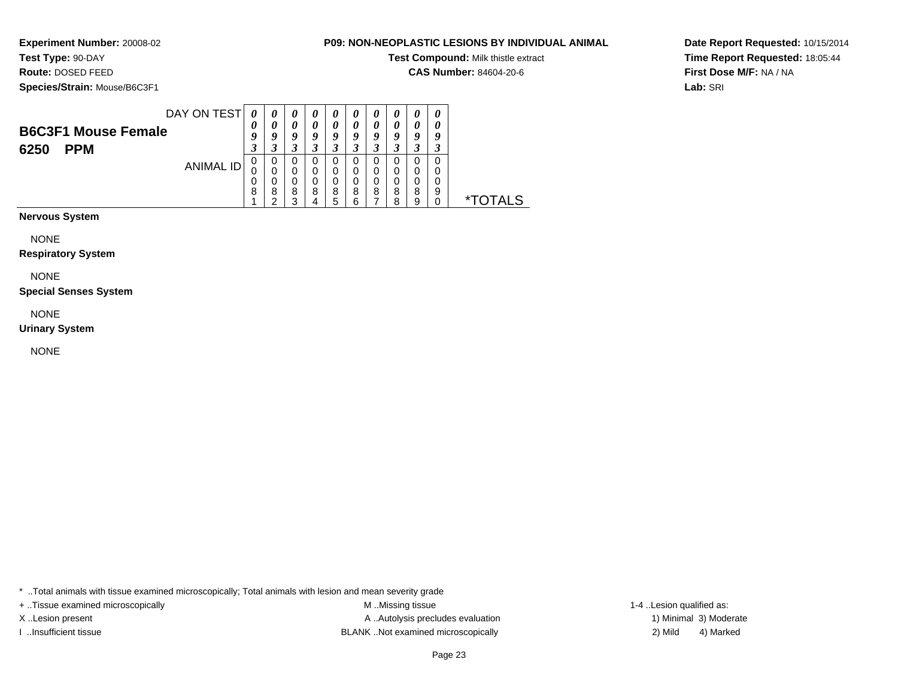# **Test Type:** 90-DAY

**Route:** DOSED FEED

**Species/Strain:** Mouse/B6C3F1

#### **P09: NON-NEOPLASTIC LESIONS BY INDIVIDUAL ANIMAL**

**Test Compound:** Milk thistle extract

**CAS Number:** 84604-20-6

**Date Report Requested:** 10/15/2014**Time Report Requested:** 18:05:44**First Dose M/F:** NA / NA**Lab:** SRI

|                            | DAY ON TEST | 0   | 0   | $\boldsymbol{\theta}$ | U | $\boldsymbol{\theta}$ | U   | U  | U   | $\boldsymbol{\theta}$ | U |  |
|----------------------------|-------------|-----|-----|-----------------------|---|-----------------------|-----|----|-----|-----------------------|---|--|
| <b>B6C3F1 Mouse Female</b> |             | 0   |     | 0                     | U | 0                     |     | 0  |     | 0                     |   |  |
|                            |             |     | u   | 9                     | ч | Y                     | ч   | ч  | u   | u                     | ч |  |
| <b>PPM</b><br>6250         |             | . . | . . | J.                    |   | J.                    | . . | J. | - 1 | 3                     | 3 |  |
|                            | ANIMAL ID   | 0   | 0   | 0                     | U | 0                     | U   | U  |     | 0                     | 0 |  |
|                            |             | 0   |     | 0                     | O | 0                     | 0   | 0  |     | 0                     | O |  |
|                            |             | O   |     | 0                     |   | 0                     | 0   | 0  |     | 0                     | 0 |  |
|                            |             | 8   | 8   | 8                     | 8 | 8                     | 8   | 8  | 8   | 8                     | 9 |  |
|                            |             |     | ◠   | っ                     |   | 5                     |     |    | 8   | 9                     |   |  |
|                            |             |     |     |                       |   |                       |     |    |     |                       |   |  |

**Nervous System**

NONE

**Respiratory System**

NONE

**Special Senses System**

NONE

**Urinary System**

NONE

\* ..Total animals with tissue examined microscopically; Total animals with lesion and mean severity grade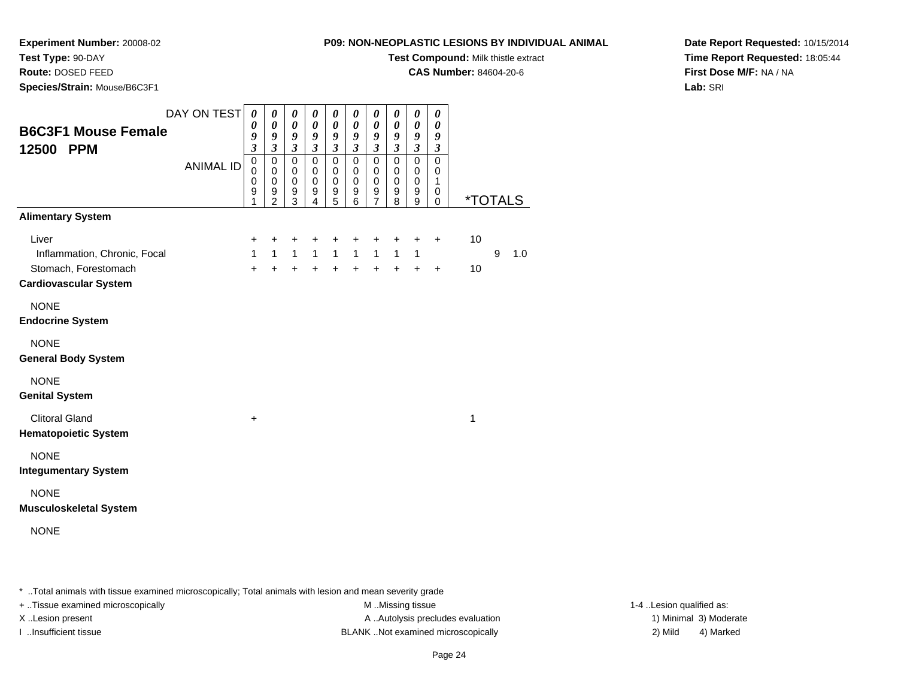### **Test Type:** 90-DAY

**Route:** DOSED FEED

**Species/Strain:** Mouse/B6C3F1

#### **P09: NON-NEOPLASTIC LESIONS BY INDIVIDUAL ANIMAL**

**Test Compound:** Milk thistle extract

**CAS Number:** 84604-20-6

**Date Report Requested:** 10/15/2014**Time Report Requested:** 18:05:44**First Dose M/F:** NA / NA**Lab:** SRI

| <b>B6C3F1 Mouse Female</b><br>12500 PPM                                                       | DAY ON TEST<br><b>ANIMAL ID</b> | 0<br>0<br>9<br>3<br>$\mathbf 0$<br>$\mathbf 0$<br>$\mathbf 0$<br>9<br>1 | 0<br>0<br>9<br>$\overline{\mathbf{3}}$<br>$\mathbf 0$<br>$\mathbf 0$<br>$\mathbf 0$<br>$\frac{9}{2}$ | 0<br>$\boldsymbol{\theta}$<br>$\boldsymbol{9}$<br>$\mathfrak{z}$<br>$\mathsf 0$<br>$\mathbf 0$<br>$\mathbf 0$<br>9<br>$\overline{3}$ | 0<br>0<br>9<br>$\mathfrak{z}$<br>$\mathbf 0$<br>$\pmb{0}$<br>$\pmb{0}$<br>$\frac{9}{4}$ | 0<br>$\boldsymbol{\theta}$<br>9<br>$\overline{\mathbf{3}}$<br>$\mathbf 0$<br>$\pmb{0}$<br>$\pmb{0}$<br>$\frac{9}{5}$ | 0<br>0<br>9<br>$\overline{\mathbf{3}}$<br>$\mathbf 0$<br>$\mathbf 0$<br>$\mathbf 0$<br>$\frac{9}{6}$ | 0<br>$\boldsymbol{\theta}$<br>9<br>$\overline{\mathbf{3}}$<br>$\pmb{0}$<br>$\mathbf 0$<br>$\pmb{0}$<br>$\frac{9}{7}$ | 0<br>$\boldsymbol{\theta}$<br>9<br>$\mathfrak{z}$<br>$\pmb{0}$<br>$\mathbf 0$<br>$\pmb{0}$<br>9<br>$\bar{8}$ | 0<br>$\boldsymbol{\theta}$<br>9<br>$\overline{\mathbf{3}}$<br>$\mathbf 0$<br>$\mathbf 0$<br>$\pmb{0}$<br>$\begin{smallmatrix} 9\\9 \end{smallmatrix}$ | 0<br>$\boldsymbol{\theta}$<br>9<br>$\overline{\mathbf{3}}$<br>$\mathbf 0$<br>$\pmb{0}$<br>$\mathbf{1}$<br>0<br>$\Omega$ | <i><b>*TOTALS</b></i> |   |     |
|-----------------------------------------------------------------------------------------------|---------------------------------|-------------------------------------------------------------------------|------------------------------------------------------------------------------------------------------|--------------------------------------------------------------------------------------------------------------------------------------|-----------------------------------------------------------------------------------------|----------------------------------------------------------------------------------------------------------------------|------------------------------------------------------------------------------------------------------|----------------------------------------------------------------------------------------------------------------------|--------------------------------------------------------------------------------------------------------------|-------------------------------------------------------------------------------------------------------------------------------------------------------|-------------------------------------------------------------------------------------------------------------------------|-----------------------|---|-----|
| <b>Alimentary System</b>                                                                      |                                 |                                                                         |                                                                                                      |                                                                                                                                      |                                                                                         |                                                                                                                      |                                                                                                      |                                                                                                                      |                                                                                                              |                                                                                                                                                       |                                                                                                                         |                       |   |     |
| Liver<br>Inflammation, Chronic, Focal<br>Stomach, Forestomach<br><b>Cardiovascular System</b> |                                 | +<br>$\mathbf{1}$<br>$+$                                                | +<br>$1 \quad$<br>$+$                                                                                | +<br>$1 \quad$<br>$+$                                                                                                                | +<br>$+$                                                                                | +<br>$1 \quad 1$<br>$+$                                                                                              | +<br>$\overline{1}$<br>$+$                                                                           | $\ddot{}$<br>1<br>$\ddot{}$                                                                                          | $\ddot{}$<br>$\mathbf{1}$<br>$\ddot{}$                                                                       | $\ddot{}$<br>$\mathbf{1}$<br>$\ddot{}$                                                                                                                | $\ddot{}$<br>$\ddot{}$                                                                                                  | 10<br>10              | 9 | 1.0 |
| <b>NONE</b><br><b>Endocrine System</b>                                                        |                                 |                                                                         |                                                                                                      |                                                                                                                                      |                                                                                         |                                                                                                                      |                                                                                                      |                                                                                                                      |                                                                                                              |                                                                                                                                                       |                                                                                                                         |                       |   |     |
| <b>NONE</b><br><b>General Body System</b>                                                     |                                 |                                                                         |                                                                                                      |                                                                                                                                      |                                                                                         |                                                                                                                      |                                                                                                      |                                                                                                                      |                                                                                                              |                                                                                                                                                       |                                                                                                                         |                       |   |     |
| <b>NONE</b><br><b>Genital System</b>                                                          |                                 |                                                                         |                                                                                                      |                                                                                                                                      |                                                                                         |                                                                                                                      |                                                                                                      |                                                                                                                      |                                                                                                              |                                                                                                                                                       |                                                                                                                         |                       |   |     |
| <b>Clitoral Gland</b><br><b>Hematopoietic System</b>                                          |                                 | +                                                                       |                                                                                                      |                                                                                                                                      |                                                                                         |                                                                                                                      |                                                                                                      |                                                                                                                      |                                                                                                              |                                                                                                                                                       |                                                                                                                         | 1                     |   |     |
| <b>NONE</b><br><b>Integumentary System</b>                                                    |                                 |                                                                         |                                                                                                      |                                                                                                                                      |                                                                                         |                                                                                                                      |                                                                                                      |                                                                                                                      |                                                                                                              |                                                                                                                                                       |                                                                                                                         |                       |   |     |
| <b>NONE</b><br><b>Musculoskeletal System</b>                                                  |                                 |                                                                         |                                                                                                      |                                                                                                                                      |                                                                                         |                                                                                                                      |                                                                                                      |                                                                                                                      |                                                                                                              |                                                                                                                                                       |                                                                                                                         |                       |   |     |
| <b>NONE</b>                                                                                   |                                 |                                                                         |                                                                                                      |                                                                                                                                      |                                                                                         |                                                                                                                      |                                                                                                      |                                                                                                                      |                                                                                                              |                                                                                                                                                       |                                                                                                                         |                       |   |     |

\* ..Total animals with tissue examined microscopically; Total animals with lesion and mean severity grade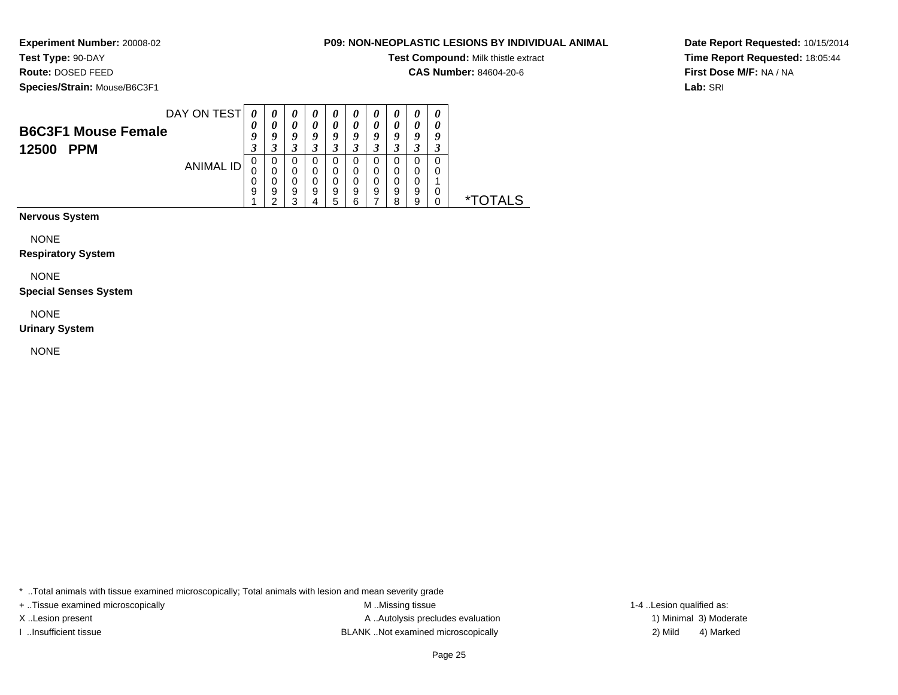## **Test Type:** 90-DAY

**Route:** DOSED FEED

**Species/Strain:** Mouse/B6C3F1

#### **P09: NON-NEOPLASTIC LESIONS BY INDIVIDUAL ANIMAL**

**Test Compound:** Milk thistle extract

**CAS Number:** 84604-20-6

**Date Report Requested:** 10/15/2014**Time Report Requested:** 18:05:44**First Dose M/F:** NA / NA**Lab:** SRI

| DAY ON TEST                | 0 | $\boldsymbol{\theta}$ | U | U | $\boldsymbol{\theta}$ |   |   |   | $\boldsymbol{\theta}$ | 0 |       |
|----------------------------|---|-----------------------|---|---|-----------------------|---|---|---|-----------------------|---|-------|
| <b>B6C3F1 Mouse Female</b> | U |                       | 0 |   |                       |   |   |   |                       |   |       |
|                            | у | u                     | ч | o | Q                     | o | Q |   | Q                     |   |       |
| <b>PPM</b><br>12500        | 3 |                       | 3 |   |                       |   |   |   | ◠<br>.1               |   |       |
| ANIMAL ID                  | 0 | O                     | 0 | O | 0                     |   | O |   | υ                     |   |       |
|                            | U | 0                     | 0 | 0 | 0                     | 0 | 0 |   | Ω                     |   |       |
|                            | 0 |                       | 0 | 0 | 0                     |   | 0 |   | 0                     |   |       |
|                            | 9 | 9                     | 9 | 9 | 9                     | 9 | 9 | 9 | 9                     |   |       |
|                            |   | ີ                     | っ | 4 | 5                     | հ |   | o | g                     |   | TAI S |
|                            |   |                       |   |   |                       |   |   |   |                       |   |       |

**Nervous System**

NONE

**Respiratory System**

NONE

**Special Senses System**

NONE

**Urinary System**

NONE

\* ..Total animals with tissue examined microscopically; Total animals with lesion and mean severity grade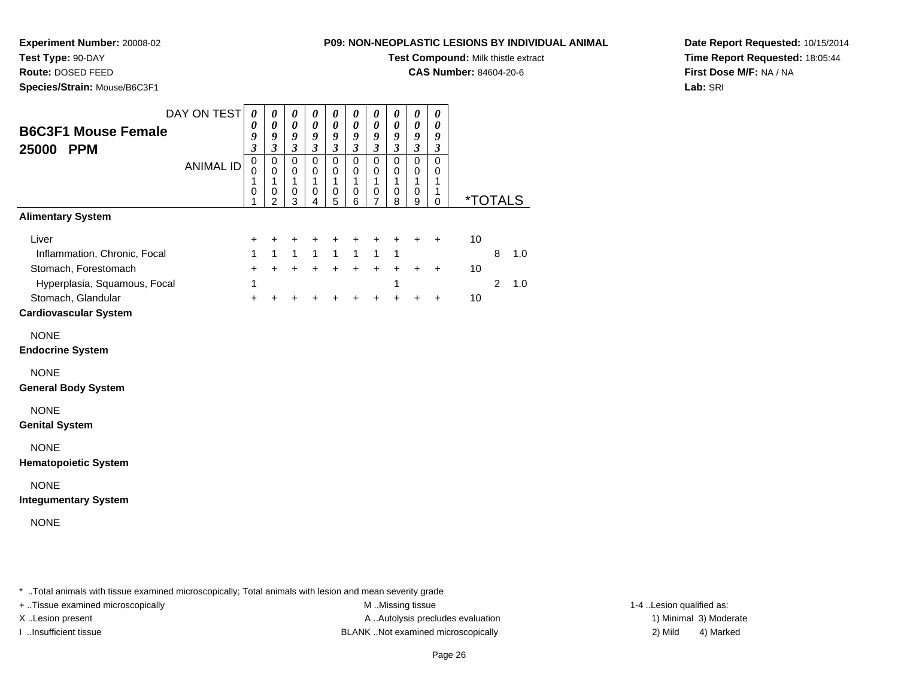### **Test Type:** 90-DAY

**Route:** DOSED FEED

**Species/Strain:** Mouse/B6C3F1

#### **P09: NON-NEOPLASTIC LESIONS BY INDIVIDUAL ANIMAL**

**Test Compound:** Milk thistle extract

**CAS Number:** 84604-20-6

**Date Report Requested:** 10/15/2014**Time Report Requested:** 18:05:44**First Dose M/F:** NA / NA**Lab:** SRI

| <b>B6C3F1 Mouse Female</b><br>25000 PPM                                                                 | DAY ON TEST      | $\boldsymbol{\theta}$<br>0<br>9<br>$\mathfrak{z}$ | 0<br>0<br>9<br>$\mathfrak{z}$                | 0<br>$\boldsymbol{\theta}$<br>9<br>$\mathfrak{z}$ | $\boldsymbol{\theta}$<br>0<br>9<br>$\mathfrak{z}$ | $\pmb{\theta}$<br>0<br>9<br>$\mathfrak{z}$ | 0<br>0<br>9<br>$\mathfrak{z}$   | $\boldsymbol{\theta}$<br>0<br>9<br>$\mathfrak{z}$ | 0<br>0<br>9<br>$\mathfrak{z}$   | 0<br>0<br>9<br>$\mathfrak{z}$   | 0<br>0<br>9<br>$\mathfrak{z}$          |          |                     |                       |
|---------------------------------------------------------------------------------------------------------|------------------|---------------------------------------------------|----------------------------------------------|---------------------------------------------------|---------------------------------------------------|--------------------------------------------|---------------------------------|---------------------------------------------------|---------------------------------|---------------------------------|----------------------------------------|----------|---------------------|-----------------------|
|                                                                                                         | <b>ANIMAL ID</b> | $\mathbf 0$<br>0<br>1<br>0<br>1                   | $\mathbf 0$<br>0<br>1<br>0<br>$\mathfrak{p}$ | $\mathbf 0$<br>0<br>1<br>0<br>3                   | $\mathbf 0$<br>0<br>1<br>0<br>4                   | $\mathbf 0$<br>0<br>1<br>0<br>5            | $\mathbf 0$<br>0<br>1<br>0<br>6 | $\mathbf 0$<br>0<br>1<br>0<br>$\overline{7}$      | $\mathbf 0$<br>0<br>1<br>0<br>8 | $\mathbf 0$<br>0<br>1<br>0<br>9 | $\mathbf 0$<br>0<br>1<br>1<br>$\Omega$ |          |                     | <i><b>*TOTALS</b></i> |
| <b>Alimentary System</b>                                                                                |                  |                                                   |                                              |                                                   |                                                   |                                            |                                 |                                                   |                                 |                                 |                                        |          |                     |                       |
| Liver<br>Inflammation, Chronic, Focal<br>Stomach, Forestomach<br>Hyperplasia, Squamous, Focal           |                  | +<br>1<br>$\ddot{}$<br>1                          | +<br>$\mathbf{1}$<br>$+$                     | +<br>$\mathbf{1}$<br>$+$                          | +<br>$\mathbf{1}$<br>$+$                          | +<br>$\mathbf{1}$<br>$+$                   | +<br>$\mathbf{1}$<br>$+$        | +<br>$\mathbf{1}$<br>$+$                          | +<br>$\mathbf{1}$<br>$+$<br>1   | +<br>$\ddot{}$                  | $\ddot{}$<br>$\ddot{}$                 | 10<br>10 | 8<br>$\overline{2}$ | 1.0<br>1.0            |
| Stomach, Glandular<br><b>Cardiovascular System</b>                                                      |                  | $\ddot{}$                                         |                                              | +                                                 | $\ddot{}$                                         | $\ddot{}$                                  |                                 | +                                                 |                                 | $\ddot{}$                       | $\ddot{}$                              | 10       |                     |                       |
| <b>NONE</b><br><b>Endocrine System</b>                                                                  |                  |                                                   |                                              |                                                   |                                                   |                                            |                                 |                                                   |                                 |                                 |                                        |          |                     |                       |
| <b>NONE</b><br><b>General Body System</b>                                                               |                  |                                                   |                                              |                                                   |                                                   |                                            |                                 |                                                   |                                 |                                 |                                        |          |                     |                       |
| <b>NONE</b><br><b>Genital System</b>                                                                    |                  |                                                   |                                              |                                                   |                                                   |                                            |                                 |                                                   |                                 |                                 |                                        |          |                     |                       |
| <b>NONE</b><br><b>Hematopoietic System</b>                                                              |                  |                                                   |                                              |                                                   |                                                   |                                            |                                 |                                                   |                                 |                                 |                                        |          |                     |                       |
| <b>NONE</b><br><b>Integumentary System</b>                                                              |                  |                                                   |                                              |                                                   |                                                   |                                            |                                 |                                                   |                                 |                                 |                                        |          |                     |                       |
| <b>NONE</b>                                                                                             |                  |                                                   |                                              |                                                   |                                                   |                                            |                                 |                                                   |                                 |                                 |                                        |          |                     |                       |
| * Total animals with tissue examined microscopically: Total animals with lesion and mean severity grade |                  |                                                   |                                              |                                                   |                                                   |                                            |                                 |                                                   |                                 |                                 |                                        |          |                     |                       |

ean severity grad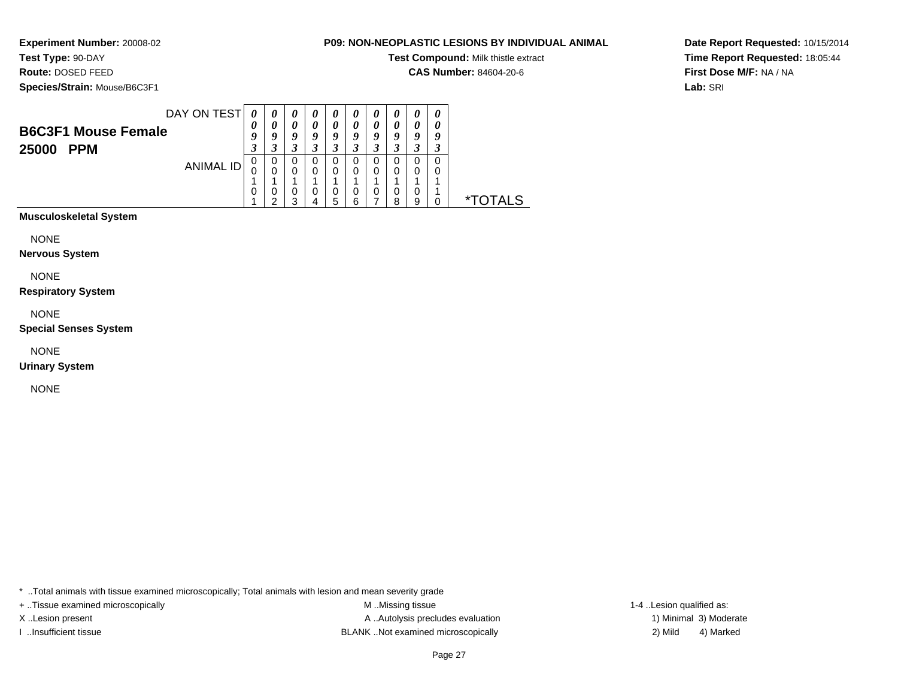# **Test Type:** 90-DAY

**Route:** DOSED FEED

**Species/Strain:** Mouse/B6C3F1

#### **P09: NON-NEOPLASTIC LESIONS BY INDIVIDUAL ANIMAL**

**Test Compound:** Milk thistle extract

**CAS Number:** 84604-20-6

**Date Report Requested:** 10/15/2014**Time Report Requested:** 18:05:44**First Dose M/F:** NA / NA**Lab:** SRI

| <b>B6C3F1 Mouse Female</b> | DAY ON TEST | 0<br>U      | $\boldsymbol{\theta}$<br>U<br>U | $\boldsymbol{\theta}$<br>0<br>9 | U<br>U<br>ч | $\boldsymbol{\theta}$<br>0<br>у | U<br>U<br>o | $\boldsymbol{\theta}$<br>0<br>q |   | $\boldsymbol{\theta}$<br>a | O |              |
|----------------------------|-------------|-------------|---------------------------------|---------------------------------|-------------|---------------------------------|-------------|---------------------------------|---|----------------------------|---|--------------|
| 25000<br><b>PPM</b>        | ANIMAL ID   | J<br>0<br>0 | 0<br>0<br>0<br>◠                | 3<br>0<br>0<br>0                | O<br>O      | 3<br>U<br>0<br>O                | U<br>0<br>O | 3<br>0<br>0<br>0                | 0 | O<br>0                     |   | ∗т           |
|                            |             |             |                                 | ົ                               |             | 5                               | 6           |                                 | я | 9                          |   | <b>DTALS</b> |

**Musculoskeletal System**

NONE

**Nervous System**

NONE

**Respiratory System**

NONE

**Special Senses System**

NONE

**Urinary System**

NONE

\* ..Total animals with tissue examined microscopically; Total animals with lesion and mean severity grade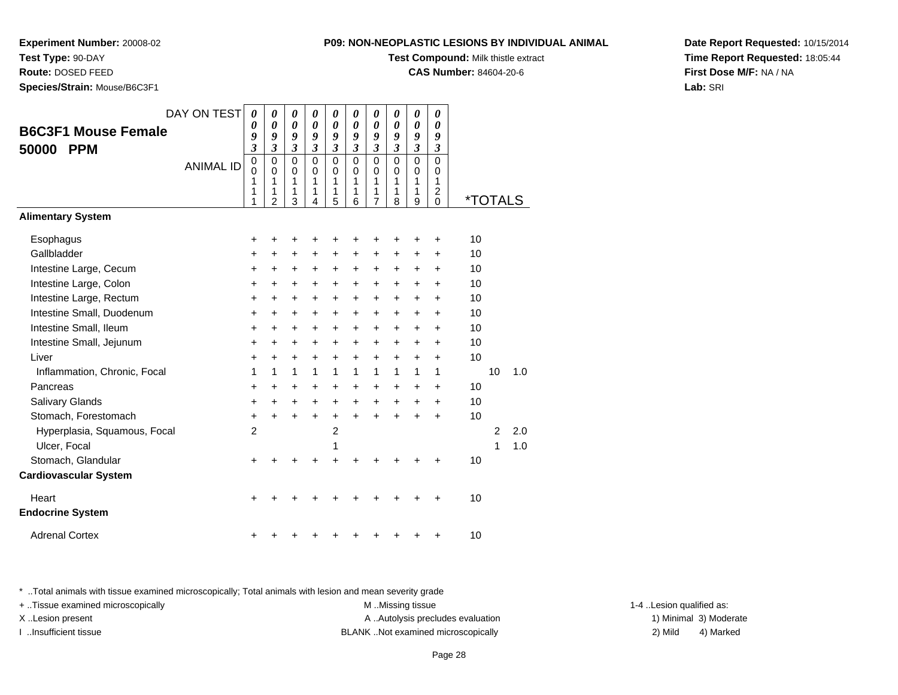**P09: NON-NEOPLASTIC LESIONS BY INDIVIDUAL ANIMAL**

**Test Compound:** Milk thistle extract

**CAS Number:** 84604-20-6

**Date Report Requested:** 10/15/2014**Time Report Requested:** 18:05:44**First Dose M/F:** NA / NA**Lab:** SRI

\* ..Total animals with tissue examined microscopically; Total animals with lesion and mean severity grade

+ ..Tissue examined microscopically examined microscopically examined as:  $M$  ..Missing tissue 1-4 ..Lesion qualified as: X..Lesion present **A ..Autolysis precludes evaluation** A ..Autolysis precludes evaluation 1) Minimal 3) Moderate I ..Insufficient tissue BLANK ..Not examined microscopically 2) Mild 4) Marked

| ROUte: DOSED FEED<br>Species/Strain: Mouse/B6C3F1                                                                                                                                                   |                  |                                                                   |                                                           |                                                                   |                                                                           |                                                           |                                                                                           |                                                           |                                                                           |                                                           |                                                                                           | <b>CAS Number:</b> 84604-20-6                      |                       |            |
|-----------------------------------------------------------------------------------------------------------------------------------------------------------------------------------------------------|------------------|-------------------------------------------------------------------|-----------------------------------------------------------|-------------------------------------------------------------------|---------------------------------------------------------------------------|-----------------------------------------------------------|-------------------------------------------------------------------------------------------|-----------------------------------------------------------|---------------------------------------------------------------------------|-----------------------------------------------------------|-------------------------------------------------------------------------------------------|----------------------------------------------------|-----------------------|------------|
| <b>B6C3F1 Mouse Female</b><br><b>PPM</b><br>50000                                                                                                                                                   | DAY ON TEST      | 0<br>$\theta$<br>9<br>$\mathfrak{z}$                              | 0<br>0<br>9<br>$\overline{\mathbf{3}}$                    | 0<br>$\theta$<br>9<br>$\mathfrak{z}$                              | 0<br>$\boldsymbol{\theta}$<br>9<br>$\mathfrak{z}$                         | 0<br>0<br>9<br>$\boldsymbol{\mathfrak{z}}$                | 0<br>$\boldsymbol{\theta}$<br>9<br>$\mathfrak{z}$                                         | 0<br>0<br>9<br>$\overline{\mathbf{3}}$                    | 0<br>0<br>9<br>$\mathfrak{z}$                                             | 0<br>0<br>9<br>$\overline{\mathbf{3}}$                    | 0<br>0<br>9<br>$\boldsymbol{\beta}$                                                       |                                                    |                       |            |
|                                                                                                                                                                                                     | <b>ANIMAL ID</b> | $\mathbf 0$<br>$\Omega$<br>1<br>1<br>1                            | $\mathbf 0$<br>$\Omega$<br>1<br>1<br>$\overline{2}$       | $\mathbf 0$<br>$\Omega$<br>1<br>1<br>3                            | $\mathbf 0$<br>$\Omega$<br>1<br>1<br>4                                    | $\mathbf 0$<br>$\Omega$<br>1<br>1<br>5                    | $\mathbf 0$<br>$\Omega$<br>1<br>1<br>6                                                    | 0<br>0<br>1<br>1<br>7                                     | $\Omega$<br>$\Omega$<br>1<br>1<br>8                                       | $\Omega$<br>0<br>1<br>1<br>9                              | $\Omega$<br>$\Omega$<br>1<br>$\overline{c}$<br>$\Omega$                                   |                                                    | <i><b>*TOTALS</b></i> |            |
| <b>Alimentary System</b>                                                                                                                                                                            |                  |                                                                   |                                                           |                                                                   |                                                                           |                                                           |                                                                                           |                                                           |                                                                           |                                                           |                                                                                           |                                                    |                       |            |
| Esophagus<br>Gallbladder<br>Intestine Large, Cecum<br>Intestine Large, Colon<br>Intestine Large, Rectum<br>Intestine Small, Duodenum<br>Intestine Small, Ileum<br>Intestine Small, Jejunum<br>Liver |                  | +<br>+<br>+<br>+<br>+<br>$\ddot{}$<br>+<br>$\ddot{}$<br>$\ddot{}$ | +<br>+<br>+<br>+<br>+<br>$\ddot{}$<br>+<br>+<br>$\ddot{}$ | +<br>+<br>+<br>+<br>+<br>$\ddot{}$<br>+<br>$\ddot{}$<br>$\ddot{}$ | +<br>+<br>+<br>$\ddot{}$<br>+<br>$\ddot{}$<br>+<br>$\ddot{}$<br>$\ddot{}$ | +<br>+<br>+<br>+<br>+<br>$\ddot{}$<br>+<br>+<br>$\ddot{}$ | +<br>+<br>+<br>$\ddot{}$<br>$\ddot{}$<br>$\ddot{}$<br>$\ddot{}$<br>$\ddot{}$<br>$\ddot{}$ | +<br>+<br>+<br>+<br>+<br>$\ddot{}$<br>+<br>$\ddot{}$<br>+ | +<br>+<br>+<br>+<br>+<br>$\ddot{}$<br>$\ddot{}$<br>$\ddot{}$<br>$\ddot{}$ | +<br>+<br>+<br>+<br>+<br>$\ddot{}$<br>+<br>+<br>$\ddot{}$ | +<br>$\ddot{}$<br>$\ddot{}$<br>$\ddot{}$<br>+<br>$\ddot{}$<br>+<br>$\ddot{}$<br>$\ddot{}$ | 10<br>10<br>10<br>10<br>10<br>10<br>10<br>10<br>10 |                       |            |
| Inflammation, Chronic, Focal<br>Pancreas<br>Salivary Glands<br>Stomach, Forestomach                                                                                                                 |                  | 1<br>$\ddot{}$<br>$\ddot{}$<br>$\ddot{}$                          | 1<br>$\pm$<br>$\ddot{}$<br>$\ddot{}$                      | 1<br>+<br>$\ddot{}$<br>$\ddot{}$                                  | 1<br>$\ddot{}$<br>$\ddot{}$<br>$+$                                        | 1<br>$\ddot{}$<br>+<br>$\ddot{}$                          | 1<br>+<br>$\ddot{}$<br>$\ddot{}$                                                          | $\mathbf{1}$<br>$\ddot{}$<br>+<br>$\ddot{}$               | 1<br>+<br>$\ddot{}$<br>$\ddot{}$                                          | 1<br>+<br>+<br>$\ddot{}$                                  | 1<br>+<br>$\ddot{}$<br>$\ddot{}$                                                          | 10<br>10<br>10                                     | 10                    | 1.0        |
| Hyperplasia, Squamous, Focal<br>Ulcer, Focal<br>Stomach, Glandular<br><b>Cardiovascular System</b>                                                                                                  |                  | $\overline{2}$<br>+                                               |                                                           |                                                                   |                                                                           | $\overline{2}$<br>1<br>+                                  |                                                                                           |                                                           |                                                                           |                                                           |                                                                                           | 10                                                 | $\overline{c}$<br>1   | 2.0<br>1.0 |
| Heart<br><b>Endocrine System</b>                                                                                                                                                                    |                  | +                                                                 |                                                           |                                                                   |                                                                           |                                                           |                                                                                           |                                                           |                                                                           |                                                           |                                                                                           | 10                                                 |                       |            |
| <b>Adrenal Cortex</b>                                                                                                                                                                               |                  |                                                                   |                                                           |                                                                   |                                                                           |                                                           |                                                                                           |                                                           |                                                                           |                                                           |                                                                                           | 10                                                 |                       |            |

### **Experiment Number:** 20008-02

**Test Type:** 90-DAY**Route:** DOSED FEED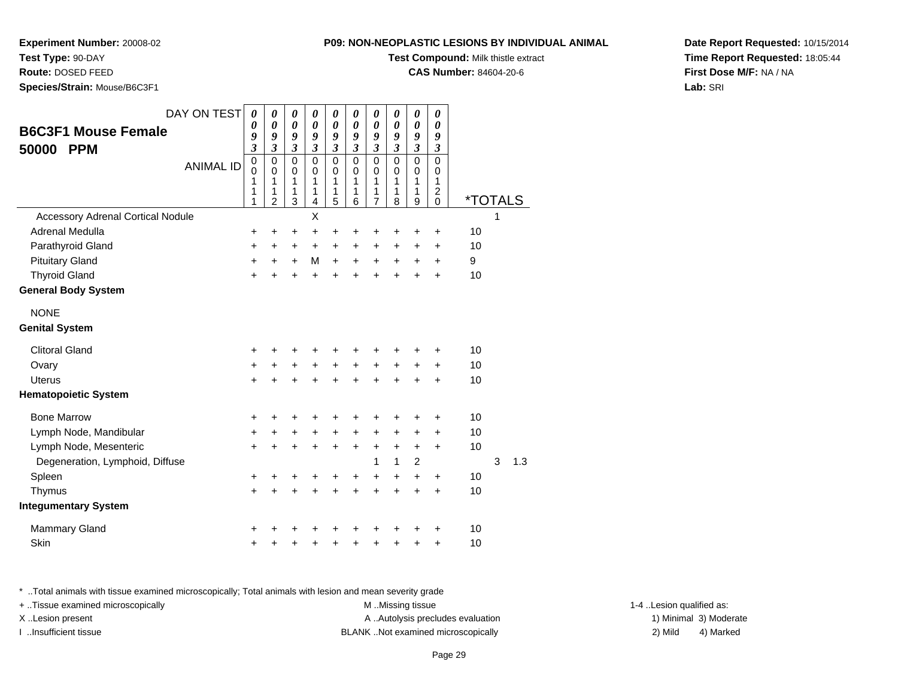**Test Type:** 90-DAY

**Route:** DOSED FEED

**Species/Strain:** Mouse/B6C3F1

#### **P09: NON-NEOPLASTIC LESIONS BY INDIVIDUAL ANIMAL**

**Test Compound:** Milk thistle extract

**CAS Number:** 84604-20-6

**Date Report Requested:** 10/15/2014**Time Report Requested:** 18:05:44**First Dose M/F:** NA / NA**Lab:** SRI

| DAY ON TEST<br><b>B6C3F1 Mouse Female</b><br><b>PPM</b><br>50000<br><b>ANIMAL ID</b> | $\boldsymbol{\theta}$<br>$\boldsymbol{\theta}$<br>9<br>$\mathfrak{z}$<br>$\mathbf 0$<br>$\mathbf 0$<br>1<br>1<br>1 | 0<br>$\boldsymbol{\theta}$<br>9<br>$\mathfrak{z}$<br>$\pmb{0}$<br>$\Omega$<br>1<br>1<br>$\overline{2}$ | 0<br>$\boldsymbol{\theta}$<br>9<br>$\boldsymbol{\beta}$<br>$\mathbf 0$<br>$\mathbf 0$<br>1<br>1<br>3 | 0<br>$\pmb{\theta}$<br>9<br>$\boldsymbol{\mathfrak{z}}$<br>$\mathbf 0$<br>$\mathbf 0$<br>1<br>1<br>4 | 0<br>$\boldsymbol{\theta}$<br>9<br>$\mathfrak{z}$<br>$\mathbf 0$<br>$\mathbf 0$<br>1<br>1<br>5 | 0<br>$\pmb{\theta}$<br>9<br>$\overline{\mathbf{3}}$<br>$\mathbf 0$<br>$\mathbf 0$<br>1<br>1<br>6 | 0<br>$\pmb{\theta}$<br>9<br>$\overline{\mathbf{3}}$<br>0<br>$\mathbf 0$<br>1<br>1<br>$\overline{7}$ | 0<br>$\boldsymbol{\theta}$<br>9<br>$\mathfrak{z}$<br>$\mathbf 0$<br>$\Omega$<br>1<br>1<br>8 | 0<br>$\boldsymbol{\theta}$<br>9<br>$\mathfrak{z}$<br>$\mathsf 0$<br>$\mathbf 0$<br>1<br>1<br>9 | 0<br>$\boldsymbol{\theta}$<br>9<br>$\boldsymbol{\beta}$<br>$\mathbf 0$<br>0<br>1<br>$\overline{c}$<br>$\mathbf 0$ | <i><b>*TOTALS</b></i> |   |     |
|--------------------------------------------------------------------------------------|--------------------------------------------------------------------------------------------------------------------|--------------------------------------------------------------------------------------------------------|------------------------------------------------------------------------------------------------------|------------------------------------------------------------------------------------------------------|------------------------------------------------------------------------------------------------|--------------------------------------------------------------------------------------------------|-----------------------------------------------------------------------------------------------------|---------------------------------------------------------------------------------------------|------------------------------------------------------------------------------------------------|-------------------------------------------------------------------------------------------------------------------|-----------------------|---|-----|
| <b>Accessory Adrenal Cortical Nodule</b>                                             |                                                                                                                    |                                                                                                        |                                                                                                      | X                                                                                                    |                                                                                                |                                                                                                  |                                                                                                     |                                                                                             |                                                                                                |                                                                                                                   |                       |   |     |
| Adrenal Medulla                                                                      | +                                                                                                                  | +                                                                                                      | +                                                                                                    | +                                                                                                    | $\ddot{}$                                                                                      | +                                                                                                | +                                                                                                   | +                                                                                           | +                                                                                              | +                                                                                                                 | 10                    |   |     |
| Parathyroid Gland                                                                    | $\ddot{}$                                                                                                          | +                                                                                                      | $\ddot{}$                                                                                            | +                                                                                                    | $\ddot{}$                                                                                      | +                                                                                                | $\ddot{}$                                                                                           | $\ddot{}$                                                                                   | +                                                                                              | $\ddot{}$                                                                                                         | 10                    |   |     |
| <b>Pituitary Gland</b>                                                               | +                                                                                                                  | $\ddot{}$                                                                                              | $\ddot{}$                                                                                            | M                                                                                                    | $+$                                                                                            | $\ddot{}$                                                                                        | $\ddot{}$                                                                                           | $\ddot{}$                                                                                   | $\ddot{}$                                                                                      | $\ddot{}$                                                                                                         | 9                     |   |     |
| <b>Thyroid Gland</b>                                                                 | $\ddot{}$                                                                                                          | ÷                                                                                                      | $\ddot{}$                                                                                            | $\ddot{}$                                                                                            | ÷                                                                                              | $\ddot{}$                                                                                        | $\ddot{}$                                                                                           | $\ddot{}$                                                                                   | $\ddot{}$                                                                                      | $\ddot{}$                                                                                                         | 10                    |   |     |
| <b>General Body System</b>                                                           |                                                                                                                    |                                                                                                        |                                                                                                      |                                                                                                      |                                                                                                |                                                                                                  |                                                                                                     |                                                                                             |                                                                                                |                                                                                                                   |                       |   |     |
| <b>NONE</b>                                                                          |                                                                                                                    |                                                                                                        |                                                                                                      |                                                                                                      |                                                                                                |                                                                                                  |                                                                                                     |                                                                                             |                                                                                                |                                                                                                                   |                       |   |     |
| <b>Genital System</b>                                                                |                                                                                                                    |                                                                                                        |                                                                                                      |                                                                                                      |                                                                                                |                                                                                                  |                                                                                                     |                                                                                             |                                                                                                |                                                                                                                   |                       |   |     |
| <b>Clitoral Gland</b>                                                                | +                                                                                                                  | +                                                                                                      | +                                                                                                    | +                                                                                                    | +                                                                                              | +                                                                                                | +                                                                                                   | +                                                                                           |                                                                                                | ÷                                                                                                                 | 10                    |   |     |
| Ovary                                                                                | +                                                                                                                  | +                                                                                                      | $\ddot{}$                                                                                            | +                                                                                                    | $\ddot{}$                                                                                      | $\ddot{}$                                                                                        | $\ddot{}$                                                                                           | $\ddot{}$                                                                                   | +                                                                                              | $\ddot{}$                                                                                                         | 10                    |   |     |
| <b>Uterus</b>                                                                        | $\ddot{}$                                                                                                          | $\ddot{}$                                                                                              | $\ddot{}$                                                                                            | $\ddot{}$                                                                                            | $\ddot{}$                                                                                      | $\ddot{}$                                                                                        | $\ddot{}$                                                                                           | $\ddot{}$                                                                                   | $\ddot{}$                                                                                      | $\ddot{}$                                                                                                         | 10                    |   |     |
| <b>Hematopoietic System</b>                                                          |                                                                                                                    |                                                                                                        |                                                                                                      |                                                                                                      |                                                                                                |                                                                                                  |                                                                                                     |                                                                                             |                                                                                                |                                                                                                                   |                       |   |     |
| <b>Bone Marrow</b>                                                                   | +                                                                                                                  | +                                                                                                      | +                                                                                                    |                                                                                                      | +                                                                                              |                                                                                                  | +                                                                                                   | +                                                                                           | +                                                                                              | +                                                                                                                 | 10                    |   |     |
| Lymph Node, Mandibular                                                               | $\ddot{}$                                                                                                          | $\ddot{}$                                                                                              | +                                                                                                    | $\ddot{}$                                                                                            | $\ddot{}$                                                                                      | $\ddot{}$                                                                                        | $\ddot{}$                                                                                           | $\ddot{}$                                                                                   | $\ddot{}$                                                                                      | $\ddot{}$                                                                                                         | 10                    |   |     |
| Lymph Node, Mesenteric                                                               | $\ddot{}$                                                                                                          | $\ddot{}$                                                                                              | $\ddot{}$                                                                                            | $\ddot{}$                                                                                            | $\ddot{}$                                                                                      | $\ddot{}$                                                                                        | +                                                                                                   | +                                                                                           | $\ddot{}$                                                                                      | $\ddot{}$                                                                                                         | 10                    |   |     |
| Degeneration, Lymphoid, Diffuse                                                      |                                                                                                                    |                                                                                                        |                                                                                                      |                                                                                                      |                                                                                                |                                                                                                  | 1                                                                                                   | 1                                                                                           | $\overline{c}$                                                                                 |                                                                                                                   |                       | 3 | 1.3 |
| Spleen                                                                               | +                                                                                                                  | +                                                                                                      | +                                                                                                    | +                                                                                                    | +                                                                                              | +                                                                                                | +                                                                                                   | $\ddot{}$                                                                                   | +                                                                                              | $\ddot{}$                                                                                                         | 10                    |   |     |
| Thymus                                                                               | $\ddot{}$                                                                                                          | $\ddot{}$                                                                                              | $\ddot{}$                                                                                            | $\ddot{}$                                                                                            | $\ddot{}$                                                                                      | ÷                                                                                                | $\ddot{}$                                                                                           | ÷                                                                                           | $\ddot{}$                                                                                      | $+$                                                                                                               | 10                    |   |     |
| <b>Integumentary System</b>                                                          |                                                                                                                    |                                                                                                        |                                                                                                      |                                                                                                      |                                                                                                |                                                                                                  |                                                                                                     |                                                                                             |                                                                                                |                                                                                                                   |                       |   |     |
| <b>Mammary Gland</b>                                                                 | +                                                                                                                  |                                                                                                        |                                                                                                      |                                                                                                      |                                                                                                |                                                                                                  |                                                                                                     |                                                                                             |                                                                                                | +                                                                                                                 | 10                    |   |     |
| Skin                                                                                 | +                                                                                                                  | +                                                                                                      | +                                                                                                    | +                                                                                                    | +                                                                                              | +                                                                                                | +                                                                                                   | +                                                                                           | +                                                                                              | $\ddot{}$                                                                                                         | 10                    |   |     |

\* ..Total animals with tissue examined microscopically; Total animals with lesion and mean severity grade